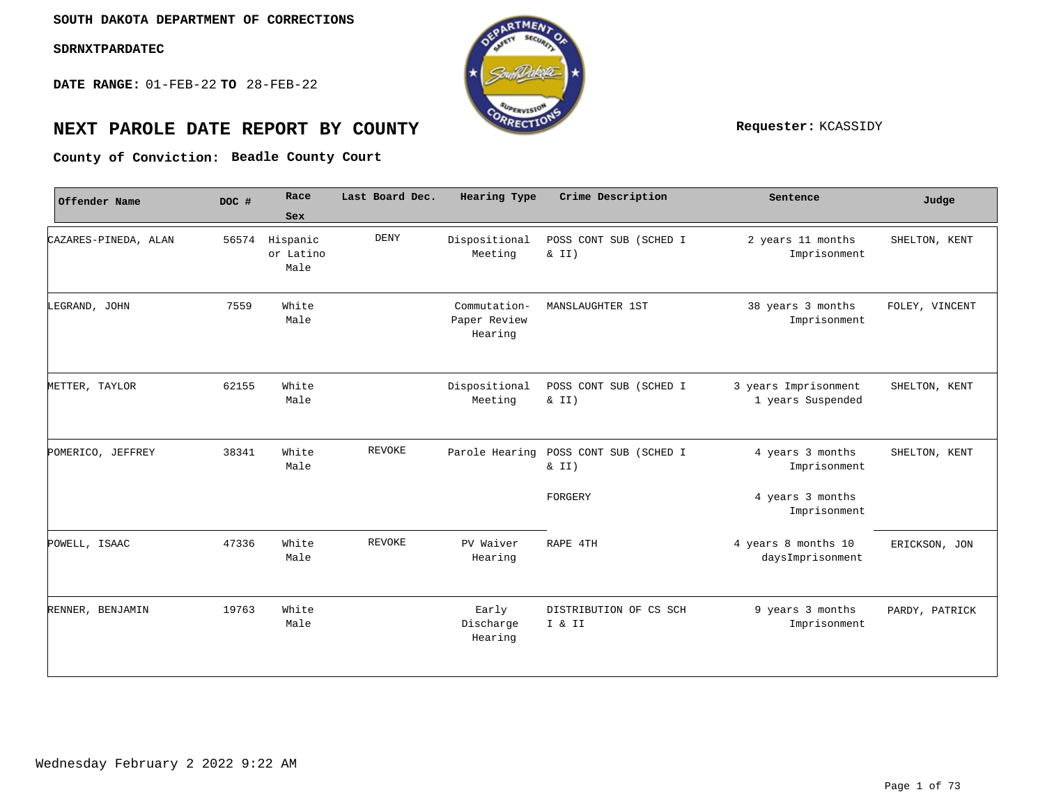**DATE RANGE:** 01-FEB-22 **TO** 28-FEB-22



## **NEXT PAROLE DATE REPORT BY COUNTY Requester:** KCASSIDY

**Beadle County Court County of Conviction:**

| Offender Name        | DOC # | Race                          | Last Board Dec. | Hearing Type                            | Crime Description                  | Sentence                                  | Judge          |
|----------------------|-------|-------------------------------|-----------------|-----------------------------------------|------------------------------------|-------------------------------------------|----------------|
|                      |       | Sex                           |                 |                                         |                                    |                                           |                |
| CAZARES-PINEDA, ALAN | 56574 | Hispanic<br>or Latino<br>Male | <b>DENY</b>     | Dispositional<br>Meeting                | POSS CONT SUB (SCHED I<br>$\&$ II) | 2 years 11 months<br>Imprisonment         | SHELTON, KENT  |
| LEGRAND, JOHN        | 7559  | White<br>Male                 |                 | Commutation-<br>Paper Review<br>Hearing | MANSLAUGHTER 1ST                   | 38 years 3 months<br>Imprisonment         | FOLEY, VINCENT |
| METTER, TAYLOR       | 62155 | White<br>Male                 |                 | Dispositional<br>Meeting                | POSS CONT SUB (SCHED I<br>& II)    | 3 years Imprisonment<br>1 years Suspended | SHELTON, KENT  |
| POMERICO, JEFFREY    | 38341 | White<br>Male                 | REVOKE          | Parole Hearing                          | POSS CONT SUB (SCHED I<br>& II)    | 4 years 3 months<br>Imprisonment          | SHELTON, KENT  |
|                      |       |                               |                 |                                         | FORGERY                            | 4 years 3 months<br>Imprisonment          |                |
| POWELL, ISAAC        | 47336 | White<br>Male                 | <b>REVOKE</b>   | PV Waiver<br>Hearing                    | RAPE 4TH                           | 4 years 8 months 10<br>daysImprisonment   | ERICKSON, JON  |
|                      |       |                               |                 |                                         |                                    |                                           |                |
| RENNER, BENJAMIN     | 19763 | White<br>Male                 |                 | Early<br>Discharge<br>Hearing           | DISTRIBUTION OF CS SCH<br>I & II   | 9 years 3 months<br>Imprisonment          | PARDY, PATRICK |
|                      |       |                               |                 |                                         |                                    |                                           |                |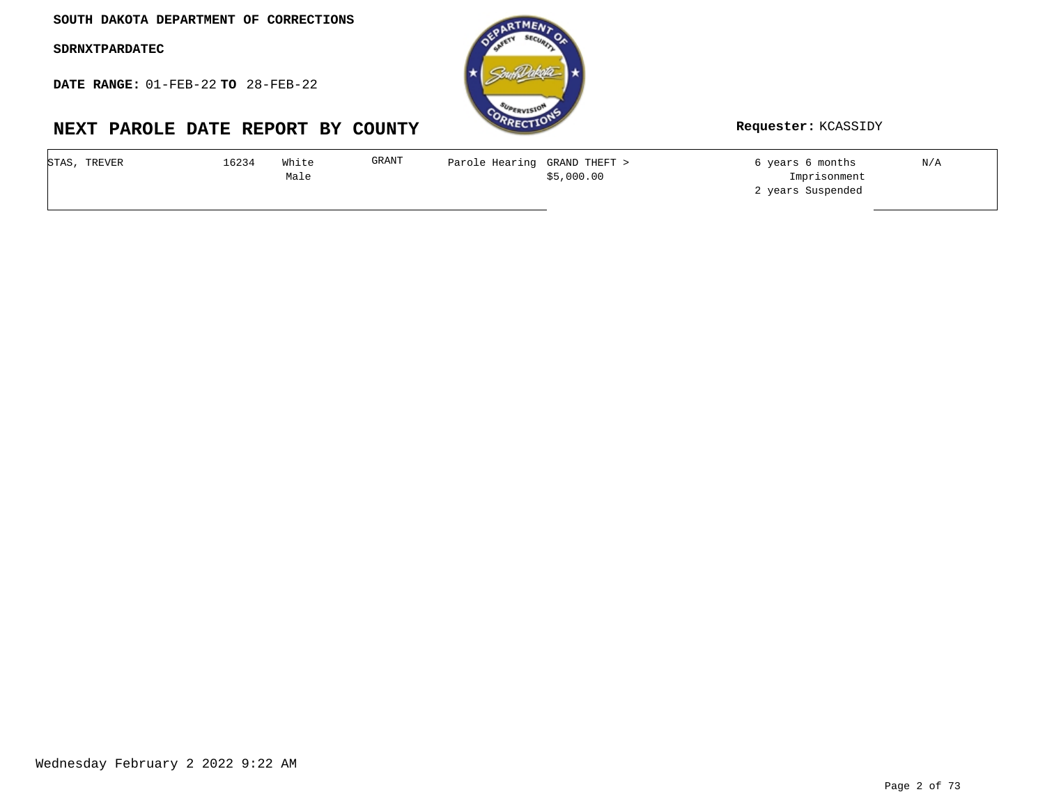**SOUTH DAKOTA DEPARTMENT OF CORRECTIONS**

**SDRNXTPARDATEC**

**DATE RANGE:** 01-FEB-22 **TO** 28-FEB-22

# **NEXT PAROLE DATE REPORT BY COUNTY Requester:** KCASSIDY



| STAS, TREVER | 6234 | White | GRANT | Parole Hearing GRAND THEFT > |            | 6 years 6 months  | N/A |
|--------------|------|-------|-------|------------------------------|------------|-------------------|-----|
|              |      | Male  |       |                              | \$5,000.00 | Imprisonment      |     |
|              |      |       |       |                              |            | 2 years Suspended |     |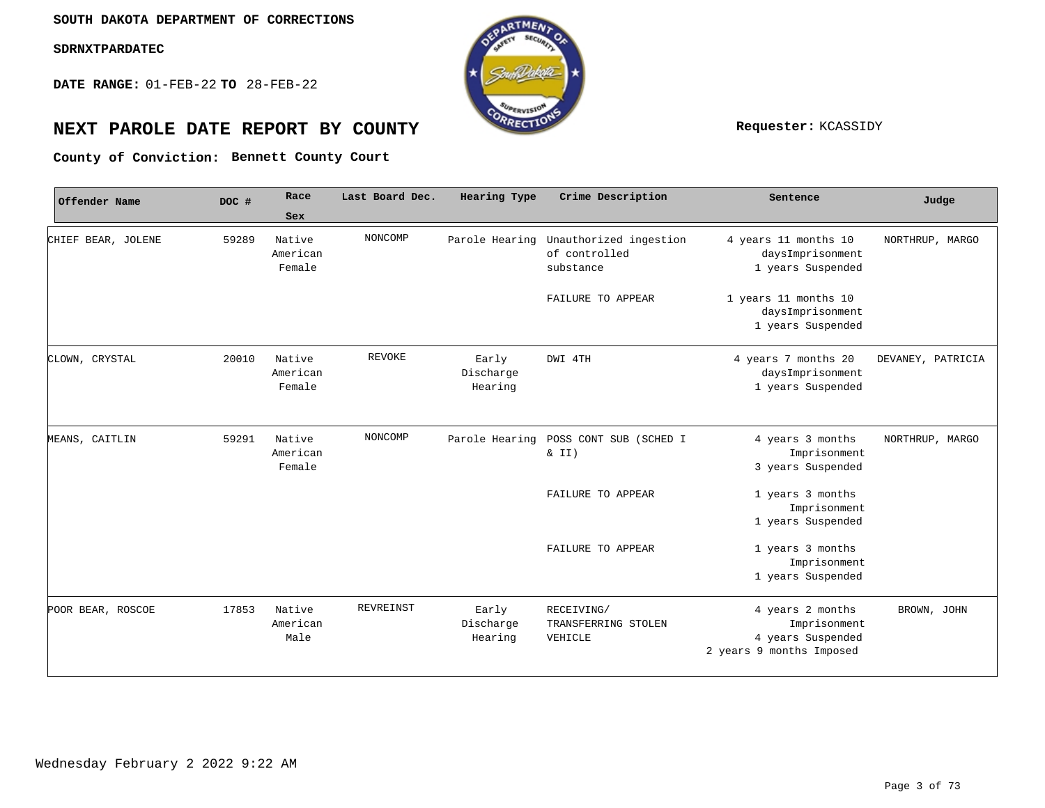**DATE RANGE:** 01-FEB-22 **TO** 28-FEB-22



## **NEXT PAROLE DATE REPORT BY COUNTY Requester:** KCASSIDY

**Bennett County Court County of Conviction:**

| Offender Name      | DOC # | Race                         | Last Board Dec. | Hearing Type                  | Crime Description                                                   | Sentence                                                                          | Judge             |
|--------------------|-------|------------------------------|-----------------|-------------------------------|---------------------------------------------------------------------|-----------------------------------------------------------------------------------|-------------------|
|                    |       | Sex                          |                 |                               |                                                                     |                                                                                   |                   |
| CHIEF BEAR, JOLENE | 59289 | Native<br>American<br>Female | NONCOMP         |                               | Parole Hearing Unauthorized ingestion<br>of controlled<br>substance | 4 years 11 months 10<br>daysImprisonment<br>1 years Suspended                     | NORTHRUP, MARGO   |
|                    |       |                              |                 |                               | FAILURE TO APPEAR                                                   | 1 years 11 months 10<br>daysImprisonment<br>1 years Suspended                     |                   |
| CLOWN, CRYSTAL     | 20010 | Native<br>American<br>Female | <b>REVOKE</b>   | Early<br>Discharge<br>Hearing | DWI 4TH                                                             | 4 years 7 months 20<br>daysImprisonment<br>1 years Suspended                      | DEVANEY, PATRICIA |
| MEANS, CAITLIN     | 59291 | Native<br>American<br>Female | NONCOMP         | Parole Hearing                | POSS CONT SUB (SCHED I<br>$\&$ II)                                  | 4 years 3 months<br>Imprisonment<br>3 years Suspended                             | NORTHRUP, MARGO   |
|                    |       |                              |                 |                               | FAILURE TO APPEAR                                                   | 1 years 3 months<br>Imprisonment<br>1 years Suspended                             |                   |
|                    |       |                              |                 |                               | FAILURE TO APPEAR                                                   | 1 years 3 months<br>Imprisonment<br>1 years Suspended                             |                   |
| POOR BEAR, ROSCOE  | 17853 | Native<br>American<br>Male   | REVREINST       | Early<br>Discharge<br>Hearing | RECEIVING/<br>TRANSFERRING STOLEN<br>VEHICLE                        | 4 years 2 months<br>Imprisonment<br>4 years Suspended<br>2 years 9 months Imposed | BROWN, JOHN       |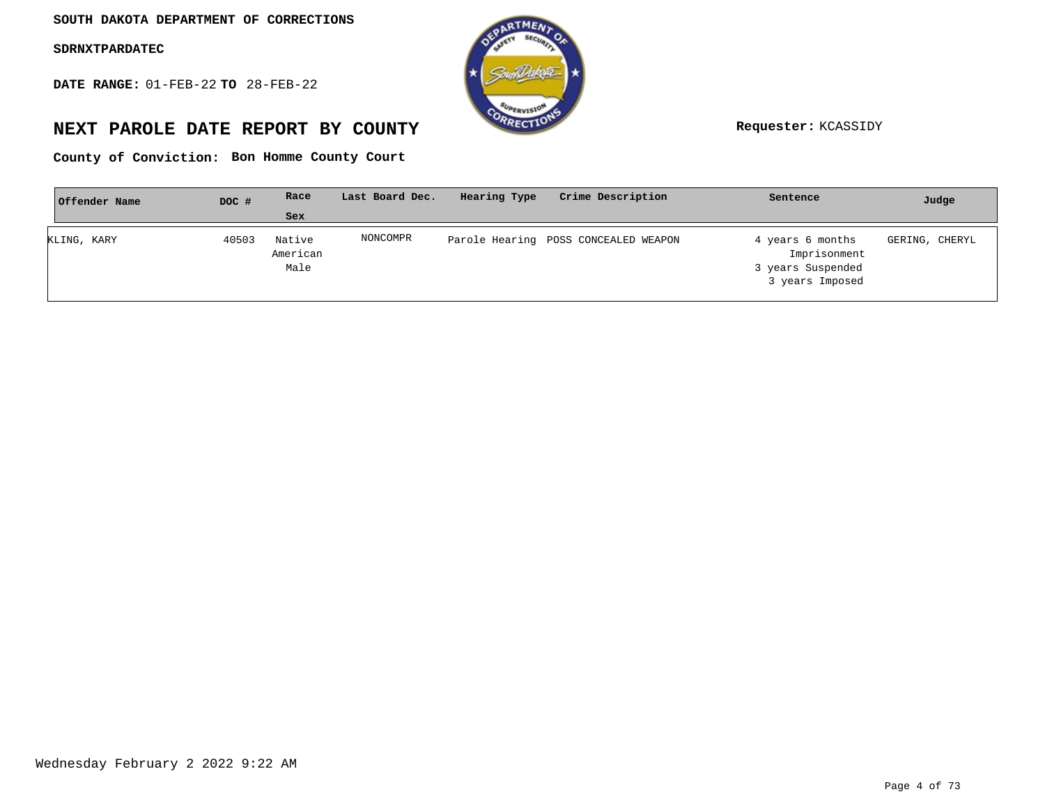**DATE RANGE:** 01-FEB-22 **TO** 28-FEB-22



## **NEXT PAROLE DATE REPORT BY COUNTY Requester:** KCASSIDY

**Bon Homme County Court County of Conviction:**

| Offender Name | DOC # | Race                       | Last Board Dec. | Hearing Type | Crime Description                    | Sentence                                                                 | Judge          |
|---------------|-------|----------------------------|-----------------|--------------|--------------------------------------|--------------------------------------------------------------------------|----------------|
|               |       | Sex                        |                 |              |                                      |                                                                          |                |
| KLING, KARY   | 40503 | Native<br>American<br>Male | NONCOMPR        |              | Parole Hearing POSS CONCEALED WEAPON | 4 years 6 months<br>Imprisonment<br>3 years Suspended<br>3 years Imposed | GERING, CHERYL |
|               |       |                            |                 |              |                                      |                                                                          |                |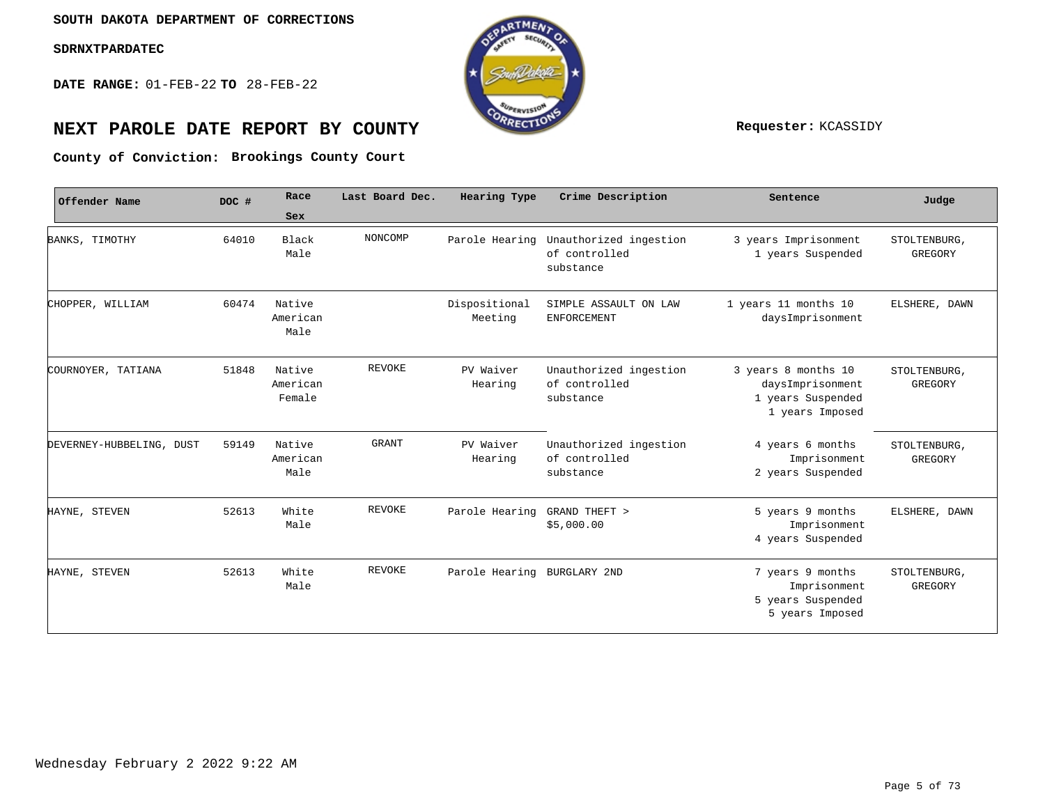**DATE RANGE:** 01-FEB-22 **TO** 28-FEB-22



## **NEXT PAROLE DATE REPORT BY COUNTY Requester:** KCASSIDY

**Brookings County Court County of Conviction:**

| Offender Name            | DOC # | Race                         | Last Board Dec. | Hearing Type                | Crime Description                                    | Sentence                                                                        | Judge                   |
|--------------------------|-------|------------------------------|-----------------|-----------------------------|------------------------------------------------------|---------------------------------------------------------------------------------|-------------------------|
|                          |       | Sex                          |                 |                             |                                                      |                                                                                 |                         |
| BANKS, TIMOTHY           | 64010 | Black<br>Male                | NONCOMP         | Parole Hearing              | Unauthorized ingestion<br>of controlled<br>substance | 3 years Imprisonment<br>1 years Suspended                                       | STOLTENBURG,<br>GREGORY |
| CHOPPER, WILLIAM         | 60474 | Native<br>American<br>Male   |                 | Dispositional<br>Meeting    | SIMPLE ASSAULT ON LAW<br>ENFORCEMENT                 | 1 years 11 months 10<br>daysImprisonment                                        | ELSHERE, DAWN           |
| COURNOYER, TATIANA       | 51848 | Native<br>American<br>Female | REVOKE          | PV Waiver<br>Hearing        | Unauthorized ingestion<br>of controlled<br>substance | 3 years 8 months 10<br>daysImprisonment<br>1 years Suspended<br>1 years Imposed | STOLTENBURG,<br>GREGORY |
| DEVERNEY-HUBBELING, DUST | 59149 | Native<br>American<br>Male   | <b>GRANT</b>    | PV Waiver<br>Hearing        | Unauthorized ingestion<br>of controlled<br>substance | 4 years 6 months<br>Imprisonment<br>2 years Suspended                           | STOLTENBURG,<br>GREGORY |
| HAYNE, STEVEN            | 52613 | White<br>Male                | <b>REVOKE</b>   | Parole Hearing              | GRAND THEFT ><br>\$5,000.00                          | 5 years 9 months<br>Imprisonment<br>4 years Suspended                           | ELSHERE, DAWN           |
| HAYNE, STEVEN            | 52613 | White<br>Male                | REVOKE          | Parole Hearing BURGLARY 2ND |                                                      | 7 years 9 months<br>Imprisonment<br>5 years Suspended<br>5 years Imposed        | STOLTENBURG,<br>GREGORY |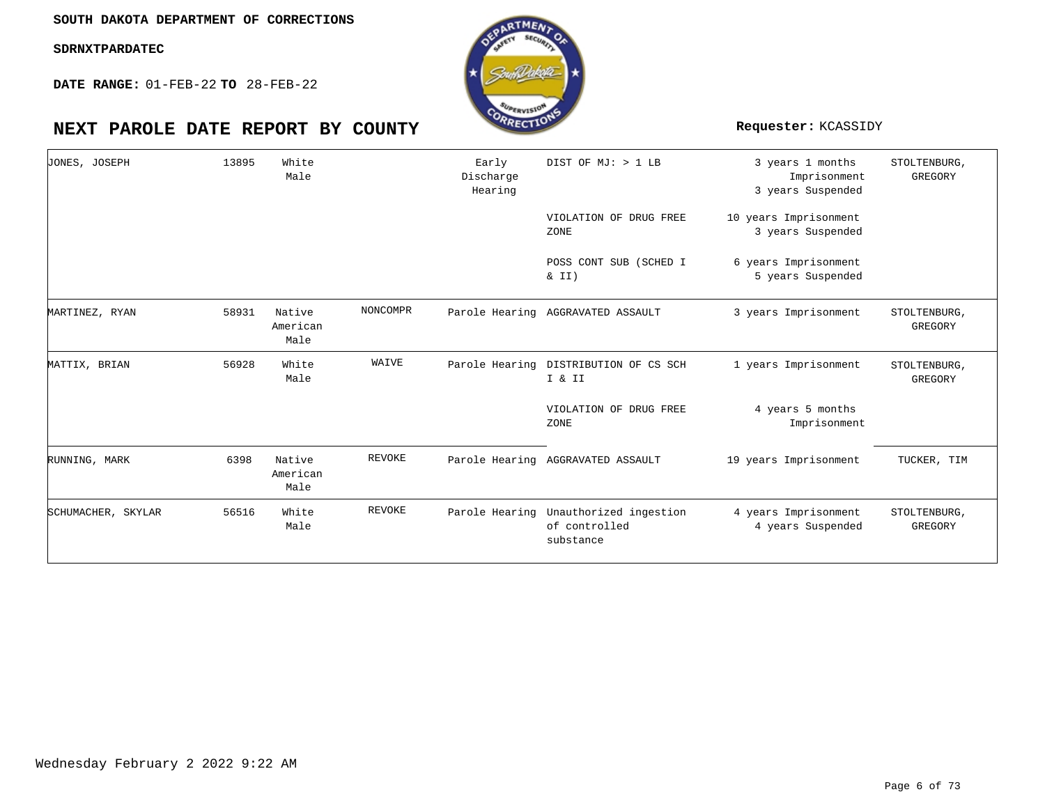**DATE RANGE:** 01-FEB-22 **TO** 28-FEB-22



| JONES, JOSEPH      | 13895 | White<br>Male              |          | Early<br>Discharge<br>Hearing | DIST OF MJ: > 1 LB                                   | 3 years 1 months<br>Imprisonment<br>3 years Suspended | STOLTENBURG,<br>GREGORY |
|--------------------|-------|----------------------------|----------|-------------------------------|------------------------------------------------------|-------------------------------------------------------|-------------------------|
|                    |       |                            |          |                               | VIOLATION OF DRUG FREE<br>ZONE                       | 10 years Imprisonment<br>3 years Suspended            |                         |
|                    |       |                            |          |                               | POSS CONT SUB (SCHED I<br>& II)                      | 6 years Imprisonment<br>5 years Suspended             |                         |
| MARTINEZ, RYAN     | 58931 | Native<br>American<br>Male | NONCOMPR |                               | Parole Hearing AGGRAVATED ASSAULT                    | 3 years Imprisonment                                  | STOLTENBURG,<br>GREGORY |
| MATTIX, BRIAN      | 56928 | White<br>Male              | WAIVE    |                               | Parole Hearing DISTRIBUTION OF CS SCH<br>I & II      | 1 years Imprisonment                                  | STOLTENBURG,<br>GREGORY |
|                    |       |                            |          |                               | VIOLATION OF DRUG FREE<br>ZONE                       | 4 years 5 months<br>Imprisonment                      |                         |
| RUNNING, MARK      | 6398  | Native<br>American<br>Male | REVOKE   |                               | Parole Hearing AGGRAVATED ASSAULT                    | 19 years Imprisonment                                 | TUCKER, TIM             |
| SCHUMACHER, SKYLAR | 56516 | White<br>Male              | REVOKE   | Parole Hearing                | Unauthorized ingestion<br>of controlled<br>substance | 4 years Imprisonment<br>4 years Suspended             | STOLTENBURG,<br>GREGORY |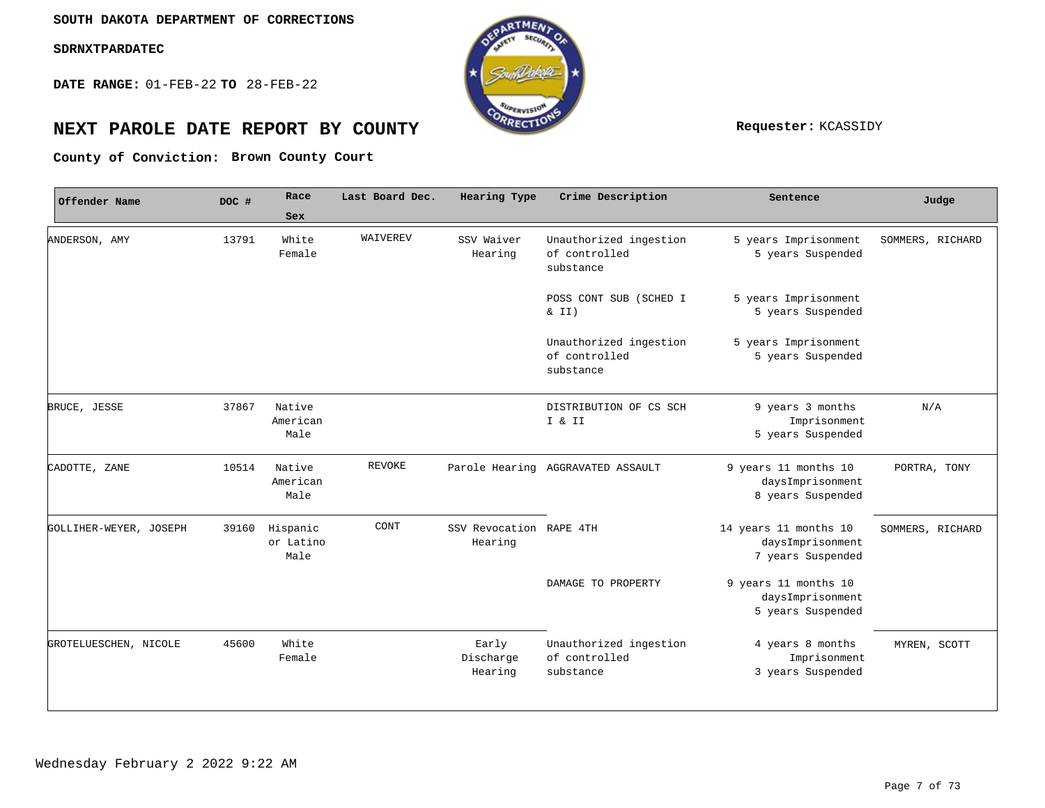**DATE RANGE:** 01-FEB-22 **TO** 28-FEB-22



## **NEXT PAROLE DATE REPORT BY COUNTY Requester:** KCASSIDY

**Brown County Court County of Conviction:**

| Offender Name          | DOC # | Race                          | Last Board Dec. | Hearing Type                       | Crime Description                                    | Sentence                                                       | Judge            |
|------------------------|-------|-------------------------------|-----------------|------------------------------------|------------------------------------------------------|----------------------------------------------------------------|------------------|
|                        |       | Sex                           |                 |                                    |                                                      |                                                                |                  |
| ANDERSON, AMY          | 13791 | White<br>Female               | WAIVEREV        | SSV Waiver<br>Hearing              | Unauthorized ingestion<br>of controlled<br>substance | 5 years Imprisonment<br>5 years Suspended                      | SOMMERS, RICHARD |
|                        |       |                               |                 |                                    | POSS CONT SUB (SCHED I<br>& II)                      | 5 years Imprisonment<br>5 years Suspended                      |                  |
|                        |       |                               |                 |                                    | Unauthorized ingestion<br>of controlled<br>substance | 5 years Imprisonment<br>5 years Suspended                      |                  |
| BRUCE, JESSE           | 37867 | Native<br>American<br>Male    |                 |                                    | DISTRIBUTION OF CS SCH<br>I & II                     | 9 years 3 months<br>Imprisonment<br>5 years Suspended          | N/A              |
| CADOTTE, ZANE          | 10514 | Native<br>American<br>Male    | <b>REVOKE</b>   |                                    | Parole Hearing AGGRAVATED ASSAULT                    | 9 years 11 months 10<br>daysImprisonment<br>8 years Suspended  | PORTRA, TONY     |
| GOLLIHER-WEYER, JOSEPH | 39160 | Hispanic<br>or Latino<br>Male | CONT            | SSV Revocation RAPE 4TH<br>Hearing |                                                      | 14 years 11 months 10<br>daysImprisonment<br>7 years Suspended | SOMMERS, RICHARD |
|                        |       |                               |                 |                                    | DAMAGE TO PROPERTY                                   | 9 years 11 months 10<br>daysImprisonment<br>5 years Suspended  |                  |
| GROTELUESCHEN, NICOLE  | 45600 | White<br>Female               |                 | Early<br>Discharge<br>Hearing      | Unauthorized ingestion<br>of controlled<br>substance | 4 years 8 months<br>Imprisonment<br>3 years Suspended          | MYREN, SCOTT     |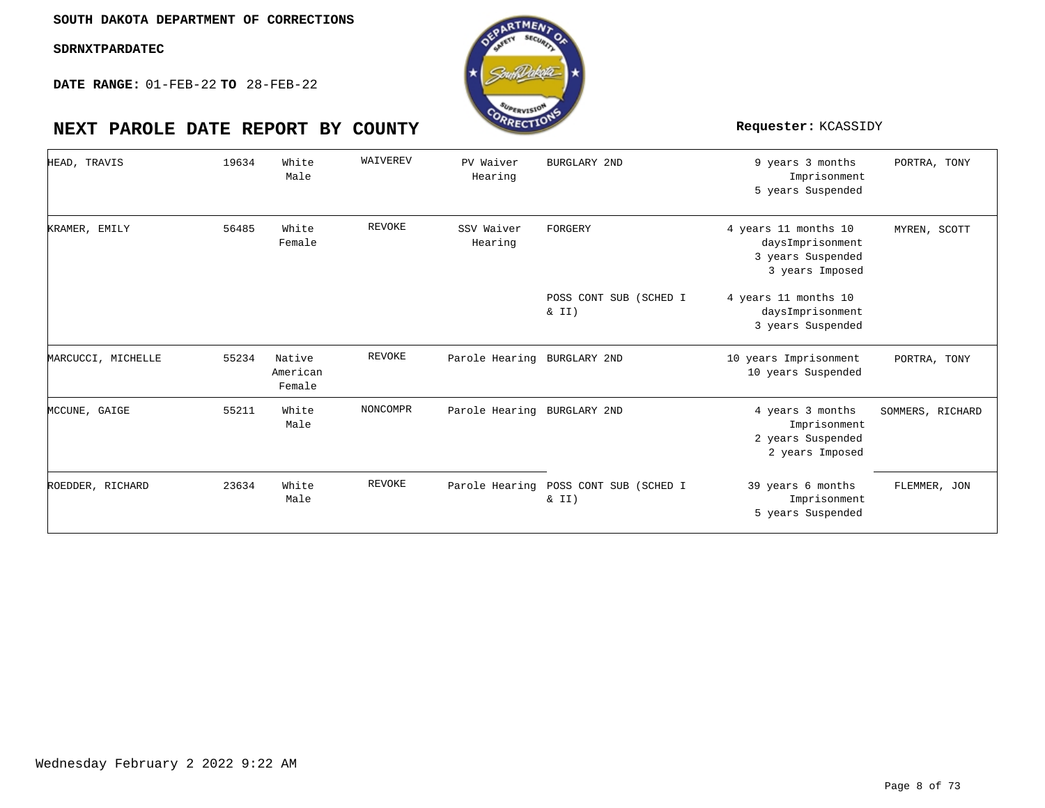**DATE RANGE:** 01-FEB-22 **TO** 28-FEB-22

## **NEXT PAROLE DATE REPORT BY COUNTY Requester:** KCASSIDY

| HEAD, TRAVIS       | 19634 | White<br>Male                | WAIVEREV      | PV Waiver<br>Hearing        | BURGLARY 2ND                    | 9 years 3 months<br>Imprisonment<br>5 years Suspended                            | PORTRA, TONY     |
|--------------------|-------|------------------------------|---------------|-----------------------------|---------------------------------|----------------------------------------------------------------------------------|------------------|
| KRAMER, EMILY      | 56485 | White<br>Female              | <b>REVOKE</b> | SSV Waiver<br>Hearing       | FORGERY                         | 4 years 11 months 10<br>daysImprisonment<br>3 years Suspended<br>3 years Imposed | MYREN, SCOTT     |
|                    |       |                              |               |                             | POSS CONT SUB (SCHED I<br>& II) | 4 years 11 months 10<br>daysImprisonment<br>3 years Suspended                    |                  |
| MARCUCCI, MICHELLE | 55234 | Native<br>American<br>Female | REVOKE        | Parole Hearing BURGLARY 2ND |                                 | 10 years Imprisonment<br>10 years Suspended                                      | PORTRA, TONY     |
| MCCUNE, GAIGE      | 55211 | White<br>Male                | NONCOMPR      | Parole Hearing BURGLARY 2ND |                                 | 4 years 3 months<br>Imprisonment<br>2 years Suspended<br>2 years Imposed         | SOMMERS, RICHARD |
| ROEDDER, RICHARD   | 23634 | White<br>Male                | <b>REVOKE</b> | Parole Hearing              | POSS CONT SUB (SCHED I<br>& II) | 39 years 6 months<br>Imprisonment<br>5 years Suspended                           | FLEMMER, JON     |

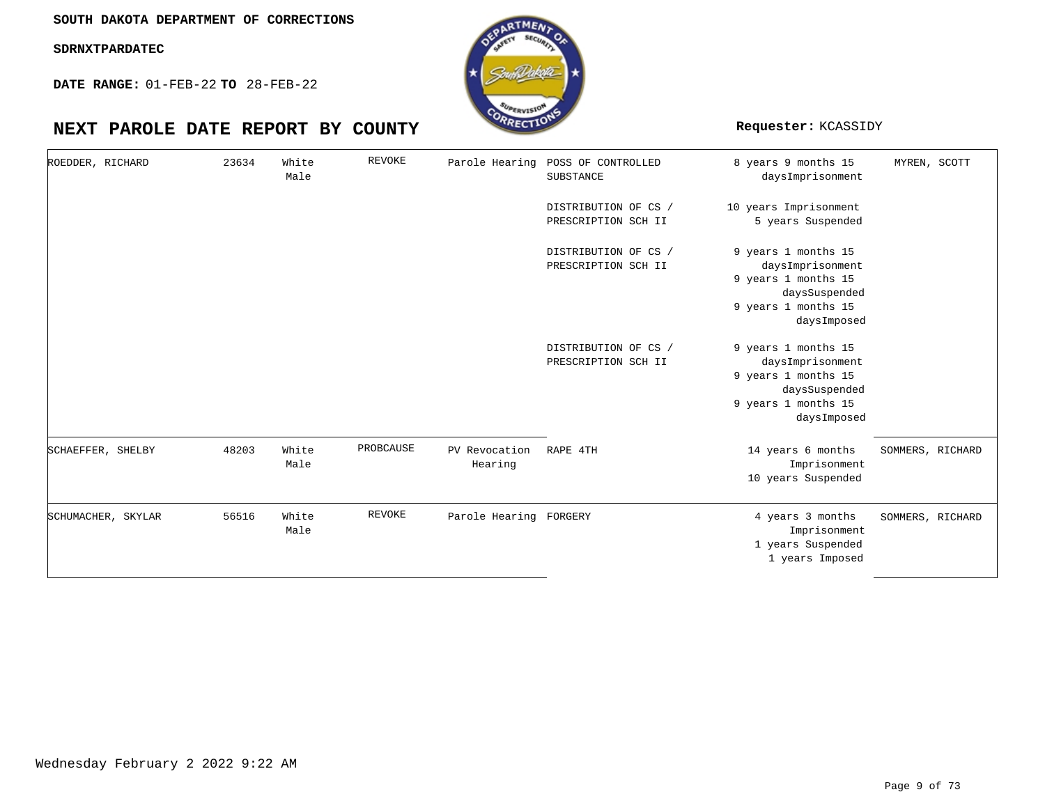**DATE RANGE:** 01-FEB-22 **TO** 28-FEB-22

## **NEXT PAROLE DATE REPORT BY COUNTY Requester:** KCASSIDY

| ROEDDER, RICHARD |                    | 23634 | White<br>Male | <b>REVOKE</b> |                          | Parole Hearing POSS OF CONTROLLED<br>SUBSTANCE | 8 years 9 months 15<br>daysImprisonment                                                                               | MYREN, SCOTT     |
|------------------|--------------------|-------|---------------|---------------|--------------------------|------------------------------------------------|-----------------------------------------------------------------------------------------------------------------------|------------------|
|                  |                    |       |               |               |                          | DISTRIBUTION OF CS /<br>PRESCRIPTION SCH II    | 10 years Imprisonment<br>5 years Suspended                                                                            |                  |
|                  |                    |       |               |               |                          | DISTRIBUTION OF CS /<br>PRESCRIPTION SCH II    | 9 years 1 months 15<br>daysImprisonment<br>9 years 1 months 15<br>daysSuspended<br>9 years 1 months 15<br>daysImposed |                  |
|                  |                    |       |               |               |                          | DISTRIBUTION OF CS /<br>PRESCRIPTION SCH II    | 9 years 1 months 15<br>daysImprisonment<br>9 years 1 months 15<br>daysSuspended<br>9 years 1 months 15<br>daysImposed |                  |
|                  | SCHAEFFER, SHELBY  | 48203 | White<br>Male | PROBCAUSE     | PV Revocation<br>Hearing | RAPE 4TH                                       | 14 years 6 months<br>Imprisonment<br>10 years Suspended                                                               | SOMMERS, RICHARD |
|                  | SCHUMACHER, SKYLAR | 56516 | White<br>Male | <b>REVOKE</b> | Parole Hearing FORGERY   |                                                | 4 years 3 months<br>Imprisonment<br>1 years Suspended<br>1 years Imposed                                              | SOMMERS, RICHARD |

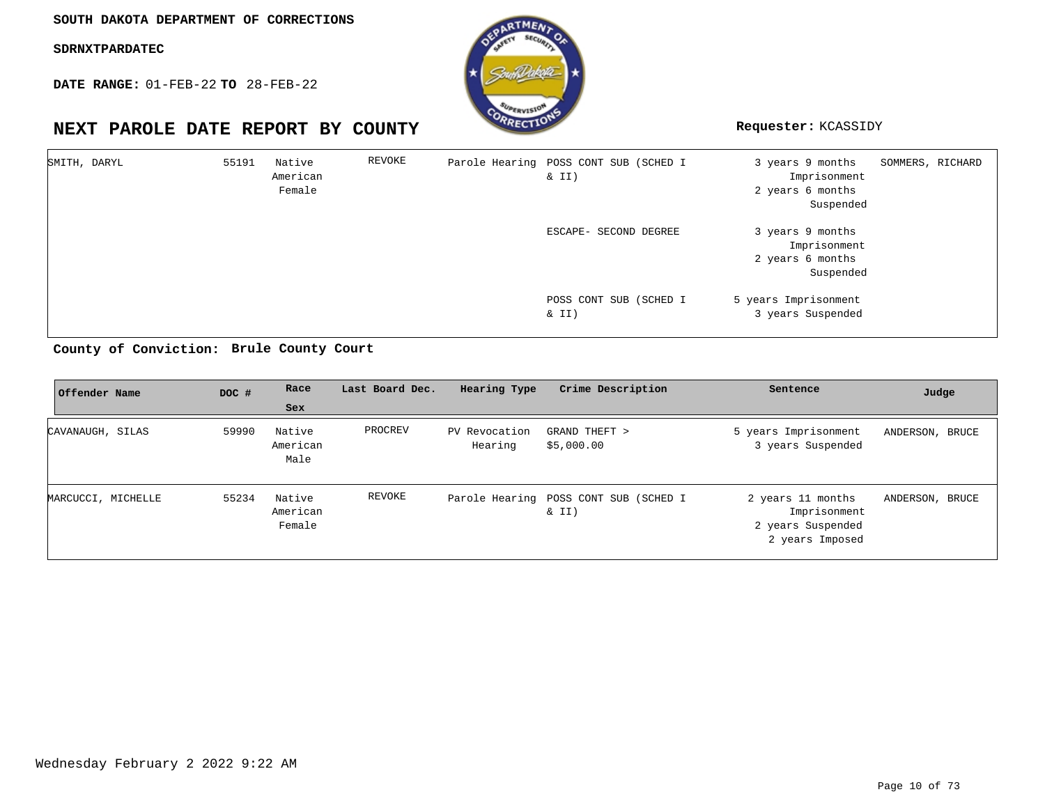**DATE RANGE:** 01-FEB-22 **TO** 28-FEB-22

## **NEXT PAROLE DATE REPORT BY COUNTY Requester:** KCASSIDY



| SMITH, DARYL | 55191 | Native<br>American<br>Female | REVOKE | Parole Hearing POSS CONT SUB (SCHED I<br>$\&$ II) | 3 years 9 months<br>Imprisonment<br>2 years 6 months<br>Suspended | SOMMERS, RICHARD |
|--------------|-------|------------------------------|--------|---------------------------------------------------|-------------------------------------------------------------------|------------------|
|              |       |                              |        | ESCAPE- SECOND DEGREE                             | 3 years 9 months<br>Imprisonment<br>2 years 6 months<br>Suspended |                  |
|              |       |                              |        | POSS CONT SUB (SCHED I<br>$\&$ II)                | 5 years Imprisonment<br>3 years Suspended                         |                  |

**Brule County Court County of Conviction:**

| Offender Name      | DOC # | Race                         | Last Board Dec. | Hearing Type             | Crime Description                              | Sentence                                                                  | Judge           |
|--------------------|-------|------------------------------|-----------------|--------------------------|------------------------------------------------|---------------------------------------------------------------------------|-----------------|
|                    |       | Sex                          |                 |                          |                                                |                                                                           |                 |
| CAVANAUGH, SILAS   | 59990 | Native<br>American<br>Male   | PROCREV         | PV Revocation<br>Hearing | GRAND THEFT ><br>\$5,000.00                    | 5 years Imprisonment<br>3 years Suspended                                 | ANDERSON, BRUCE |
| MARCUCCI, MICHELLE | 55234 | Native<br>American<br>Female | REVOKE          |                          | Parole Hearing POSS CONT SUB (SCHED I<br>& II) | 2 years 11 months<br>Imprisonment<br>2 years Suspended<br>2 years Imposed | ANDERSON, BRUCE |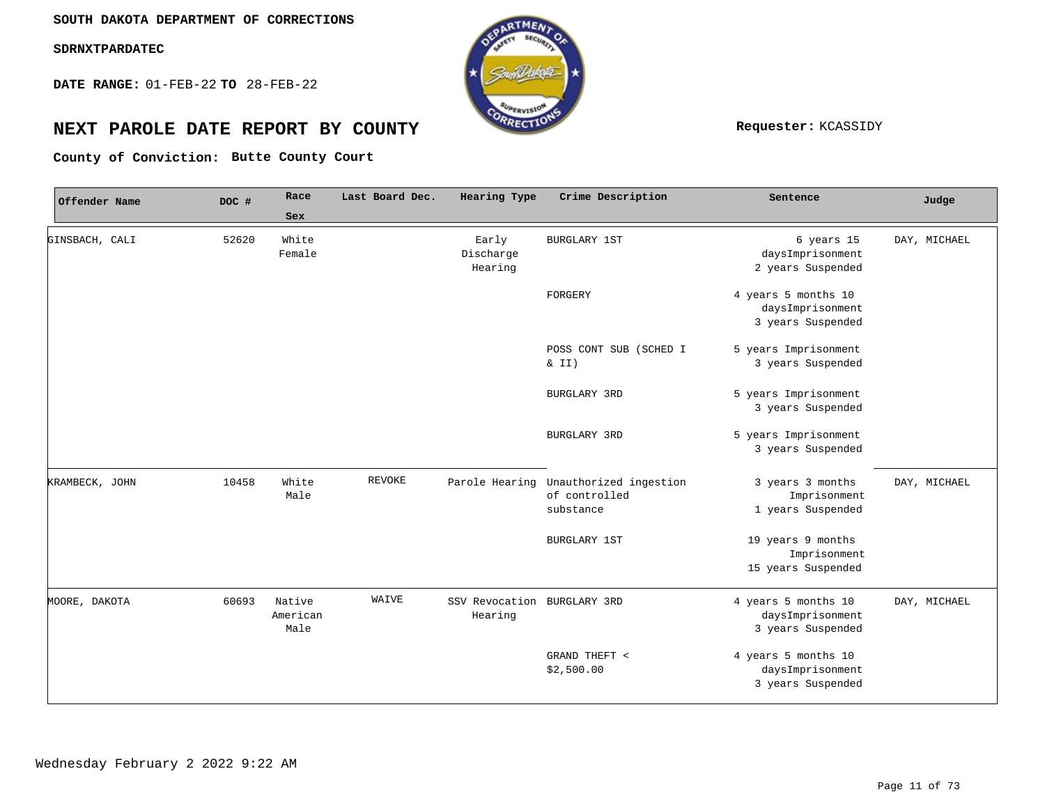**DATE RANGE:** 01-FEB-22 **TO** 28-FEB-22



# **NEXT PAROLE DATE REPORT BY COUNTY REPORT BY ALL PROPERTY REQUESTER:** KCASSIDY

**Butte County Court County of Conviction:**

| Offender Name  | DOC # | Race                       | Last Board Dec. | Hearing Type                           | Crime Description                                                   | Sentence                                                     | Judge        |
|----------------|-------|----------------------------|-----------------|----------------------------------------|---------------------------------------------------------------------|--------------------------------------------------------------|--------------|
|                |       | Sex                        |                 |                                        |                                                                     |                                                              |              |
| GINSBACH, CALI | 52620 | White<br>Female            |                 | Early<br>Discharge<br>Hearing          | <b>BURGLARY 1ST</b>                                                 | 6 years 15<br>daysImprisonment<br>2 years Suspended          | DAY, MICHAEL |
|                |       |                            |                 |                                        | FORGERY                                                             | 4 years 5 months 10<br>daysImprisonment<br>3 years Suspended |              |
|                |       |                            |                 |                                        | POSS CONT SUB (SCHED I<br>$\& II)$                                  | 5 years Imprisonment<br>3 years Suspended                    |              |
|                |       |                            |                 |                                        | BURGLARY 3RD                                                        | 5 years Imprisonment<br>3 years Suspended                    |              |
|                |       |                            |                 |                                        | BURGLARY 3RD                                                        | 5 years Imprisonment<br>3 years Suspended                    |              |
| KRAMBECK, JOHN | 10458 | White<br>Male              | <b>REVOKE</b>   |                                        | Parole Hearing Unauthorized ingestion<br>of controlled<br>substance | 3 years 3 months<br>Imprisonment<br>1 years Suspended        | DAY, MICHAEL |
|                |       |                            |                 |                                        | <b>BURGLARY 1ST</b>                                                 | 19 years 9 months<br>Imprisonment<br>15 years Suspended      |              |
| MOORE, DAKOTA  | 60693 | Native<br>American<br>Male | WAIVE           | SSV Revocation BURGLARY 3RD<br>Hearing |                                                                     | 4 years 5 months 10<br>daysImprisonment<br>3 years Suspended | DAY, MICHAEL |
|                |       |                            |                 |                                        | GRAND THEFT <<br>\$2,500.00                                         | 4 years 5 months 10<br>daysImprisonment<br>3 years Suspended |              |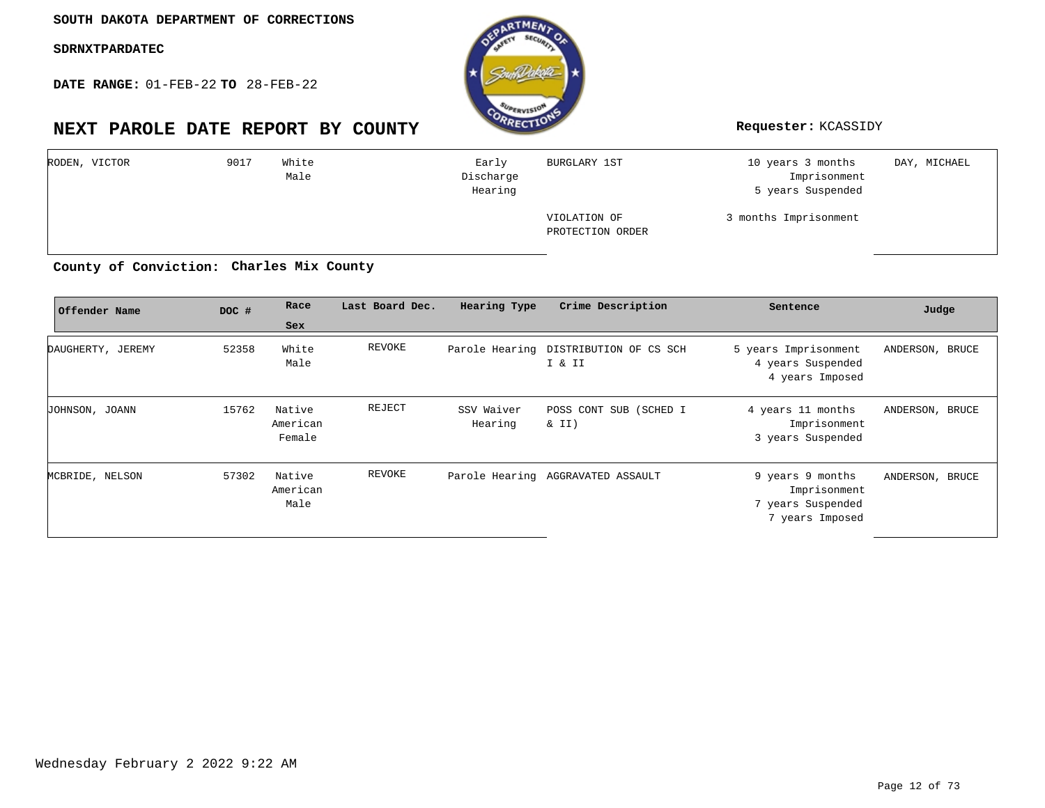**DATE RANGE:** 01-FEB-22 **TO** 28-FEB-22

## **NEXT PAROLE DATE REPORT BY COUNTY Requester:** KCASSIDY



| RODEN, VICTOR | 9017 | White<br>Male | Early<br>Discharge<br>Hearing | BURGLARY 1ST                     | 10 years 3 months<br>Imprisonment<br>5 years Suspended | DAY, MICHAEL |
|---------------|------|---------------|-------------------------------|----------------------------------|--------------------------------------------------------|--------------|
|               |      |               |                               | VIOLATION OF<br>PROTECTION ORDER | 3 months Imprisonment                                  |              |

## County of Conviction: Charles Mix County

| Offender Name     | DOC # | Race<br>Sex                  | Last Board Dec. | Hearing Type          | Crime Description                               | Sentence                                                                 | Judge           |
|-------------------|-------|------------------------------|-----------------|-----------------------|-------------------------------------------------|--------------------------------------------------------------------------|-----------------|
| DAUGHERTY, JEREMY | 52358 | White<br>Male                | REVOKE          |                       | Parole Hearing DISTRIBUTION OF CS SCH<br>I & II | 5 years Imprisonment<br>4 years Suspended<br>4 years Imposed             | ANDERSON, BRUCE |
| JOHNSON, JOANN    | 15762 | Native<br>American<br>Female | REJECT          | SSV Waiver<br>Hearing | POSS CONT SUB (SCHED I<br>$\&$ II)              | 4 years 11 months<br>Imprisonment<br>3 years Suspended                   | ANDERSON, BRUCE |
| MCBRIDE, NELSON   | 57302 | Native<br>American<br>Male   | REVOKE          |                       | Parole Hearing AGGRAVATED ASSAULT               | 9 years 9 months<br>Imprisonment<br>7 years Suspended<br>7 years Imposed | ANDERSON, BRUCE |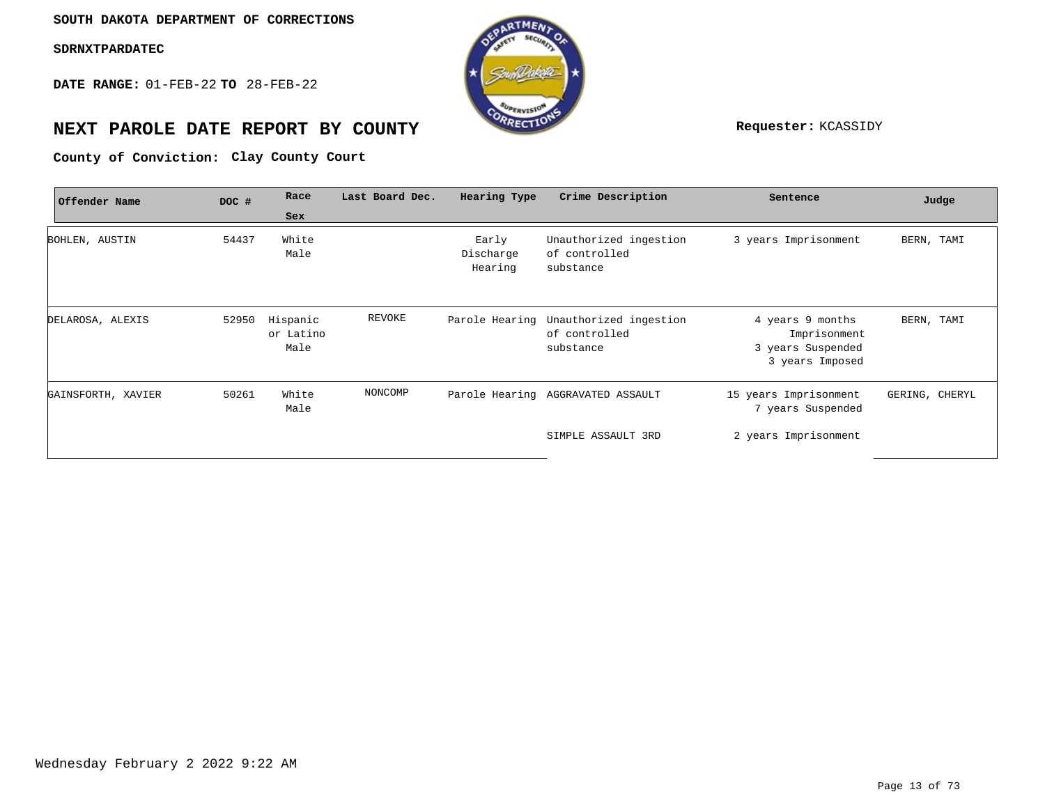**DATE RANGE:** 01-FEB-22 **TO** 28-FEB-22



## **NEXT PAROLE DATE REPORT BY COUNTY Requester:** KCASSIDY

County of Conviction: Clay County Court

| Offender Name      | DOC # | Race                          | Last Board Dec. | Hearing Type                  | Crime Description                                                   | Sentence                                                                 | Judge          |
|--------------------|-------|-------------------------------|-----------------|-------------------------------|---------------------------------------------------------------------|--------------------------------------------------------------------------|----------------|
|                    |       | Sex                           |                 |                               |                                                                     |                                                                          |                |
| BOHLEN, AUSTIN     | 54437 | White<br>Male                 |                 | Early<br>Discharge<br>Hearing | Unauthorized ingestion<br>of controlled<br>substance                | 3 years Imprisonment                                                     | BERN, TAMI     |
| DELAROSA, ALEXIS   | 52950 | Hispanic<br>or Latino<br>Male | REVOKE          |                               | Parole Hearing Unauthorized ingestion<br>of controlled<br>substance | 4 years 9 months<br>Imprisonment<br>3 years Suspended<br>3 years Imposed | BERN, TAMI     |
| GAINSFORTH, XAVIER | 50261 | White<br>Male                 | NONCOMP         |                               | Parole Hearing AGGRAVATED ASSAULT                                   | 15 years Imprisonment<br>7 years Suspended                               | GERING, CHERYL |
|                    |       |                               |                 |                               | SIMPLE ASSAULT 3RD                                                  | 2 years Imprisonment                                                     |                |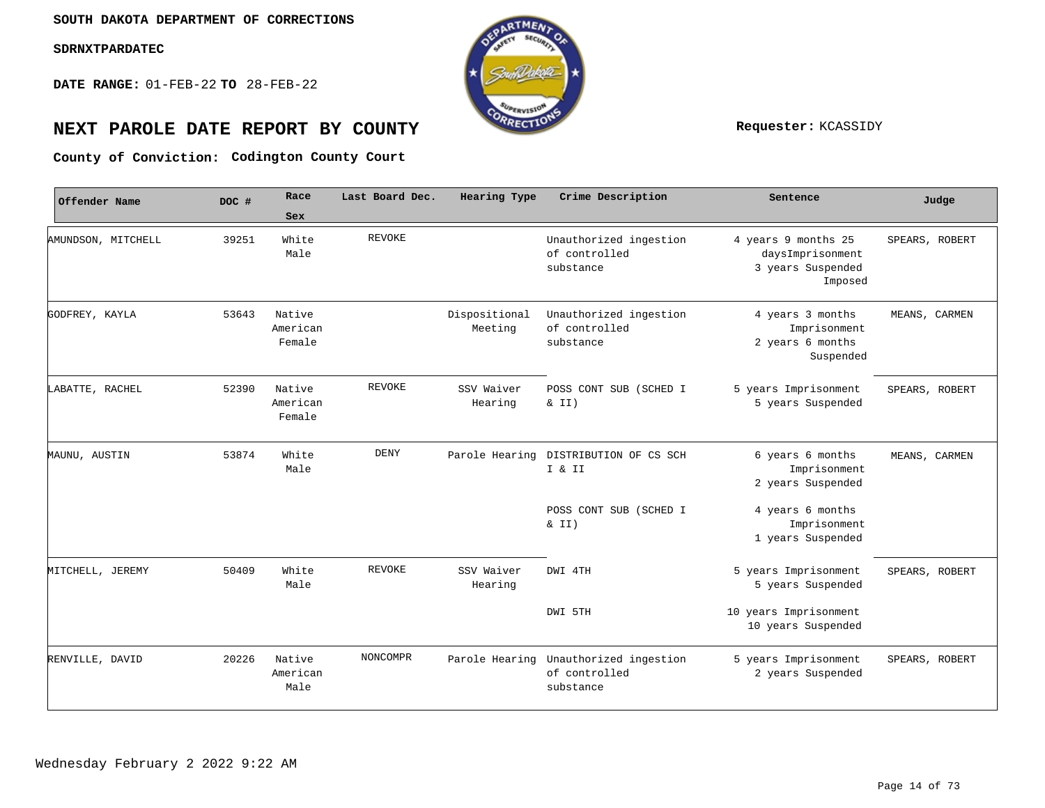**DATE RANGE:** 01-FEB-22 **TO** 28-FEB-22



# **NEXT PAROLE DATE REPORT BY COUNTY REPORT BY ALL PROPERTY REQUESTER:** KCASSIDY

**Codington County Court County of Conviction:**

| Offender Name      | DOC # | Race                         | Last Board Dec. | Hearing Type             | Crime Description                                                   | Sentence                                                                | Judge          |
|--------------------|-------|------------------------------|-----------------|--------------------------|---------------------------------------------------------------------|-------------------------------------------------------------------------|----------------|
|                    |       | Sex                          |                 |                          |                                                                     |                                                                         |                |
| AMUNDSON, MITCHELL | 39251 | White<br>Male                | REVOKE          |                          | Unauthorized ingestion<br>of controlled<br>substance                | 4 years 9 months 25<br>daysImprisonment<br>3 years Suspended<br>Imposed | SPEARS, ROBERT |
| GODFREY, KAYLA     | 53643 | Native<br>American<br>Female |                 | Dispositional<br>Meeting | Unauthorized ingestion<br>of controlled<br>substance                | 4 years 3 months<br>Imprisonment<br>2 years 6 months<br>Suspended       | MEANS, CARMEN  |
| LABATTE, RACHEL    | 52390 | Native<br>American<br>Female | <b>REVOKE</b>   | SSV Waiver<br>Hearing    | POSS CONT SUB (SCHED I<br>$\&$ II)                                  | 5 years Imprisonment<br>5 years Suspended                               | SPEARS, ROBERT |
| MAUNU, AUSTIN      | 53874 | White<br>Male                | DENY            |                          | Parole Hearing DISTRIBUTION OF CS SCH<br>I & II                     | 6 years 6 months<br>Imprisonment<br>2 years Suspended                   | MEANS, CARMEN  |
|                    |       |                              |                 |                          | POSS CONT SUB (SCHED I<br>$\&$ II)                                  | 4 years 6 months<br>Imprisonment<br>1 years Suspended                   |                |
| MITCHELL, JEREMY   | 50409 | White<br>Male                | REVOKE          | SSV Waiver<br>Hearing    | DWI 4TH                                                             | 5 years Imprisonment<br>5 years Suspended                               | SPEARS, ROBERT |
|                    |       |                              |                 |                          | DWI 5TH                                                             | 10 years Imprisonment<br>10 years Suspended                             |                |
| RENVILLE, DAVID    | 20226 | Native<br>American<br>Male   | NONCOMPR        |                          | Parole Hearing Unauthorized ingestion<br>of controlled<br>substance | 5 years Imprisonment<br>2 years Suspended                               | SPEARS, ROBERT |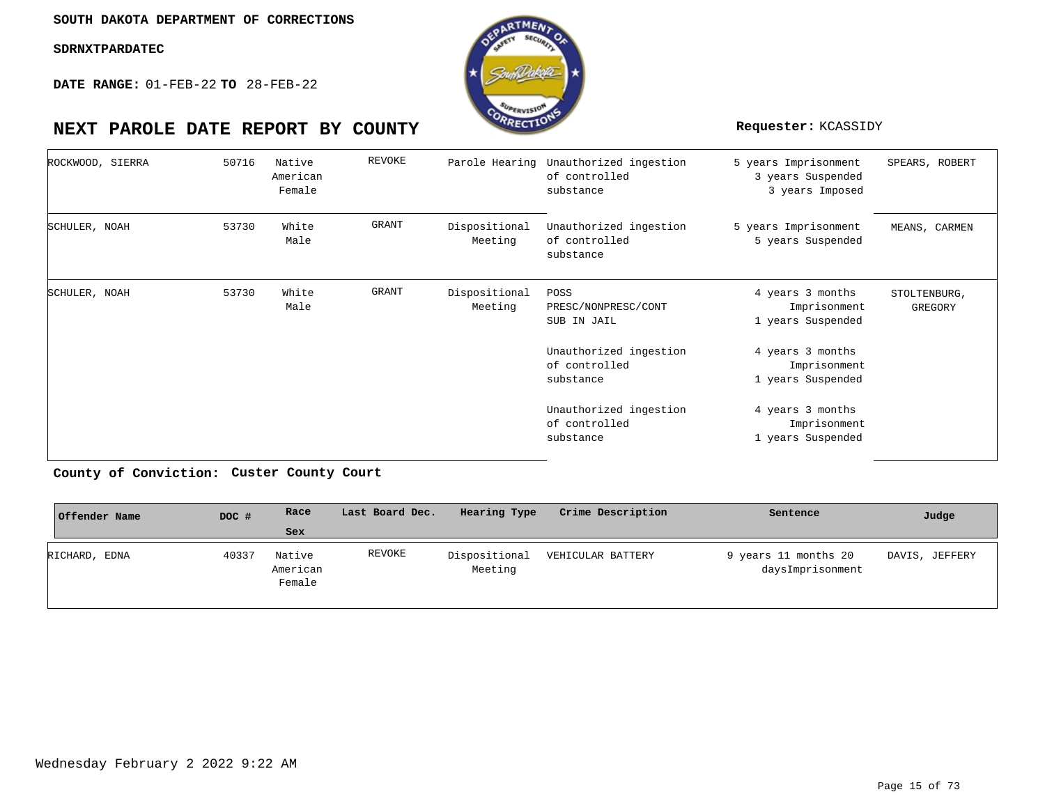**DATE RANGE:** 01-FEB-22 **TO** 28-FEB-22



#### 5 years Imprisonment 3 years Suspended 3 years Imposed 5 years Imprisonment 5 years Suspended 4 years 3 months Imprisonment 1 years Suspended 4 years 3 months Imprisonment 1 years Suspended 4 years 3 months Imprisonment 1 years Suspended Parole Hearing Unauthorized ingestion of controlled substance Unauthorized ingestion of controlled substance Dispositional POSS PRESC/NONPRESC/CONT SUB IN JAIL Unauthorized ingestion of controlled substance Unauthorized ingestion of controlled substance Native American White White Female Male Male 50716 53730 53730 ROCKWOOD, SIERRA SCHULER, NOAH SCHULER, NOAH REVOKE GRANT GRANT Dispositional Meeting Meeting SPEARS, ROBERT MEANS, CARMEN STOLTENBURG, GREGORY

**Custer County Court County of Conviction:**

| Offender Name | DOC # | Race                         | Last Board Dec. | Hearing Type             | Crime Description | Sentence                                 | Judge          |
|---------------|-------|------------------------------|-----------------|--------------------------|-------------------|------------------------------------------|----------------|
|               |       | <b>Sex</b>                   |                 |                          |                   |                                          |                |
| RICHARD, EDNA | 40337 | Native<br>American<br>Female | REVOKE          | Dispositional<br>Meeting | VEHICULAR BATTERY | 9 years 11 months 20<br>daysImprisonment | DAVIS, JEFFERY |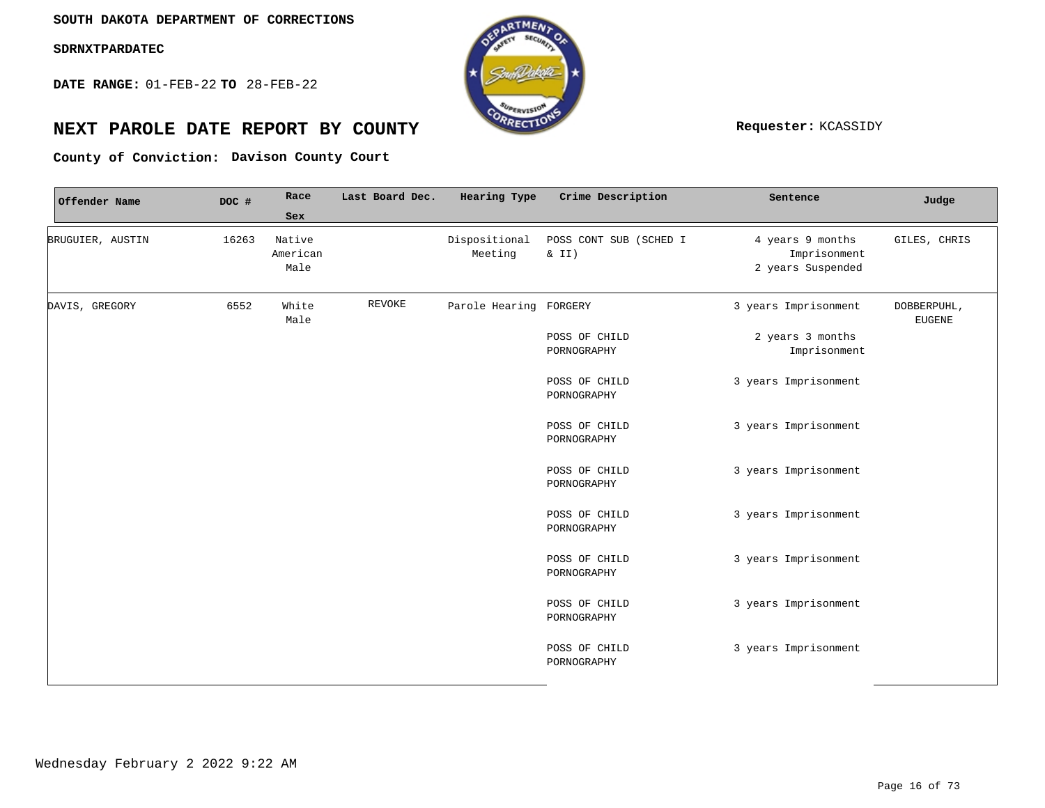**DATE RANGE:** 01-FEB-22 **TO** 28-FEB-22



## **NEXT PAROLE DATE REPORT BY COUNTY Requester:** KCASSIDY

**Davison County Court County of Conviction:**

| Offender Name    | DOC # | Race<br>Sex                | Last Board Dec. | Hearing Type             | Crime Description                 | Sentence                                              | Judge                        |
|------------------|-------|----------------------------|-----------------|--------------------------|-----------------------------------|-------------------------------------------------------|------------------------------|
| BRUGUIER, AUSTIN | 16263 | Native<br>American<br>Male |                 | Dispositional<br>Meeting | POSS CONT SUB (SCHED I<br>& $II)$ | 4 years 9 months<br>Imprisonment<br>2 years Suspended | GILES, CHRIS                 |
| DAVIS, GREGORY   | 6552  | White<br>Male              | REVOKE          | Parole Hearing FORGERY   |                                   | 3 years Imprisonment                                  | DOBBERPUHL,<br><b>EUGENE</b> |
|                  |       |                            |                 |                          | POSS OF CHILD<br>PORNOGRAPHY      | 2 years 3 months<br>Imprisonment                      |                              |
|                  |       |                            |                 |                          | POSS OF CHILD<br>PORNOGRAPHY      | 3 years Imprisonment                                  |                              |
|                  |       |                            |                 |                          | POSS OF CHILD<br>PORNOGRAPHY      | 3 years Imprisonment                                  |                              |
|                  |       |                            |                 |                          | POSS OF CHILD<br>PORNOGRAPHY      | 3 years Imprisonment                                  |                              |
|                  |       |                            |                 |                          | POSS OF CHILD<br>PORNOGRAPHY      | 3 years Imprisonment                                  |                              |
|                  |       |                            |                 |                          | POSS OF CHILD<br>PORNOGRAPHY      | 3 years Imprisonment                                  |                              |
|                  |       |                            |                 |                          | POSS OF CHILD<br>PORNOGRAPHY      | 3 years Imprisonment                                  |                              |
|                  |       |                            |                 |                          | POSS OF CHILD<br>PORNOGRAPHY      | 3 years Imprisonment                                  |                              |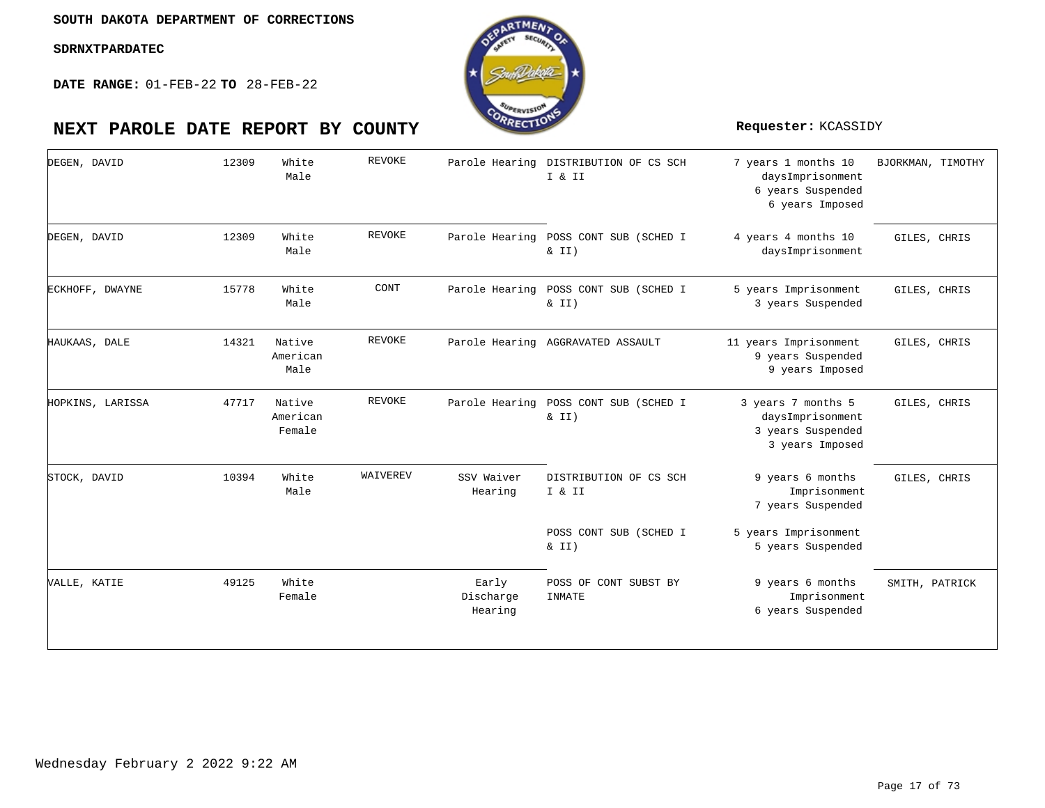**DATE RANGE:** 01-FEB-22 **TO** 28-FEB-22



| DEGEN, DAVID     | 12309 | White<br>Male                | <b>REVOKE</b> | Parole Hearing                | DISTRIBUTION OF CS SCH<br>I & II  | 7 years 1 months 10<br>daysImprisonment<br>6 years Suspended<br>6 years Imposed | BJORKMAN, TIMOTHY |
|------------------|-------|------------------------------|---------------|-------------------------------|-----------------------------------|---------------------------------------------------------------------------------|-------------------|
| DEGEN, DAVID     | 12309 | White<br>Male                | <b>REVOKE</b> | Parole Hearing                | POSS CONT SUB (SCHED I<br>& II)   | 4 years 4 months 10<br>daysImprisonment                                         | GILES, CHRIS      |
| ECKHOFF, DWAYNE  | 15778 | White<br>Male                | CONT          | Parole Hearing                | POSS CONT SUB (SCHED I<br>& II)   | 5 years Imprisonment<br>3 years Suspended                                       | GILES, CHRIS      |
| HAUKAAS, DALE    | 14321 | Native<br>American<br>Male   | <b>REVOKE</b> |                               | Parole Hearing AGGRAVATED ASSAULT | 11 years Imprisonment<br>9 years Suspended<br>9 years Imposed                   | GILES, CHRIS      |
| HOPKINS, LARISSA | 47717 | Native<br>American<br>Female | <b>REVOKE</b> | Parole Hearing                | POSS CONT SUB (SCHED I<br>& II)   | 3 years 7 months 5<br>daysImprisonment<br>3 years Suspended<br>3 years Imposed  | GILES, CHRIS      |
| STOCK, DAVID     | 10394 | White<br>Male                | WAIVEREV      | SSV Waiver<br>Hearing         | DISTRIBUTION OF CS SCH<br>I & II  | 9 years 6 months<br>Imprisonment<br>7 years Suspended                           | GILES, CHRIS      |
|                  |       |                              |               |                               | POSS CONT SUB (SCHED I<br>& II)   | 5 years Imprisonment<br>5 years Suspended                                       |                   |
| VALLE, KATIE     | 49125 | White<br>Female              |               | Early<br>Discharge<br>Hearing | POSS OF CONT SUBST BY<br>INMATE   | 9 years 6 months<br>Imprisonment<br>6 years Suspended                           | SMITH, PATRICK    |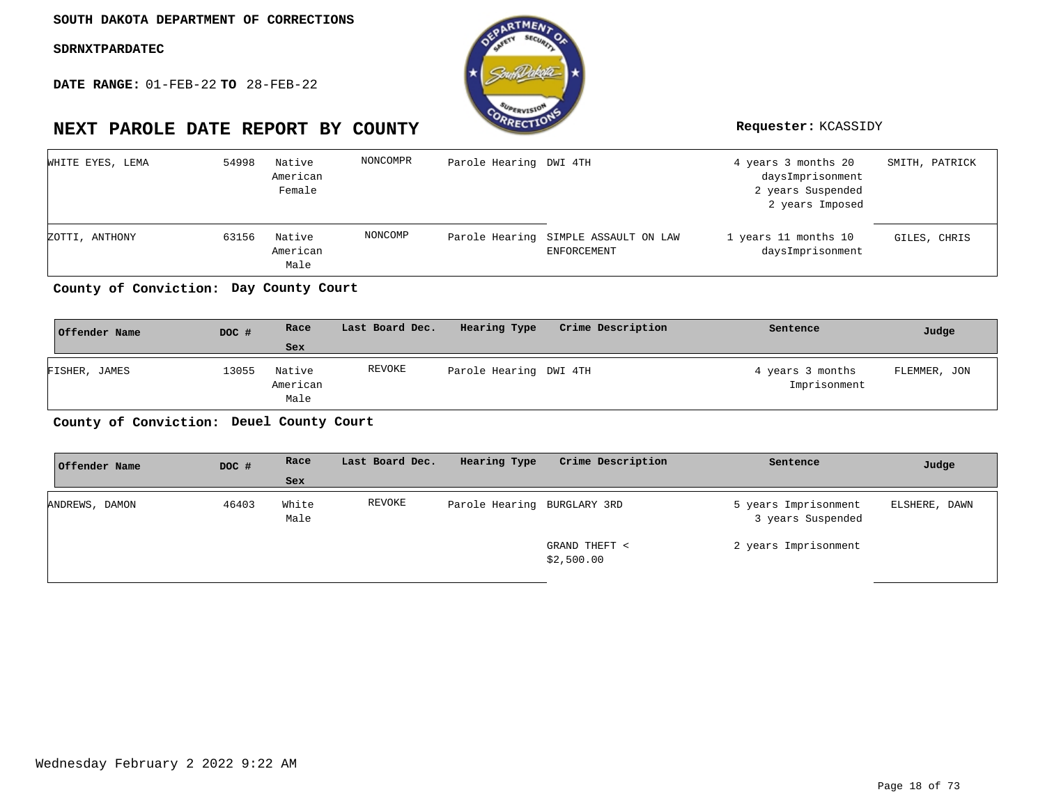**DATE RANGE:** 01-FEB-22 **TO** 28-FEB-22



| WHITE EYES, LEMA | 54998 | Native<br>American<br>Female | NONCOMPR | Parole Hearing DWI 4TH |                                                            | 4 years 3 months 20<br>daysImprisonment<br>2 years Suspended<br>2 years Imposed | SMITH, PATRICK |
|------------------|-------|------------------------------|----------|------------------------|------------------------------------------------------------|---------------------------------------------------------------------------------|----------------|
| ZOTTI, ANTHONY   | 63156 | Native<br>American<br>Male   | NONCOMP  |                        | Parole Hearing SIMPLE ASSAULT ON LAW<br><b>ENFORCEMENT</b> | 1 years 11 months 10<br>daysImprisonment                                        | GILES, CHRIS   |

**Day County Court County of Conviction:**

| Offender Name | DOC # | Race                       | Last Board Dec. | Hearing Type           | Crime Description | Sentence                         | Judge        |
|---------------|-------|----------------------------|-----------------|------------------------|-------------------|----------------------------------|--------------|
|               |       | Sex                        |                 |                        |                   |                                  |              |
| FISHER, JAMES | 13055 | Native<br>American<br>Male | REVOKE          | Parole Hearing DWI 4TH |                   | 4 years 3 months<br>Imprisonment | FLEMMER, JON |

**Deuel County Court County of Conviction:**

| Offender Name  | DOC # | Race          | Last Board Dec. | Hearing Type                | Crime Description           | Sentence                                  | Judge         |
|----------------|-------|---------------|-----------------|-----------------------------|-----------------------------|-------------------------------------------|---------------|
|                |       | Sex           |                 |                             |                             |                                           |               |
| ANDREWS, DAMON | 46403 | White<br>Male | REVOKE          | Parole Hearing BURGLARY 3RD |                             | 5 years Imprisonment<br>3 years Suspended | ELSHERE, DAWN |
|                |       |               |                 |                             | GRAND THEFT <<br>\$2,500.00 | 2 years Imprisonment                      |               |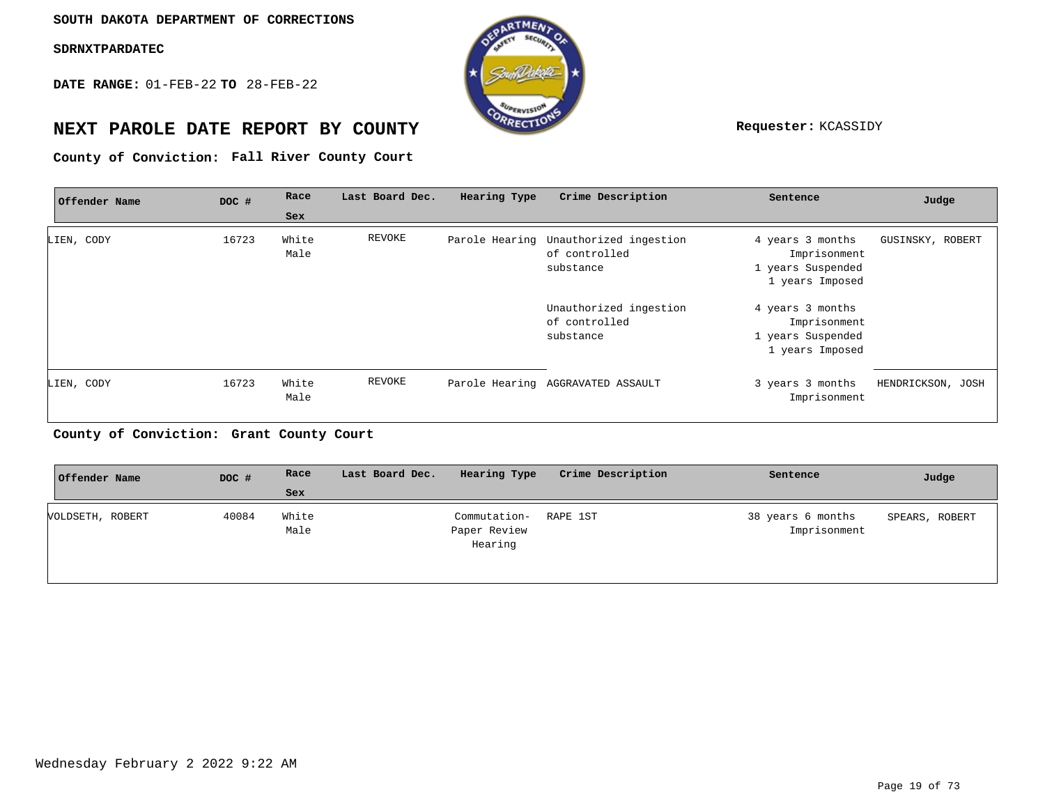**DATE RANGE:** 01-FEB-22 **TO** 28-FEB-22



## **NEXT PAROLE DATE REPORT BY COUNTY Requester:** KCASSIDY

**Fall River County Court County of Conviction:**

| Offender Name | DOC # | Race          | Last Board Dec. | Hearing Type | Crime Description                                                   | Sentence                                                                 | Judge             |
|---------------|-------|---------------|-----------------|--------------|---------------------------------------------------------------------|--------------------------------------------------------------------------|-------------------|
|               |       | Sex           |                 |              |                                                                     |                                                                          |                   |
| LIEN, CODY    | 16723 | White<br>Male | REVOKE          |              | Parole Hearing Unauthorized ingestion<br>of controlled<br>substance | 4 years 3 months<br>Imprisonment<br>1 years Suspended<br>1 years Imposed | GUSINSKY, ROBERT  |
|               |       |               |                 |              | Unauthorized ingestion<br>of controlled<br>substance                | 4 years 3 months<br>Imprisonment<br>1 years Suspended<br>1 years Imposed |                   |
| LIEN, CODY    | 16723 | White<br>Male | <b>REVOKE</b>   |              | Parole Hearing AGGRAVATED ASSAULT                                   | 3 years 3 months<br>Imprisonment                                         | HENDRICKSON, JOSH |

## **Grant County Court County of Conviction:**

| Offender Name    | DOC # | Race          | Last Board Dec. | Hearing Type                            | Crime Description | Sentence                          | Judge          |
|------------------|-------|---------------|-----------------|-----------------------------------------|-------------------|-----------------------------------|----------------|
|                  |       | Sex           |                 |                                         |                   |                                   |                |
| VOLDSETH, ROBERT | 40084 | White<br>Male |                 | Commutation-<br>Paper Review<br>Hearing | RAPE 1ST          | 38 years 6 months<br>Imprisonment | SPEARS, ROBERT |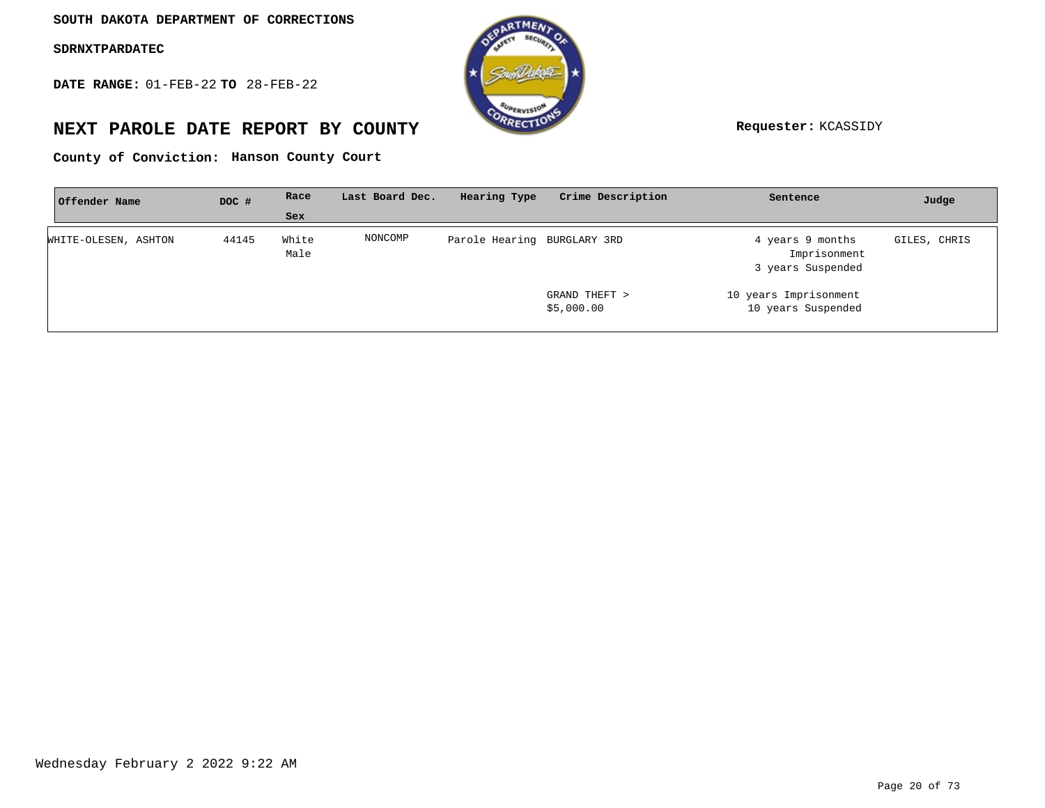**DATE RANGE:** 01-FEB-22 **TO** 28-FEB-22



## **NEXT PAROLE DATE REPORT BY COUNTY Requester:** KCASSIDY

**Hanson County Court County of Conviction:**

| Offender Name        | DOC # | Race          | Last Board Dec. | Hearing Type                | Crime Description           | Sentence                                              | Judge        |
|----------------------|-------|---------------|-----------------|-----------------------------|-----------------------------|-------------------------------------------------------|--------------|
|                      |       | Sex           |                 |                             |                             |                                                       |              |
| WHITE-OLESEN, ASHTON | 44145 | White<br>Male | NONCOMP         | Parole Hearing BURGLARY 3RD |                             | 4 years 9 months<br>Imprisonment<br>3 years Suspended | GILES, CHRIS |
|                      |       |               |                 |                             | GRAND THEFT ><br>\$5,000.00 | 10 years Imprisonment<br>10 years Suspended           |              |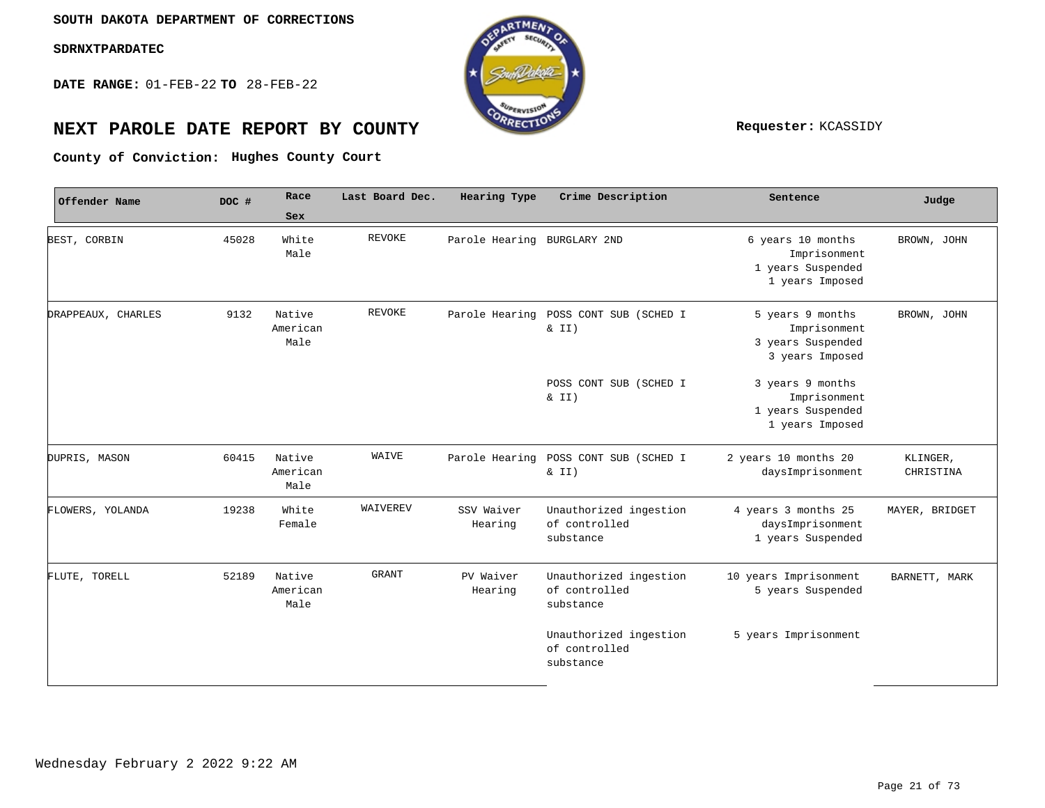**DATE RANGE:** 01-FEB-22 **TO** 28-FEB-22



## **NEXT PAROLE DATE REPORT BY COUNTY REPORT BY ALL PROPERTY REQUESTER:** KCASSIDY

**Hughes County Court County of Conviction:**

| Offender Name      | DOC # | Race                       | Last Board Dec. | <b>Hearing Type</b>         | Crime Description                                    | Sentence                                                                  | Judge                 |
|--------------------|-------|----------------------------|-----------------|-----------------------------|------------------------------------------------------|---------------------------------------------------------------------------|-----------------------|
|                    |       | Sex                        |                 |                             |                                                      |                                                                           |                       |
| BEST, CORBIN       | 45028 | White<br>Male              | <b>REVOKE</b>   | Parole Hearing BURGLARY 2ND |                                                      | 6 years 10 months<br>Imprisonment<br>1 years Suspended<br>1 years Imposed | BROWN, JOHN           |
| DRAPPEAUX, CHARLES | 9132  | Native<br>American<br>Male | <b>REVOKE</b>   | Parole Hearing              | POSS CONT SUB (SCHED I<br>& II)                      | 5 years 9 months<br>Imprisonment<br>3 years Suspended<br>3 years Imposed  | BROWN, JOHN           |
|                    |       |                            |                 |                             | POSS CONT SUB (SCHED I<br>$\& II)$                   | 3 years 9 months<br>Imprisonment<br>1 years Suspended<br>1 years Imposed  |                       |
| DUPRIS, MASON      | 60415 | Native<br>American<br>Male | WAIVE           |                             | Parole Hearing POSS CONT SUB (SCHED I<br>& II)       | 2 years 10 months 20<br>daysImprisonment                                  | KLINGER,<br>CHRISTINA |
| FLOWERS, YOLANDA   | 19238 | White<br>Female            | WAIVEREV        | SSV Waiver<br>Hearing       | Unauthorized ingestion<br>of controlled<br>substance | 4 years 3 months 25<br>daysImprisonment<br>1 years Suspended              | MAYER, BRIDGET        |
| FLUTE, TORELL      | 52189 | Native<br>American<br>Male | <b>GRANT</b>    | PV Waiver<br>Hearing        | Unauthorized ingestion<br>of controlled<br>substance | 10 years Imprisonment<br>5 years Suspended                                | BARNETT, MARK         |
|                    |       |                            |                 |                             | Unauthorized ingestion<br>of controlled<br>substance | 5 years Imprisonment                                                      |                       |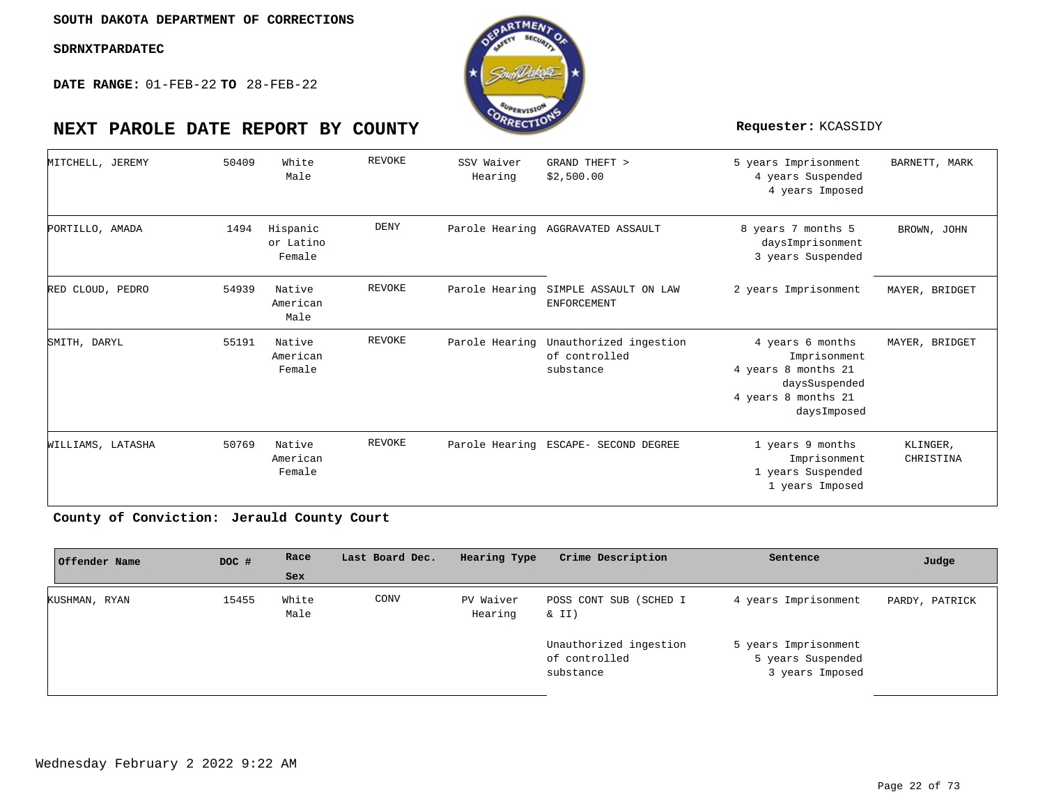**DATE RANGE:** 01-FEB-22 **TO** 28-FEB-22



| MITCHELL, JEREMY  | 50409 | White<br>Male                   | REVOKE        | SSV Waiver<br>Hearing | GRAND THEFT ><br>\$2,500.00                          | 5 years Imprisonment<br>4 years Suspended<br>4 years Imposed                                                   | BARNETT, MARK         |
|-------------------|-------|---------------------------------|---------------|-----------------------|------------------------------------------------------|----------------------------------------------------------------------------------------------------------------|-----------------------|
| PORTILLO, AMADA   | 1494  | Hispanic<br>or Latino<br>Female | DENY          |                       | Parole Hearing AGGRAVATED ASSAULT                    | 8 years 7 months 5<br>daysImprisonment<br>3 years Suspended                                                    | BROWN, JOHN           |
| RED CLOUD, PEDRO  | 54939 | Native<br>American<br>Male      | <b>REVOKE</b> | Parole Hearing        | SIMPLE ASSAULT ON LAW<br><b>ENFORCEMENT</b>          | 2 years Imprisonment                                                                                           | MAYER, BRIDGET        |
| SMITH, DARYL      | 55191 | Native<br>American<br>Female    | <b>REVOKE</b> | Parole Hearing        | Unauthorized ingestion<br>of controlled<br>substance | 4 years 6 months<br>Imprisonment<br>4 years 8 months 21<br>daysSuspended<br>4 years 8 months 21<br>daysImposed | MAYER, BRIDGET        |
| WILLIAMS, LATASHA | 50769 | Native<br>American<br>Female    | <b>REVOKE</b> |                       | Parole Hearing ESCAPE- SECOND DEGREE                 | 1 years 9 months<br>Imprisonment<br>1 years Suspended<br>1 years Imposed                                       | KLINGER,<br>CHRISTINA |

County of Conviction: Jerauld County Court

| Offender Name | DOC # | Race          | Last Board Dec. | Hearing Type         | Crime Description                                    | Sentence                                                     | Judge          |
|---------------|-------|---------------|-----------------|----------------------|------------------------------------------------------|--------------------------------------------------------------|----------------|
|               |       | Sex           |                 |                      |                                                      |                                                              |                |
| KUSHMAN, RYAN | 15455 | White<br>Male | CONV            | PV Waiver<br>Hearing | POSS CONT SUB (SCHED I<br>& II)                      | 4 years Imprisonment                                         | PARDY, PATRICK |
|               |       |               |                 |                      | Unauthorized ingestion<br>of controlled<br>substance | 5 years Imprisonment<br>5 years Suspended<br>3 years Imposed |                |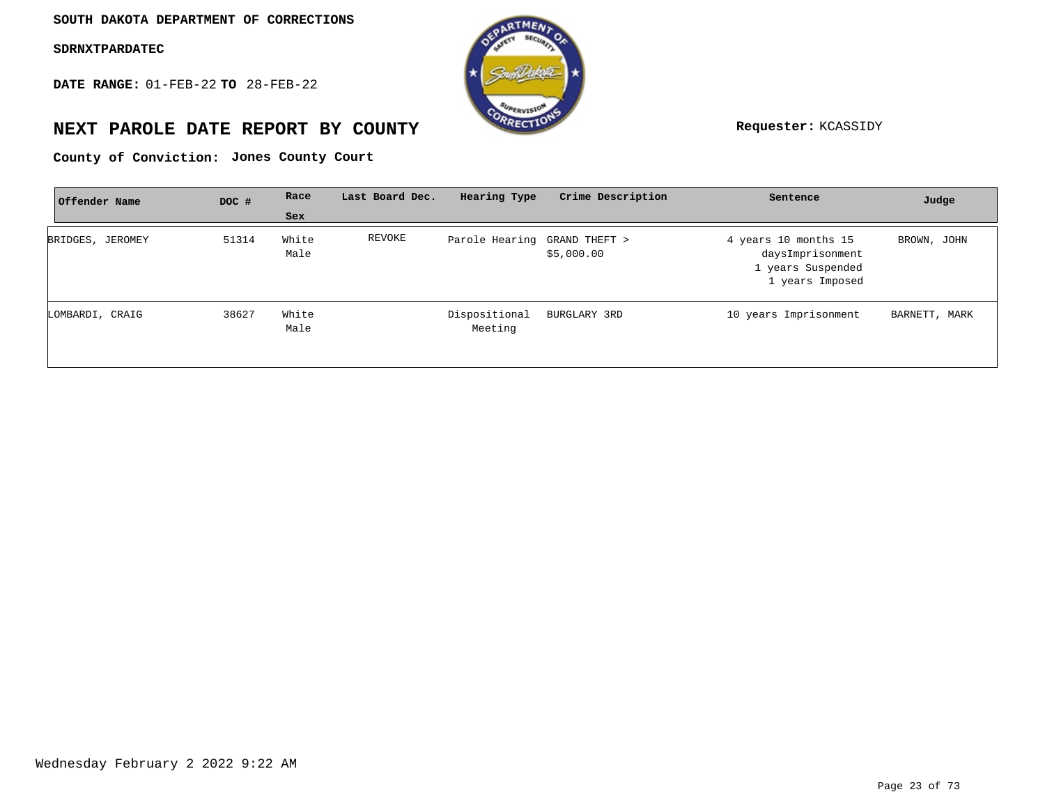**DATE RANGE:** 01-FEB-22 **TO** 28-FEB-22



## **NEXT PAROLE DATE REPORT BY COUNTY Requester:** KCASSIDY

**Jones County Court County of Conviction:**

| Offender Name    | DOC # | Race          | Last Board Dec. | Hearing Type                 | Crime Description | Sentence                                                                         | Judge         |
|------------------|-------|---------------|-----------------|------------------------------|-------------------|----------------------------------------------------------------------------------|---------------|
|                  |       | Sex           |                 |                              |                   |                                                                                  |               |
| BRIDGES, JEROMEY | 51314 | White<br>Male | REVOKE          | Parole Hearing GRAND THEFT > | \$5,000.00        | 4 years 10 months 15<br>daysImprisonment<br>1 years Suspended<br>1 years Imposed | BROWN, JOHN   |
| LOMBARDI, CRAIG  | 38627 | White<br>Male |                 | Dispositional<br>Meeting     | BURGLARY 3RD      | 10 years Imprisonment                                                            | BARNETT, MARK |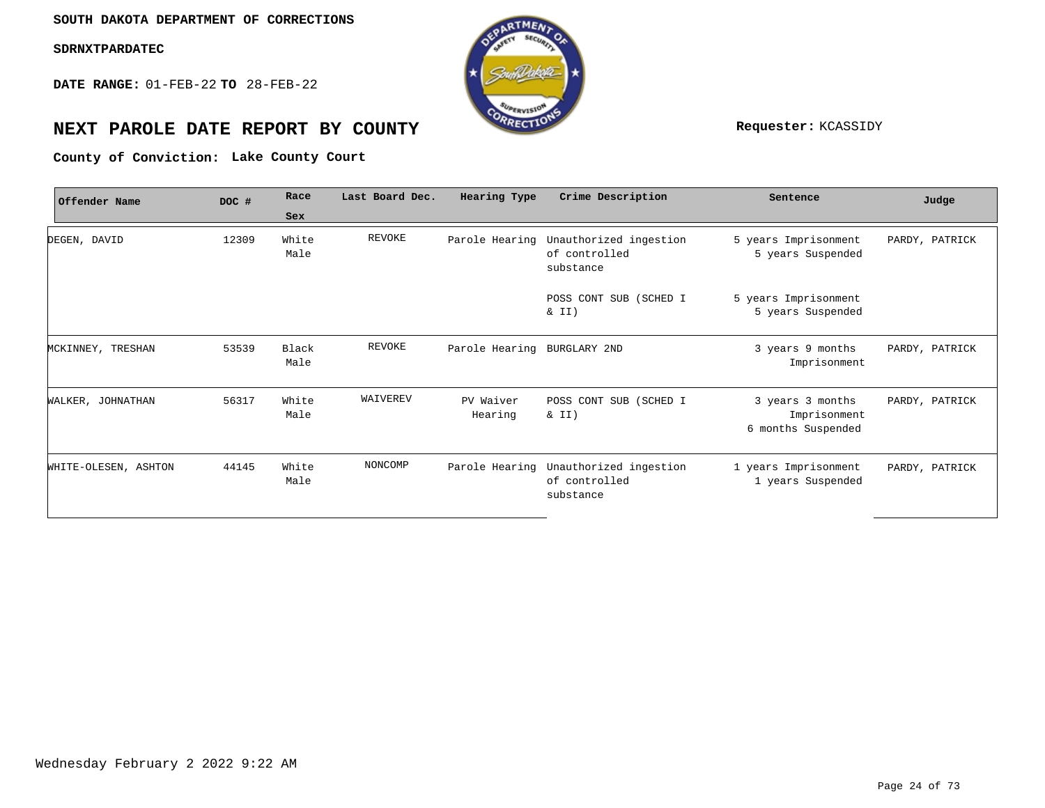**DATE RANGE:** 01-FEB-22 **TO** 28-FEB-22



## **NEXT PAROLE DATE REPORT BY COUNTY Requester:** KCASSIDY

**Lake County Court County of Conviction:**

| Offender Name        | DOC # | Race          | Last Board Dec. | Hearing Type         | Crime Description                                    | Sentence                                               | Judge          |
|----------------------|-------|---------------|-----------------|----------------------|------------------------------------------------------|--------------------------------------------------------|----------------|
|                      |       | Sex           |                 |                      |                                                      |                                                        |                |
| DEGEN, DAVID         | 12309 | White<br>Male | REVOKE          | Parole Hearing       | Unauthorized ingestion<br>of controlled<br>substance | 5 years Imprisonment<br>5 years Suspended              | PARDY, PATRICK |
|                      |       |               |                 |                      | POSS CONT SUB (SCHED I<br>& II)                      | 5 years Imprisonment<br>5 years Suspended              |                |
| MCKINNEY, TRESHAN    | 53539 | Black<br>Male | REVOKE          | Parole Hearing       | BURGLARY 2ND                                         | 3 years 9 months<br>Imprisonment                       | PARDY, PATRICK |
| WALKER, JOHNATHAN    | 56317 | White<br>Male | WAIVEREV        | PV Waiver<br>Hearing | POSS CONT SUB (SCHED I<br>& II)                      | 3 years 3 months<br>Imprisonment<br>6 months Suspended | PARDY, PATRICK |
| WHITE-OLESEN, ASHTON | 44145 | White<br>Male | NONCOMP         | Parole Hearing       | Unauthorized ingestion<br>of controlled<br>substance | 1 years Imprisonment<br>1 years Suspended              | PARDY, PATRICK |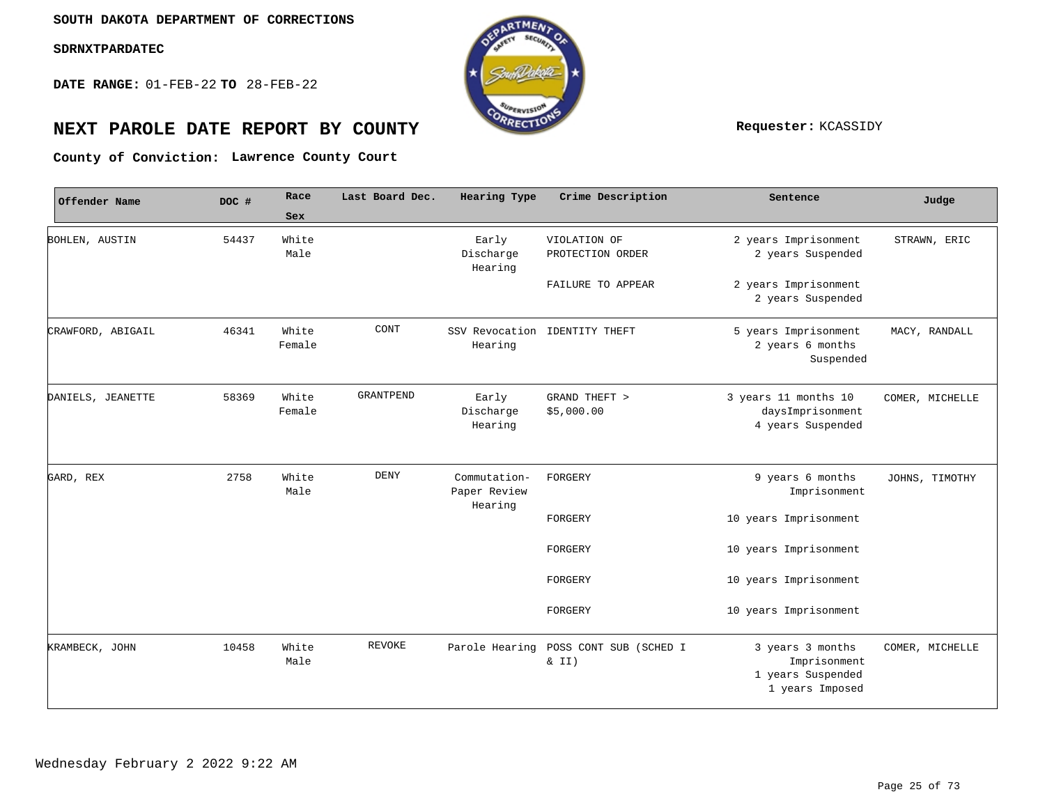**DATE RANGE:** 01-FEB-22 **TO** 28-FEB-22



# **NEXT PAROLE DATE REPORT BY COUNTY REPORT BY ALL PROPERTY REQUESTER:** KCASSIDY

**Lawrence County Court County of Conviction:**

| Offender Name     | DOC # | Race            | Last Board Dec.  | Hearing Type                            | Crime Description                | Sentence                                                                 | Judge           |
|-------------------|-------|-----------------|------------------|-----------------------------------------|----------------------------------|--------------------------------------------------------------------------|-----------------|
|                   |       | Sex             |                  |                                         |                                  |                                                                          |                 |
| BOHLEN, AUSTIN    | 54437 | White<br>Male   |                  | Early<br>Discharge<br>Hearing           | VIOLATION OF<br>PROTECTION ORDER | 2 years Imprisonment<br>2 years Suspended                                | STRAWN, ERIC    |
|                   |       |                 |                  |                                         | FAILURE TO APPEAR                | 2 years Imprisonment<br>2 years Suspended                                |                 |
| CRAWFORD, ABIGAIL | 46341 | White<br>Female | CONT             | Hearing                                 | SSV Revocation IDENTITY THEFT    | 5 years Imprisonment<br>2 years 6 months<br>Suspended                    | MACY, RANDALL   |
| DANIELS, JEANETTE | 58369 | White<br>Female | <b>GRANTPEND</b> | Early<br>Discharge<br>Hearing           | GRAND THEFT ><br>\$5,000.00      | 3 years 11 months 10<br>daysImprisonment<br>4 years Suspended            | COMER, MICHELLE |
| GARD, REX         | 2758  | White<br>Male   | DENY             | Commutation-<br>Paper Review<br>Hearing | FORGERY                          | 9 years 6 months<br>Imprisonment                                         | JOHNS, TIMOTHY  |
|                   |       |                 |                  |                                         | FORGERY                          | 10 years Imprisonment                                                    |                 |
|                   |       |                 |                  |                                         | FORGERY                          | 10 years Imprisonment                                                    |                 |
|                   |       |                 |                  |                                         | FORGERY                          | 10 years Imprisonment                                                    |                 |
|                   |       |                 |                  |                                         | FORGERY                          | 10 years Imprisonment                                                    |                 |
| KRAMBECK, JOHN    | 10458 | White<br>Male   | <b>REVOKE</b>    | Parole Hearing                          | POSS CONT SUB (SCHED I<br>& II)  | 3 years 3 months<br>Imprisonment<br>1 years Suspended<br>1 years Imposed | COMER, MICHELLE |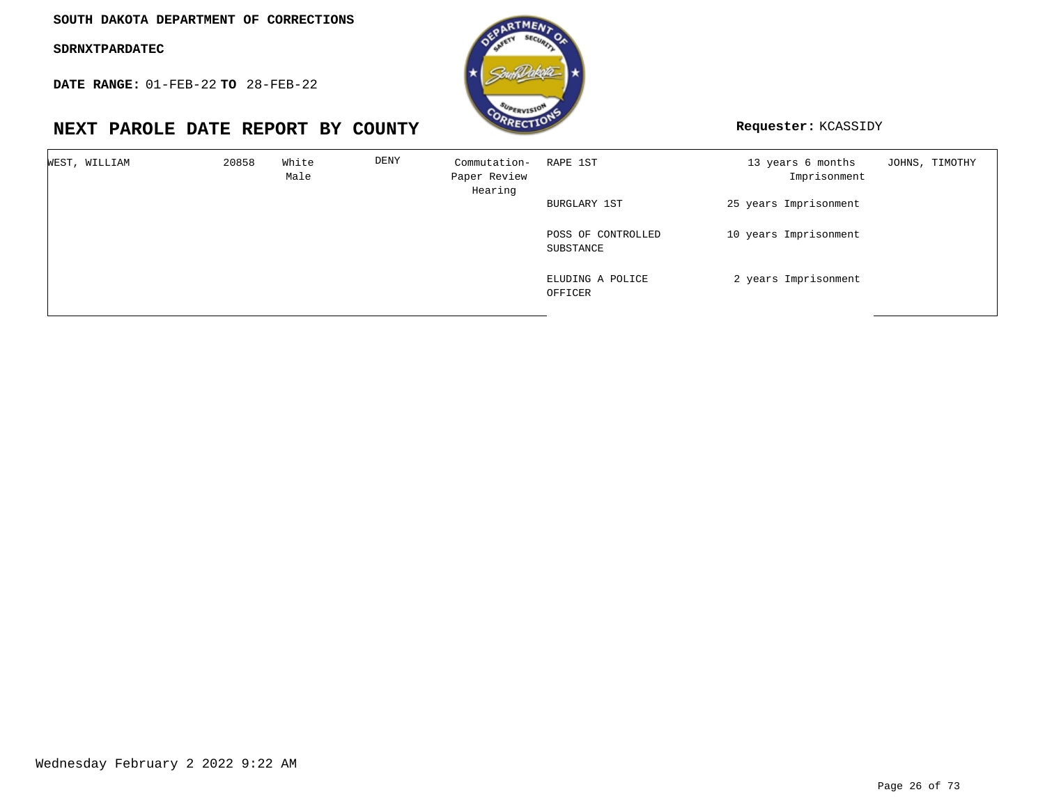**DATE RANGE:** 01-FEB-22 **TO** 28-FEB-22

## **NEXT PAROLE DATE REPORT BY COUNTY Requester:** KCASSIDY



| WEST, WILLIAM | 20858 | White<br>Male | DENY | Commutation-<br>Paper Review<br>Hearing | RAPE 1ST                        | 13 years 6 months<br>Imprisonment | JOHNS, TIMOTHY |
|---------------|-------|---------------|------|-----------------------------------------|---------------------------------|-----------------------------------|----------------|
|               |       |               |      |                                         | BURGLARY 1ST                    | 25 years Imprisonment             |                |
|               |       |               |      |                                         | POSS OF CONTROLLED<br>SUBSTANCE | 10 years Imprisonment             |                |
|               |       |               |      |                                         | ELUDING A POLICE<br>OFFICER     | 2 years Imprisonment              |                |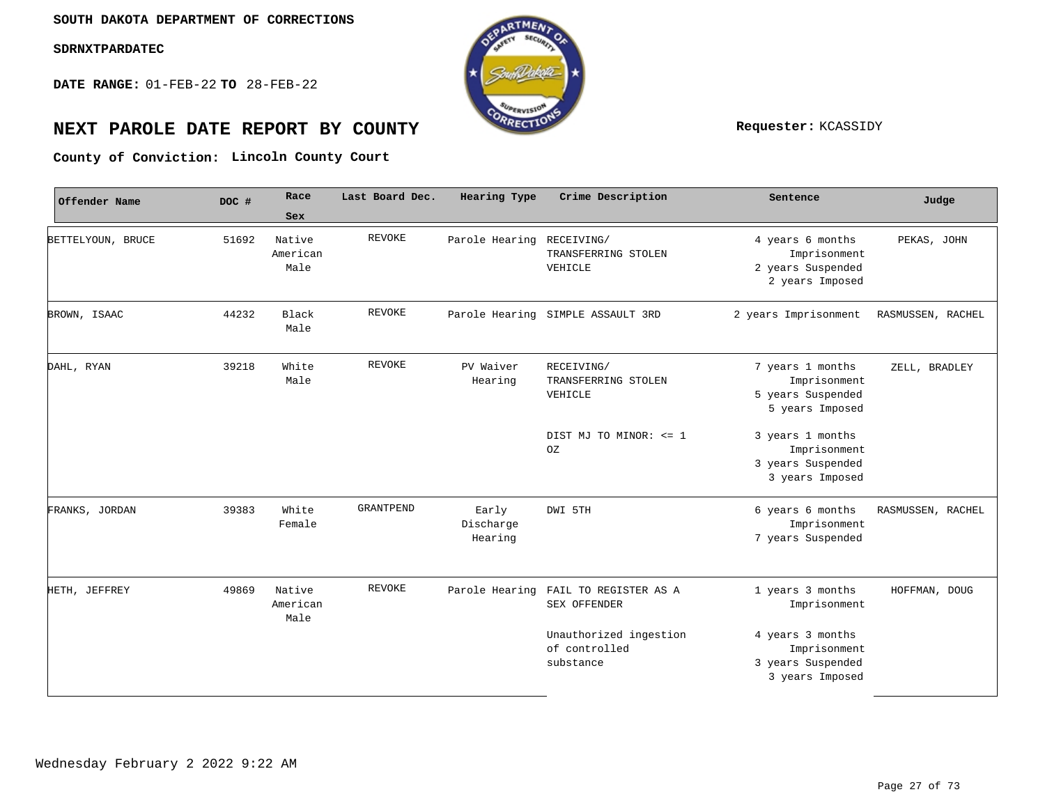**DATE RANGE:** 01-FEB-22 **TO** 28-FEB-22



## **NEXT PAROLE DATE REPORT BY COUNTY Requester:** KCASSIDY

**Lincoln County Court County of Conviction:**

| Offender Name     | DOC # | Race                       | Last Board Dec.  | Hearing Type                  | Crime Description                                    | Sentence                                                                 | Judge             |
|-------------------|-------|----------------------------|------------------|-------------------------------|------------------------------------------------------|--------------------------------------------------------------------------|-------------------|
|                   |       | Sex                        |                  |                               |                                                      |                                                                          |                   |
| BETTELYOUN, BRUCE | 51692 | Native<br>American<br>Male | <b>REVOKE</b>    | Parole Hearing                | RECEIVING/<br>TRANSFERRING STOLEN<br>VEHICLE         | 4 years 6 months<br>Imprisonment<br>2 years Suspended<br>2 years Imposed | PEKAS, JOHN       |
| BROWN, ISAAC      | 44232 | Black<br>Male              | <b>REVOKE</b>    |                               | Parole Hearing SIMPLE ASSAULT 3RD                    | 2 years Imprisonment                                                     | RASMUSSEN, RACHEL |
| DAHL, RYAN        | 39218 | White<br>Male              | REVOKE           | PV Waiver<br>Hearing          | RECEIVING/<br>TRANSFERRING STOLEN<br>VEHICLE         | 7 years 1 months<br>Imprisonment<br>5 years Suspended<br>5 years Imposed | ZELL, BRADLEY     |
|                   |       |                            |                  |                               | DIST MJ TO MINOR: <= 1<br>OZ                         | 3 years 1 months<br>Imprisonment<br>3 years Suspended<br>3 years Imposed |                   |
| FRANKS, JORDAN    | 39383 | White<br>Female            | <b>GRANTPEND</b> | Early<br>Discharge<br>Hearing | DWI 5TH                                              | 6 years 6 months<br>Imprisonment<br>7 years Suspended                    | RASMUSSEN, RACHEL |
| HETH, JEFFREY     | 49869 | Native<br>American<br>Male | <b>REVOKE</b>    | Parole Hearing                | FAIL TO REGISTER AS A<br>SEX OFFENDER                | 1 years 3 months<br>Imprisonment                                         | HOFFMAN, DOUG     |
|                   |       |                            |                  |                               | Unauthorized ingestion<br>of controlled<br>substance | 4 years 3 months<br>Imprisonment<br>3 years Suspended<br>3 years Imposed |                   |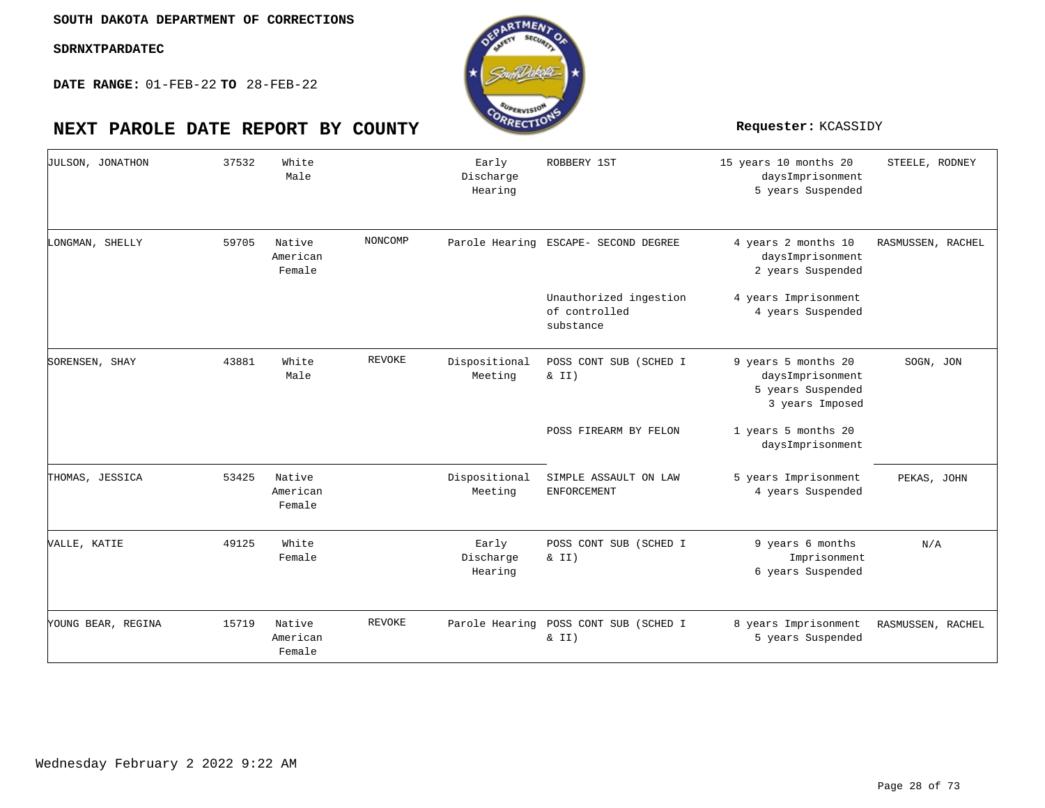**DATE RANGE:** 01-FEB-22 **TO** 28-FEB-22

## **NEXT PAROLE DATE REPORT BY COUNTY Requester:** KCASSIDY



| <b>JULSON, JONATHON</b> | 37532 | White<br>Male                |         | Early<br>Discharge<br>Hearing | ROBBERY 1ST                                          | 15 years 10 months 20<br>daysImprisonment<br>5 years Suspended                  | STEELE, RODNEY    |
|-------------------------|-------|------------------------------|---------|-------------------------------|------------------------------------------------------|---------------------------------------------------------------------------------|-------------------|
| LONGMAN, SHELLY         | 59705 | Native<br>American<br>Female | NONCOMP |                               | Parole Hearing ESCAPE- SECOND DEGREE                 | 4 years 2 months 10<br>daysImprisonment<br>2 years Suspended                    | RASMUSSEN, RACHEL |
|                         |       |                              |         |                               | Unauthorized ingestion<br>of controlled<br>substance | 4 years Imprisonment<br>4 years Suspended                                       |                   |
| SORENSEN, SHAY          | 43881 | White<br>Male                | REVOKE  | Dispositional<br>Meeting      | POSS CONT SUB (SCHED I<br>$\&$ II)                   | 9 years 5 months 20<br>daysImprisonment<br>5 years Suspended<br>3 years Imposed | SOGN, JON         |
|                         |       |                              |         |                               | POSS FIREARM BY FELON                                | 1 years 5 months 20<br>daysImprisonment                                         |                   |
| THOMAS, JESSICA         | 53425 | Native<br>American<br>Female |         | Dispositional<br>Meeting      | SIMPLE ASSAULT ON LAW<br><b>ENFORCEMENT</b>          | 5 years Imprisonment<br>4 years Suspended                                       | PEKAS, JOHN       |
| VALLE, KATIE            | 49125 | White<br>Female              |         | Early<br>Discharge<br>Hearing | POSS CONT SUB (SCHED I<br>$\&$ II)                   | 9 years 6 months<br>Imprisonment<br>6 years Suspended                           | N/A               |
| YOUNG BEAR, REGINA      | 15719 | Native<br>American<br>Female | REVOKE  |                               | Parole Hearing POSS CONT SUB (SCHED I<br>& II)       | 8 years Imprisonment<br>5 years Suspended                                       | RASMUSSEN, RACHEL |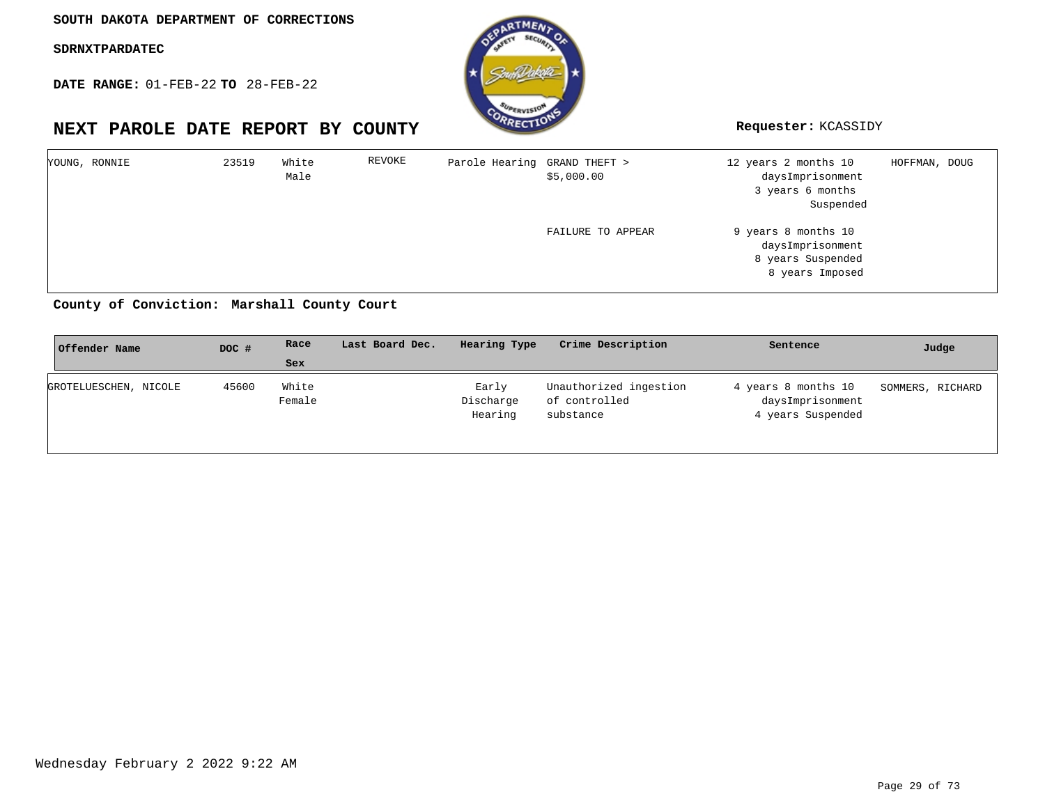**DATE RANGE:** 01-FEB-22 **TO** 28-FEB-22

## **NEXT PAROLE DATE REPORT BY COUNTY Requester:** KCASSIDY



| YOUNG, RONNIE | 23519 | White<br>Male | REVOKE | Parole Hearing GRAND THEFT > | \$5,000.00        | 12 years 2 months 10<br>daysImprisonment<br>3 years 6 months<br>Suspended       | HOFFMAN, DOUG |
|---------------|-------|---------------|--------|------------------------------|-------------------|---------------------------------------------------------------------------------|---------------|
|               |       |               |        |                              | FAILURE TO APPEAR | 9 years 8 months 10<br>daysImprisonment<br>8 years Suspended<br>8 years Imposed |               |

## **Marshall County Court County of Conviction:**

| Offender Name         | DOC # | Race            | Last Board Dec. | Hearing Type                  | Crime Description                                    | Sentence                                                     | Judge            |
|-----------------------|-------|-----------------|-----------------|-------------------------------|------------------------------------------------------|--------------------------------------------------------------|------------------|
|                       |       | <b>Sex</b>      |                 |                               |                                                      |                                                              |                  |
| GROTELUESCHEN, NICOLE | 45600 | White<br>Female |                 | Early<br>Discharge<br>Hearing | Unauthorized ingestion<br>of controlled<br>substance | 4 years 8 months 10<br>daysImprisonment<br>4 years Suspended | SOMMERS, RICHARD |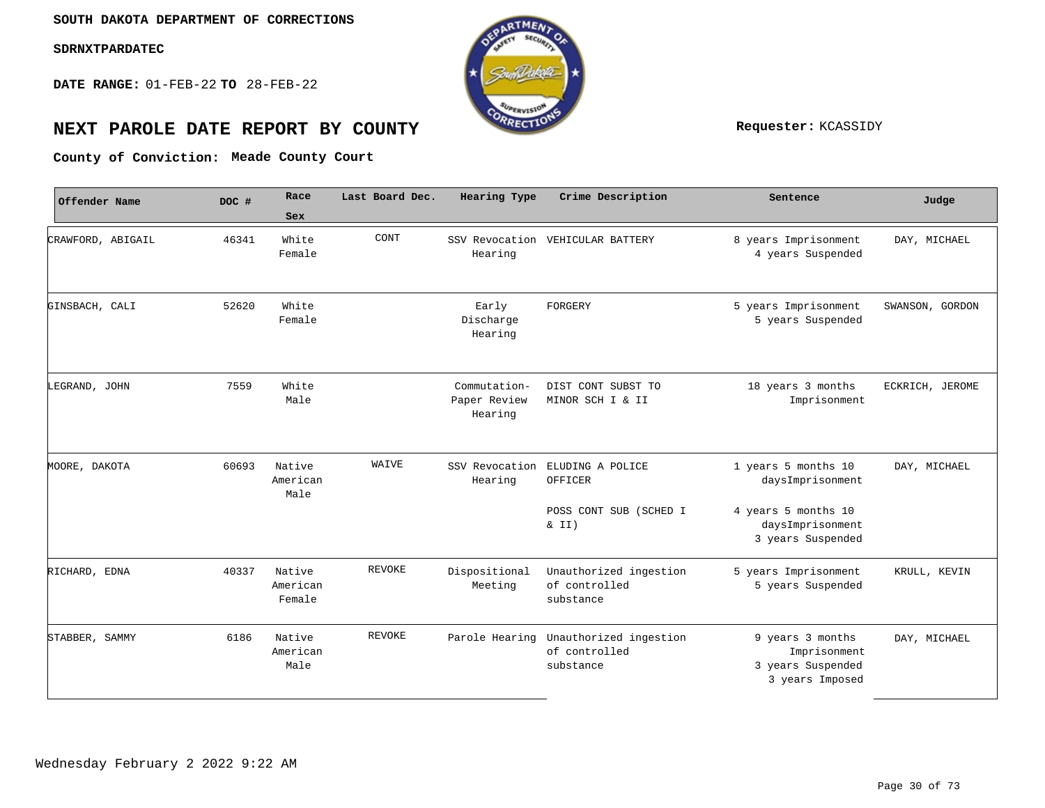**DATE RANGE:** 01-FEB-22 **TO** 28-FEB-22



# **NEXT PAROLE DATE REPORT BY COUNTY Requester:** KCASSIDY

**Meade County Court County of Conviction:**

| Offender Name     | DOC # | Race                         | Last Board Dec. | Hearing Type                            | Crime Description                                    | Sentence                                                                 | Judge           |
|-------------------|-------|------------------------------|-----------------|-----------------------------------------|------------------------------------------------------|--------------------------------------------------------------------------|-----------------|
|                   |       | Sex                          |                 |                                         |                                                      |                                                                          |                 |
| CRAWFORD, ABIGAIL | 46341 | White<br>Female              | CONT            | Hearing                                 | SSV Revocation VEHICULAR BATTERY                     | 8 years Imprisonment<br>4 years Suspended                                | DAY, MICHAEL    |
| GINSBACH, CALI    | 52620 | White<br>Female              |                 | Early<br>Discharge<br>Hearing           | FORGERY                                              | 5 years Imprisonment<br>5 years Suspended                                | SWANSON, GORDON |
| LEGRAND, JOHN     | 7559  | White<br>Male                |                 | Commutation-<br>Paper Review<br>Hearing | DIST CONT SUBST TO<br>MINOR SCH I & II               | 18 years 3 months<br>Imprisonment                                        | ECKRICH, JEROME |
| MOORE, DAKOTA     | 60693 | Native<br>American<br>Male   | WAIVE           | SSV Revocation<br>Hearing               | ELUDING A POLICE<br>OFFICER                          | 1 years 5 months 10<br>daysImprisonment                                  | DAY, MICHAEL    |
|                   |       |                              |                 |                                         | POSS CONT SUB (SCHED I<br>$\&$ II)                   | 4 years 5 months 10<br>daysImprisonment<br>3 years Suspended             |                 |
| RICHARD, EDNA     | 40337 | Native<br>American<br>Female | <b>REVOKE</b>   | Dispositional<br>Meeting                | Unauthorized ingestion<br>of controlled<br>substance | 5 years Imprisonment<br>5 years Suspended                                | KRULL, KEVIN    |
| STABBER, SAMMY    | 6186  | Native<br>American<br>Male   | <b>REVOKE</b>   | Parole Hearing                          | Unauthorized ingestion<br>of controlled<br>substance | 9 years 3 months<br>Imprisonment<br>3 years Suspended<br>3 years Imposed | DAY, MICHAEL    |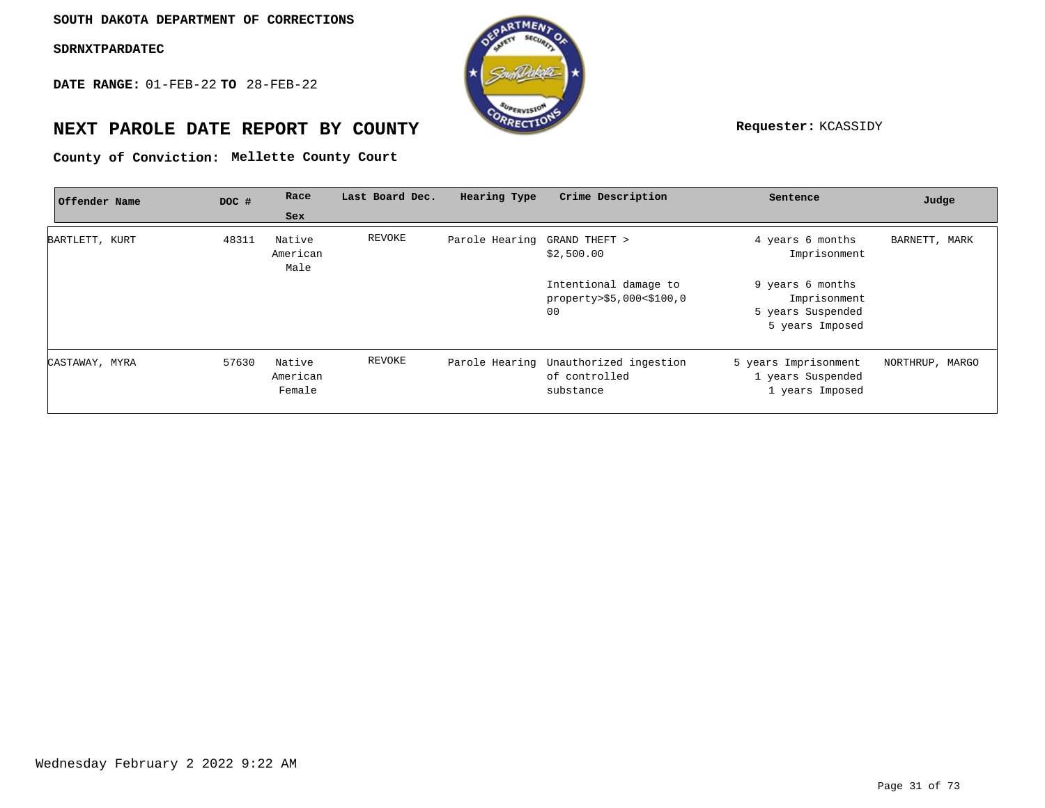**DATE RANGE:** 01-FEB-22 **TO** 28-FEB-22



## **NEXT PAROLE DATE REPORT BY COUNTY Requester:** KCASSIDY

**Mellette County Court County of Conviction:**

| Offender Name  | DOC # | Race                         | Last Board Dec. | Hearing Type                 | Crime Description                                                   | Sentence                                                                 | Judge           |
|----------------|-------|------------------------------|-----------------|------------------------------|---------------------------------------------------------------------|--------------------------------------------------------------------------|-----------------|
|                |       | Sex                          |                 |                              |                                                                     |                                                                          |                 |
| BARTLETT, KURT | 48311 | Native<br>American<br>Male   | REVOKE          | Parole Hearing GRAND THEFT > | \$2,500.00                                                          | 4 years 6 months<br>Imprisonment                                         | BARNETT, MARK   |
|                |       |                              |                 |                              | Intentional damage to<br>property>\$5,000<\$100,0<br>00             | 9 years 6 months<br>Imprisonment<br>5 years Suspended<br>5 years Imposed |                 |
| CASTAWAY, MYRA | 57630 | Native<br>American<br>Female | REVOKE          |                              | Parole Hearing Unauthorized ingestion<br>of controlled<br>substance | 5 years Imprisonment<br>1 years Suspended<br>1 years Imposed             | NORTHRUP, MARGO |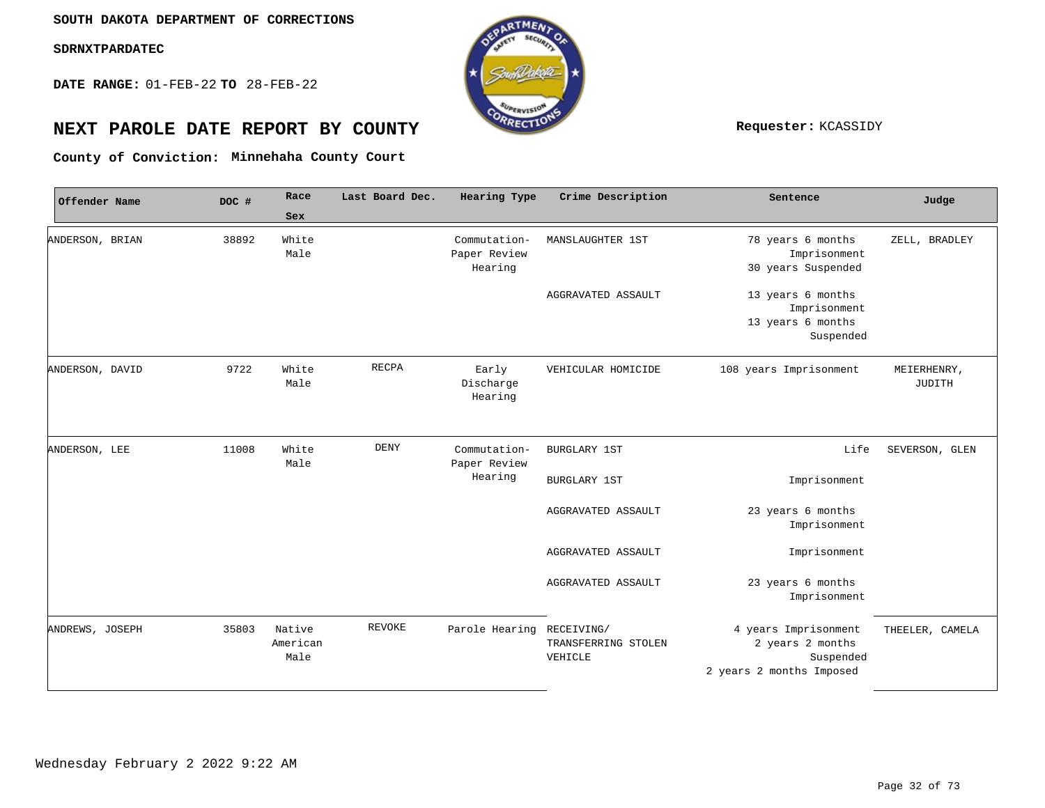**DATE RANGE:** 01-FEB-22 **TO** 28-FEB-22



## **NEXT PAROLE DATE REPORT BY COUNTY Requester:** KCASSIDY

**Minnehaha County Court County of Conviction:**

| Offender Name   | DOC # | Race                       | Last Board Dec. | Hearing Type                            | Crime Description                            | Sentence                                                                          | Judge                 |
|-----------------|-------|----------------------------|-----------------|-----------------------------------------|----------------------------------------------|-----------------------------------------------------------------------------------|-----------------------|
|                 |       | Sex                        |                 |                                         |                                              |                                                                                   |                       |
| ANDERSON, BRIAN | 38892 | White<br>Male              |                 | Commutation-<br>Paper Review<br>Hearing | MANSLAUGHTER 1ST                             | 78 years 6 months<br>Imprisonment<br>30 years Suspended                           | ZELL, BRADLEY         |
|                 |       |                            |                 |                                         | AGGRAVATED ASSAULT                           | 13 years 6 months<br>Imprisonment<br>13 years 6 months<br>Suspended               |                       |
| ANDERSON, DAVID | 9722  | White<br>Male              | <b>RECPA</b>    | Early<br>Discharge<br>Hearing           | VEHICULAR HOMICIDE                           | 108 years Imprisonment                                                            | MEIERHENRY,<br>JUDITH |
| ANDERSON, LEE   | 11008 | White<br>Male              | <b>DENY</b>     | Commutation-<br>Paper Review            | <b>BURGLARY 1ST</b>                          | Life                                                                              | SEVERSON, GLEN        |
|                 |       |                            |                 | Hearing                                 | <b>BURGLARY 1ST</b>                          | Imprisonment                                                                      |                       |
|                 |       |                            |                 |                                         | AGGRAVATED ASSAULT                           | 23 years 6 months<br>Imprisonment                                                 |                       |
|                 |       |                            |                 |                                         | AGGRAVATED ASSAULT                           | Imprisonment                                                                      |                       |
|                 |       |                            |                 |                                         | AGGRAVATED ASSAULT                           | 23 years 6 months<br>Imprisonment                                                 |                       |
| ANDREWS, JOSEPH | 35803 | Native<br>American<br>Male | REVOKE          | Parole Hearing                          | RECEIVING/<br>TRANSFERRING STOLEN<br>VEHICLE | 4 years Imprisonment<br>2 years 2 months<br>Suspended<br>2 years 2 months Imposed | THEELER, CAMELA       |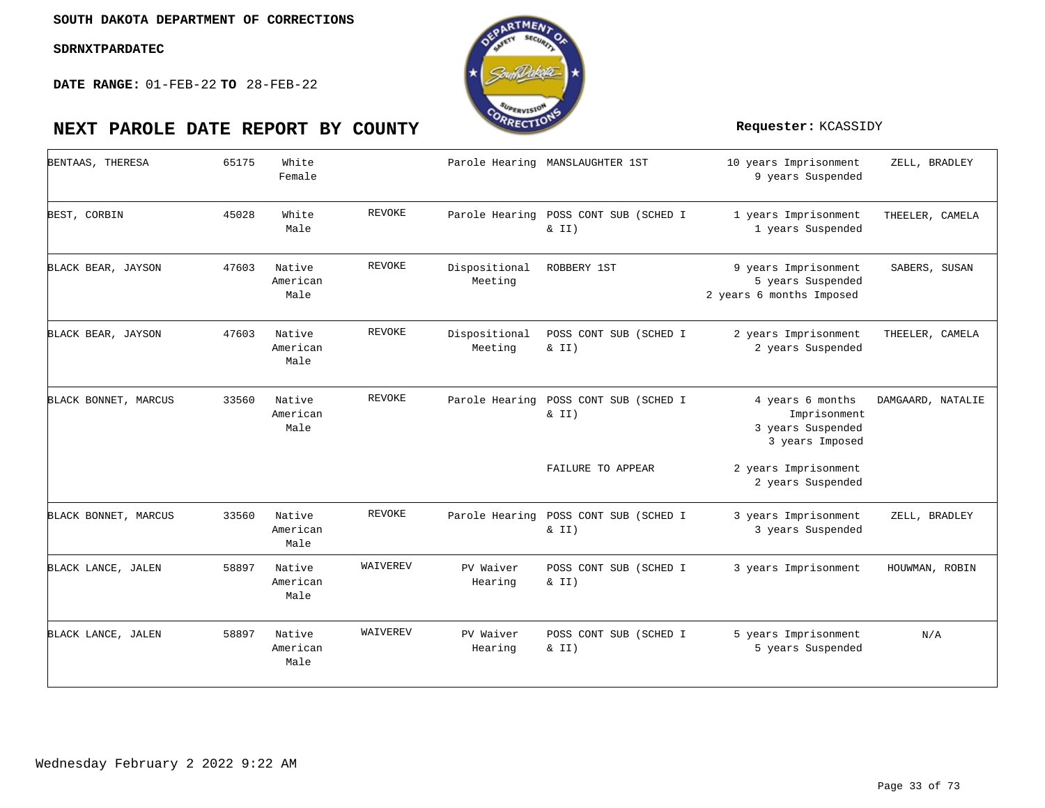**DATE RANGE:** 01-FEB-22 **TO** 28-FEB-22



| BENTAAS, THERESA     | 65175 | White<br>Female            |               |                          | Parole Hearing MANSLAUGHTER 1ST                | 10 years Imprisonment<br>9 years Suspended                               | ZELL, BRADLEY     |
|----------------------|-------|----------------------------|---------------|--------------------------|------------------------------------------------|--------------------------------------------------------------------------|-------------------|
| BEST, CORBIN         | 45028 | White<br>Male              | REVOKE        |                          | Parole Hearing POSS CONT SUB (SCHED I<br>& II) | 1 years Imprisonment<br>1 years Suspended                                | THEELER, CAMELA   |
| BLACK BEAR, JAYSON   | 47603 | Native<br>American<br>Male | REVOKE        | Dispositional<br>Meeting | ROBBERY 1ST                                    | 9 years Imprisonment<br>5 years Suspended<br>2 years 6 months Imposed    | SABERS, SUSAN     |
| BLACK BEAR, JAYSON   | 47603 | Native<br>American<br>Male | <b>REVOKE</b> | Dispositional<br>Meeting | POSS CONT SUB (SCHED I<br>$\&$ II)             | 2 years Imprisonment<br>2 years Suspended                                | THEELER, CAMELA   |
| BLACK BONNET, MARCUS | 33560 | Native<br>American<br>Male | REVOKE        |                          | Parole Hearing POSS CONT SUB (SCHED I<br>& II) | 4 years 6 months<br>Imprisonment<br>3 years Suspended<br>3 years Imposed | DAMGAARD, NATALIE |
|                      |       |                            |               |                          | FAILURE TO APPEAR                              | 2 years Imprisonment<br>2 years Suspended                                |                   |
| BLACK BONNET, MARCUS | 33560 | Native<br>American<br>Male | REVOKE        | Parole Hearing           | POSS CONT SUB (SCHED I<br>$\&$ II)             | 3 years Imprisonment<br>3 years Suspended                                | ZELL, BRADLEY     |
| BLACK LANCE, JALEN   | 58897 | Native<br>American<br>Male | WAIVEREV      | PV Waiver<br>Hearing     | POSS CONT SUB (SCHED I<br>& II)                | 3 years Imprisonment                                                     | HOUWMAN, ROBIN    |
| BLACK LANCE, JALEN   | 58897 | Native<br>American<br>Male | WAIVEREV      | PV Waiver<br>Hearing     | POSS CONT SUB (SCHED I<br>& II)                | 5 years Imprisonment<br>5 years Suspended                                | N/A               |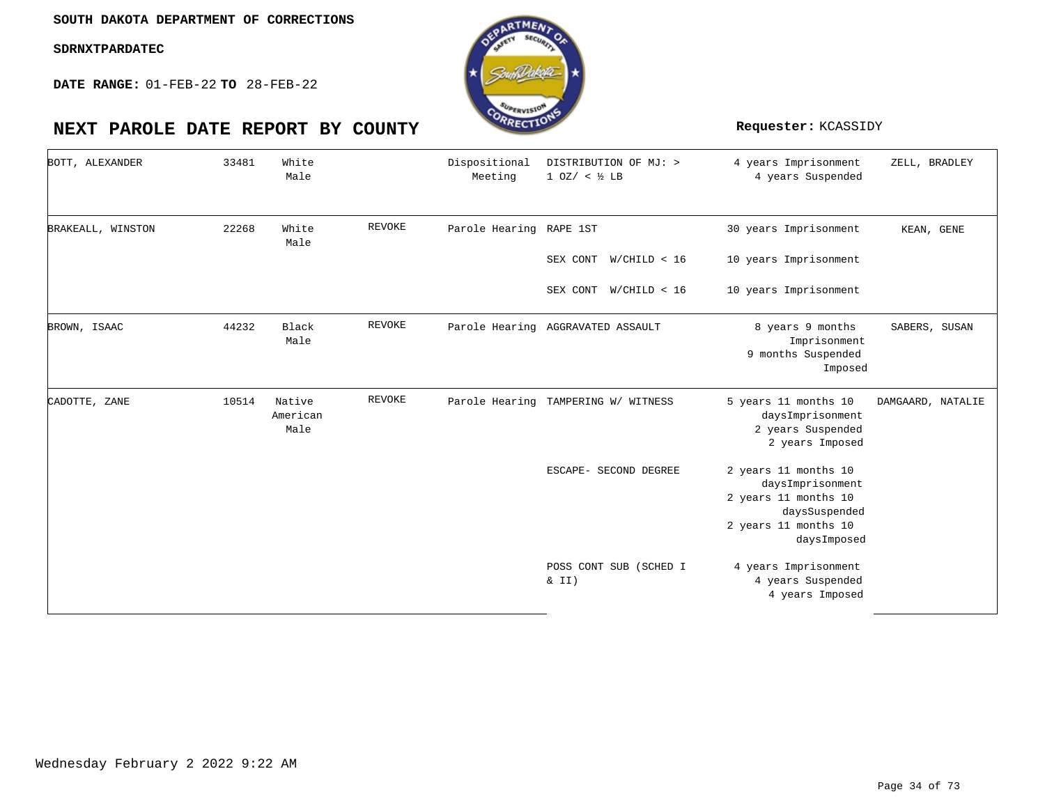### **SOUTH DAKOTA DEPARTMENT OF CORRECTIONS**

### **SDRNXTPARDATEC**

**DATE RANGE:** 01-FEB-22 **TO** 28-FEB-22

## **NEXT PAROLE DATE REPORT BY COUNTY Requester:** KCASSIDY

| BOTT, ALEXANDER   | 33481 | White<br>Male              |               | Dispositional<br>Meeting | DISTRIBUTION OF MJ: ><br>1 0Z / < ½ LB | 4 years Imprisonment<br>4 years Suspended                                                                                | ZELL, BRADLEY     |
|-------------------|-------|----------------------------|---------------|--------------------------|----------------------------------------|--------------------------------------------------------------------------------------------------------------------------|-------------------|
| BRAKEALL, WINSTON | 22268 | White<br>Male              | REVOKE        | Parole Hearing RAPE 1ST  |                                        | 30 years Imprisonment                                                                                                    | KEAN, GENE        |
|                   |       |                            |               |                          | SEX CONT<br>W/CHILD < 16               | 10 years Imprisonment                                                                                                    |                   |
|                   |       |                            |               |                          | W/CHILD < 16<br>SEX CONT               | 10 years Imprisonment                                                                                                    |                   |
| BROWN, ISAAC      | 44232 | Black<br>Male              | <b>REVOKE</b> |                          | Parole Hearing AGGRAVATED ASSAULT      | 8 years 9 months<br>Imprisonment<br>9 months Suspended<br>Imposed                                                        | SABERS, SUSAN     |
| CADOTTE, ZANE     | 10514 | Native<br>American<br>Male | <b>REVOKE</b> |                          | Parole Hearing TAMPERING W/ WITNESS    | 5 years 11 months 10<br>daysImprisonment<br>2 years Suspended<br>2 years Imposed                                         | DAMGAARD, NATALIE |
|                   |       |                            |               |                          | ESCAPE- SECOND DEGREE                  | 2 years 11 months 10<br>daysImprisonment<br>2 years 11 months 10<br>daysSuspended<br>2 years 11 months 10<br>daysImposed |                   |
|                   |       |                            |               |                          | POSS CONT SUB (SCHED I<br>$\&$ II)     | 4 years Imprisonment<br>4 years Suspended<br>4 years Imposed                                                             |                   |

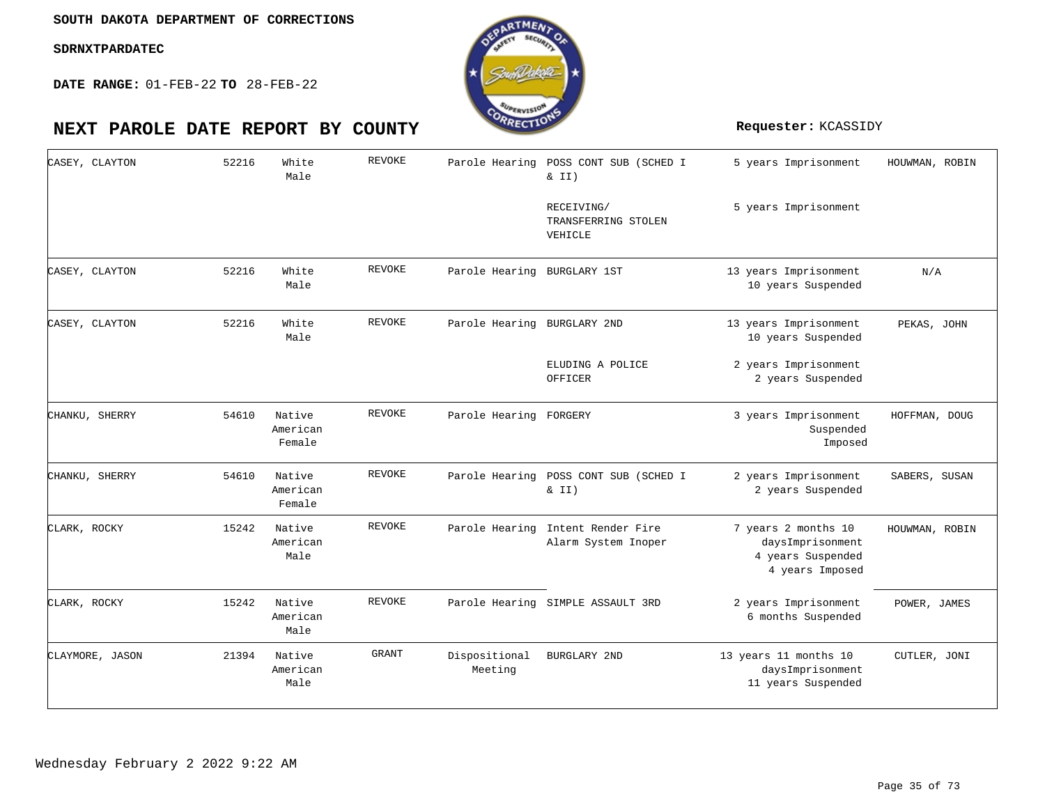**DATE RANGE:** 01-FEB-22 **TO** 28-FEB-22



REVOKE

#### 5 years Imprisonment 5 years Imprisonment 13 years Imprisonment 10 years Suspended 13 years Imprisonment 10 years Suspended 2 years Imprisonment 2 years Suspended 3 years Imprisonment Suspended Imposed 2 years Imprisonment 2 years Suspended 7 years 2 months 10 daysImprisonment 4 years Suspended 4 years Imposed 2 years Imprisonment 6 months Suspended 13 years 11 months 10 daysImprisonment 11 years Suspended Parole Hearing POSS CONT SUB (SCHED I & II) RECEIVING/ TRANSFERRING STOLEN VEHICLE Parole Hearing BURGLARY 1ST Parole Hearing BURGLARY 2ND ELUDING A POLICE OFFICER Parole Hearing FORGERY Parole Hearing POSS CONT SUB (SCHED I  $& II)$ Parole Hearing Intent Render Fire Alarm System Inoper Parole Hearing SIMPLE ASSAULT 3RD BURGLARY 2ND White White White Native American Native American Native American Native American Native American Male Male Male Female Female Male Male Male 52216 52216 52216 54610 54610 15242 15242 21394 CASEY, CLAYTON CASEY, CLAYTON CASEY, CLAYTON CHANKU, SHERRY CHANKU, SHERRY CLARK, ROCKY CLARK, ROCKY CLAYMORE, JASON REVOKE REVOKE REVOKE REVOKE REVOKE REVOKE GRANT Dispositional Meeting HOUWMAN, ROBIN PEKAS, JOHN HOFFMAN, DOUG SABERS, SUSAN HOUWMAN, ROBIN POWER, JAMES CUTLER, JONI

### Wednesday February 2 2022 9:22 AM

N/A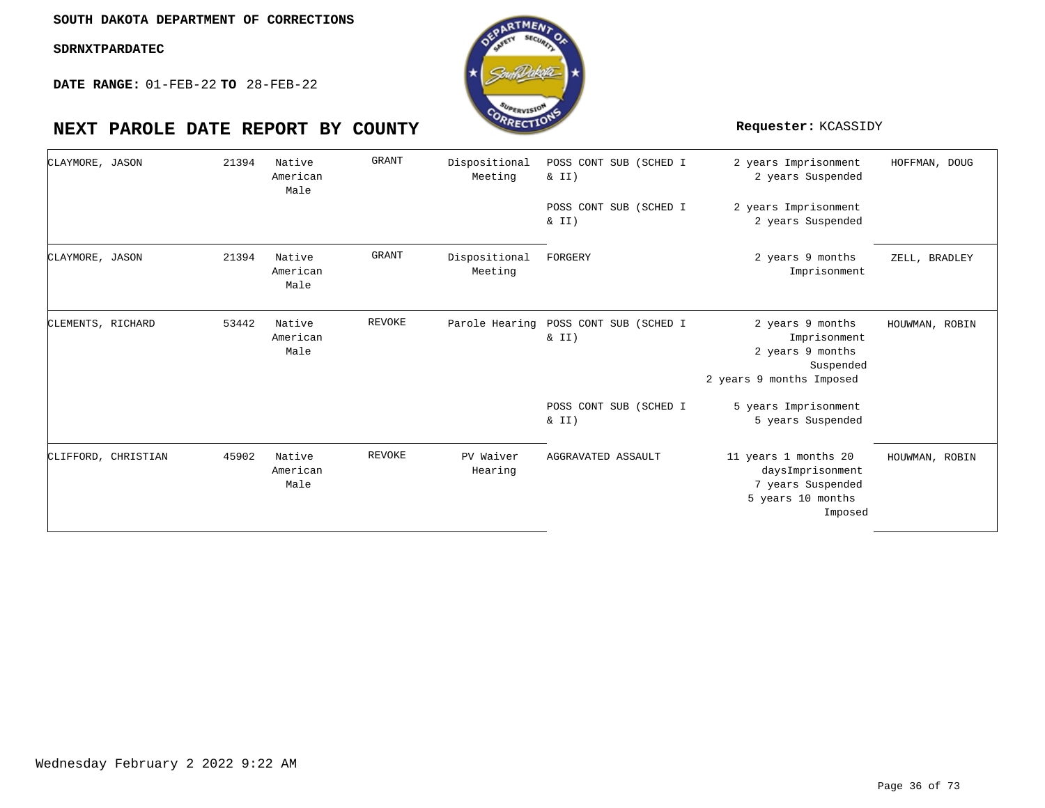**DATE RANGE:** 01-FEB-22 **TO** 28-FEB-22

## **NEXT PAROLE DATE REPORT BY COUNTY Requester:** KCASSIDY

| CLAYMORE, JASON   |                     | 21394 | Native<br>American<br>Male | <b>GRANT</b>  | Dispositional<br>Meeting | POSS CONT SUB (SCHED I<br>& II)    | 2 years Imprisonment<br>2 years Suspended                                                     | HOFFMAN, DOUG  |
|-------------------|---------------------|-------|----------------------------|---------------|--------------------------|------------------------------------|-----------------------------------------------------------------------------------------------|----------------|
|                   |                     |       |                            |               |                          | POSS CONT SUB (SCHED I<br>$\&$ II) | 2 years Imprisonment<br>2 years Suspended                                                     |                |
| CLAYMORE, JASON   |                     | 21394 | Native<br>American<br>Male | <b>GRANT</b>  | Dispositional<br>Meeting | FORGERY                            | 2 years 9 months<br>Imprisonment                                                              | ZELL, BRADLEY  |
| CLEMENTS, RICHARD |                     | 53442 | Native<br>American<br>Male | <b>REVOKE</b> | Parole Hearing           | POSS CONT SUB (SCHED I<br>& II)    | 2 years 9 months<br>Imprisonment<br>2 years 9 months<br>Suspended<br>2 years 9 months Imposed | HOUWMAN, ROBIN |
|                   |                     |       |                            |               |                          | POSS CONT SUB (SCHED I<br>$\&$ II) | 5 years Imprisonment<br>5 years Suspended                                                     |                |
|                   | CLIFFORD, CHRISTIAN | 45902 | Native<br>American<br>Male | <b>REVOKE</b> | PV Waiver<br>Hearing     | AGGRAVATED ASSAULT                 | 11 years 1 months 20<br>daysImprisonment<br>7 years Suspended<br>5 years 10 months<br>Imposed | HOUWMAN, ROBIN |

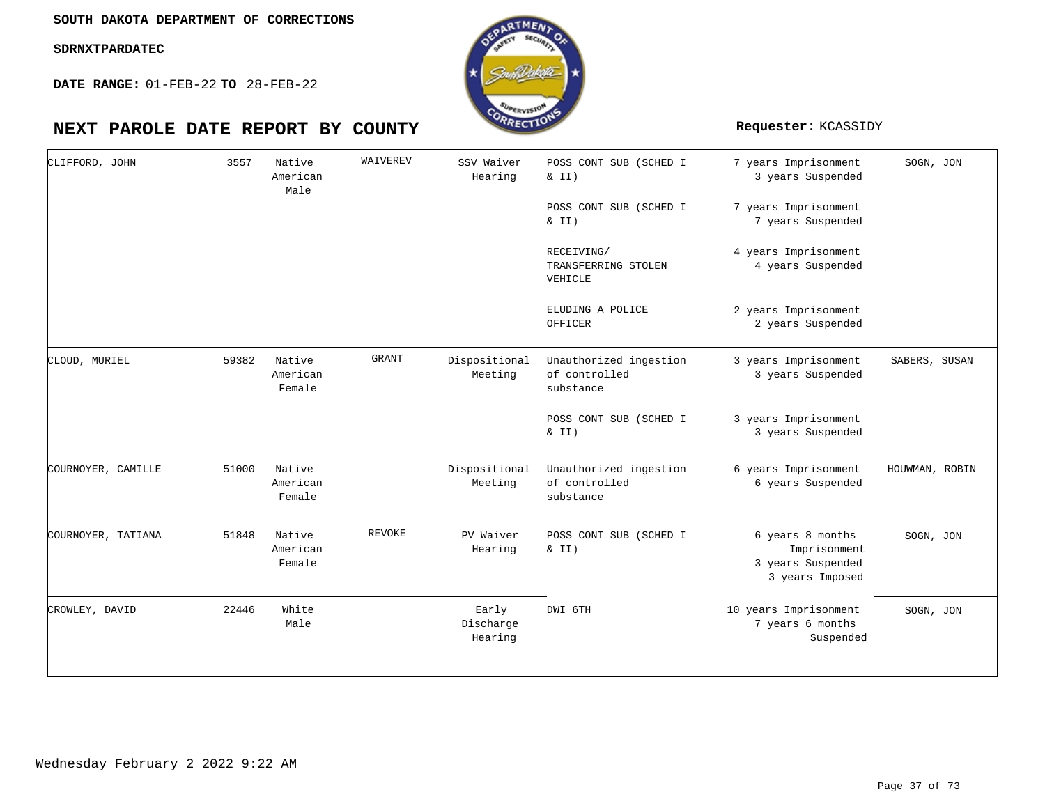**DATE RANGE:** 01-FEB-22 **TO** 28-FEB-22

| CLIFFORD, JOHN     | 3557  | Native<br>American<br>Male   | WAIVEREV     | SSV Waiver<br>Hearing         | POSS CONT SUB (SCHED I<br>& II)<br>POSS CONT SUB (SCHED I | 7 years Imprisonment<br>3 years Suspended<br>7 years Imprisonment        | SOGN, JON      |
|--------------------|-------|------------------------------|--------------|-------------------------------|-----------------------------------------------------------|--------------------------------------------------------------------------|----------------|
|                    |       |                              |              |                               | $\&$ II)                                                  | 7 years Suspended                                                        |                |
|                    |       |                              |              |                               | RECEIVING/<br>TRANSFERRING STOLEN<br>VEHICLE              | 4 years Imprisonment<br>4 years Suspended                                |                |
|                    |       |                              |              |                               | ELUDING A POLICE<br>OFFICER                               | 2 years Imprisonment<br>2 years Suspended                                |                |
| CLOUD, MURIEL      | 59382 | Native<br>American<br>Female | <b>GRANT</b> | Dispositional<br>Meeting      | Unauthorized ingestion<br>of controlled<br>substance      | 3 years Imprisonment<br>3 years Suspended                                | SABERS, SUSAN  |
|                    |       |                              |              |                               | POSS CONT SUB (SCHED I<br>& II)                           | 3 years Imprisonment<br>3 years Suspended                                |                |
| COURNOYER, CAMILLE | 51000 | Native<br>American<br>Female |              | Dispositional<br>Meeting      | Unauthorized ingestion<br>of controlled<br>substance      | 6 years Imprisonment<br>6 years Suspended                                | HOUWMAN, ROBIN |
| COURNOYER, TATIANA | 51848 | Native<br>American<br>Female | REVOKE       | PV Waiver<br>Hearing          | POSS CONT SUB (SCHED I<br>& II)                           | 6 years 8 months<br>Imprisonment<br>3 years Suspended<br>3 years Imposed | SOGN, JON      |
| CROWLEY, DAVID     | 22446 | White<br>Male                |              | Early<br>Discharge<br>Hearing | DWI 6TH                                                   | 10 years Imprisonment<br>7 years 6 months<br>Suspended                   | SOGN, JON      |

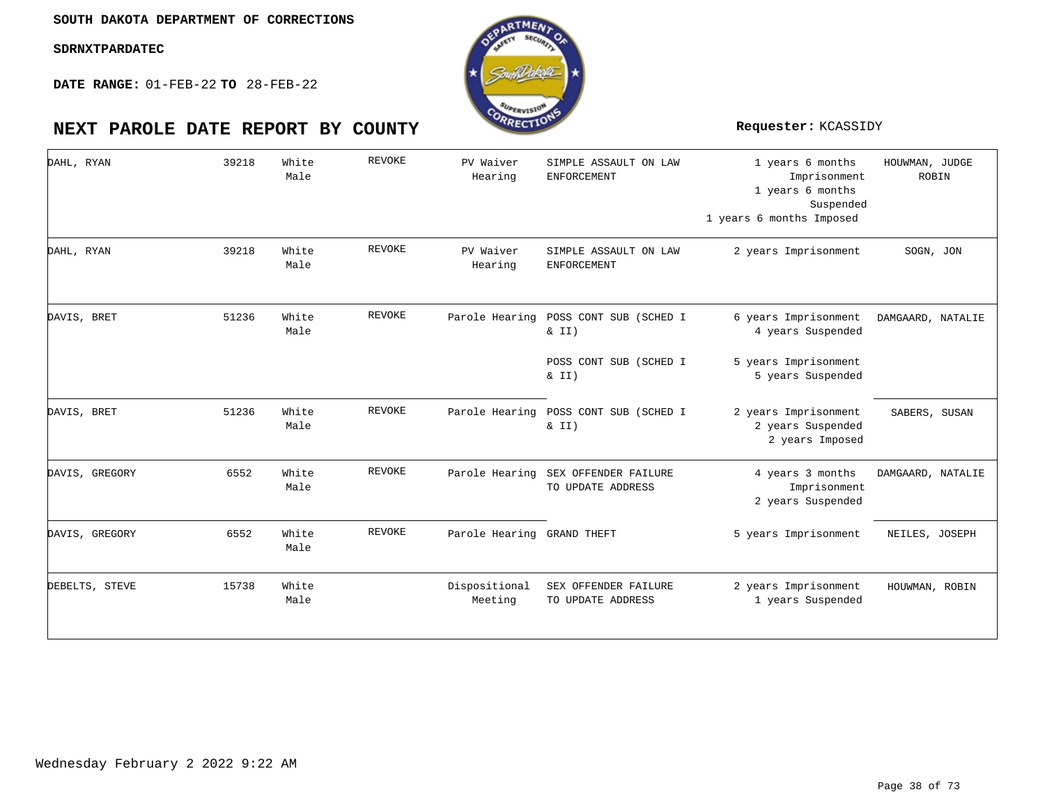

| DAHL, RYAN     | 39218 | White<br>Male | <b>REVOKE</b> | PV Waiver<br>Hearing       | SIMPLE ASSAULT ON LAW<br><b>ENFORCEMENT</b>    | 1 years 6 months<br>Imprisonment<br>1 years 6 months<br>Suspended<br>1 years 6 months Imposed | HOUWMAN, JUDGE<br>ROBIN |
|----------------|-------|---------------|---------------|----------------------------|------------------------------------------------|-----------------------------------------------------------------------------------------------|-------------------------|
| DAHL, RYAN     | 39218 | White<br>Male | <b>REVOKE</b> | PV Waiver<br>Hearing       | SIMPLE ASSAULT ON LAW<br><b>ENFORCEMENT</b>    | 2 years Imprisonment                                                                          | SOGN, JON               |
| DAVIS, BRET    | 51236 | White<br>Male | <b>REVOKE</b> | Parole Hearing             | POSS CONT SUB (SCHED I<br>& II)                | 6 years Imprisonment<br>4 years Suspended                                                     | DAMGAARD, NATALIE       |
|                |       |               |               |                            | POSS CONT SUB (SCHED I<br>& II)                | 5 years Imprisonment<br>5 years Suspended                                                     |                         |
| DAVIS, BRET    | 51236 | White<br>Male | REVOKE        |                            | Parole Hearing POSS CONT SUB (SCHED I<br>& II) | 2 years Imprisonment<br>2 years Suspended<br>2 years Imposed                                  | SABERS, SUSAN           |
| DAVIS, GREGORY | 6552  | White<br>Male | <b>REVOKE</b> | Parole Hearing             | SEX OFFENDER FAILURE<br>TO UPDATE ADDRESS      | 4 years 3 months<br>Imprisonment<br>2 years Suspended                                         | DAMGAARD, NATALIE       |
| DAVIS, GREGORY | 6552  | White<br>Male | REVOKE        | Parole Hearing GRAND THEFT |                                                | 5 years Imprisonment                                                                          | NEILES, JOSEPH          |
| DEBELTS, STEVE | 15738 | White<br>Male |               | Dispositional<br>Meeting   | SEX OFFENDER FAILURE<br>TO UPDATE ADDRESS      | 2 years Imprisonment<br>1 years Suspended                                                     | HOUWMAN, ROBIN          |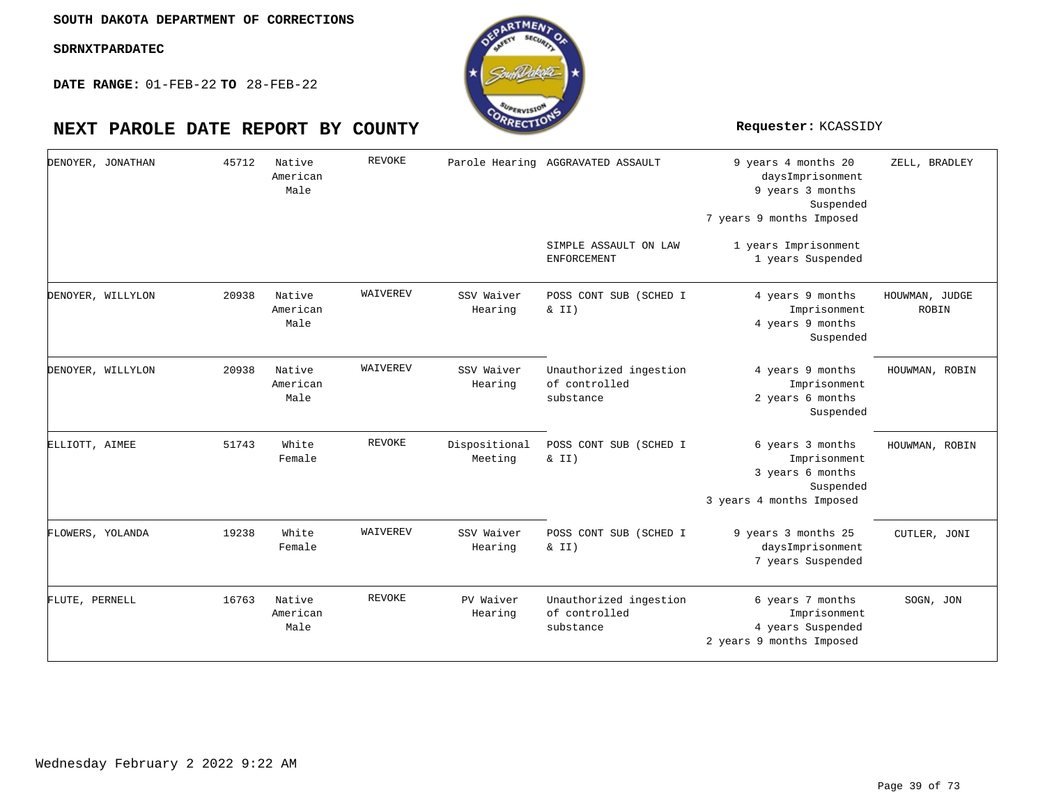**DATE RANGE:** 01-FEB-22 **TO** 28-FEB-22



### 9 years 4 months 20 daysImprisonment 9 years 3 months Suspended 7 years 9 months Imposed 1 years Imprisonment 1 years Suspended 4 years 9 months Imprisonment 4 years 9 months Suspended 4 years 9 months Imprisonment 2 years 6 months Suspended 6 years 3 months Imprisonment 3 years 6 months Suspended 3 years 4 months Imposed 9 years 3 months 25 daysImprisonment 7 years Suspended 6 years 7 months Imprisonment 4 years Suspended 2 years 9 months Imposed Parole Hearing AGGRAVATED ASSAULT SIMPLE ASSAULT ON LAW ENFORCEMENT POSS CONT SUB (SCHED I  $& II)$ Unauthorized ingestion of controlled substance Dispositional POSS CONT SUB (SCHED I  $& II)$ POSS CONT SUB (SCHED I  $& II)$ Unauthorized ingestion of controlled substance Native American Native American Native American White White Native American Male Male Male Female Female Male 45712 20938 20938 51743 19238 16763 DENOYER, JONATHAN DENOYER, WILLYLON DENOYER, WILLYLON ELLIOTT, AIMEE FLOWERS, YOLANDA FLUTE, PERNELL REVOKE WAIVEREV WAIVEREV REVOKE WAIVEREV REVOKE SSV Waiver Hearing SSV Waiver Hearing Meeting SSV Waiver Hearing PV Waiver Hearing ZELL, BRADLEY HOUWMAN, JUDGE ROBIN HOUWMAN, ROBIN HOUWMAN, ROBIN CUTLER, JONI SOGN, JON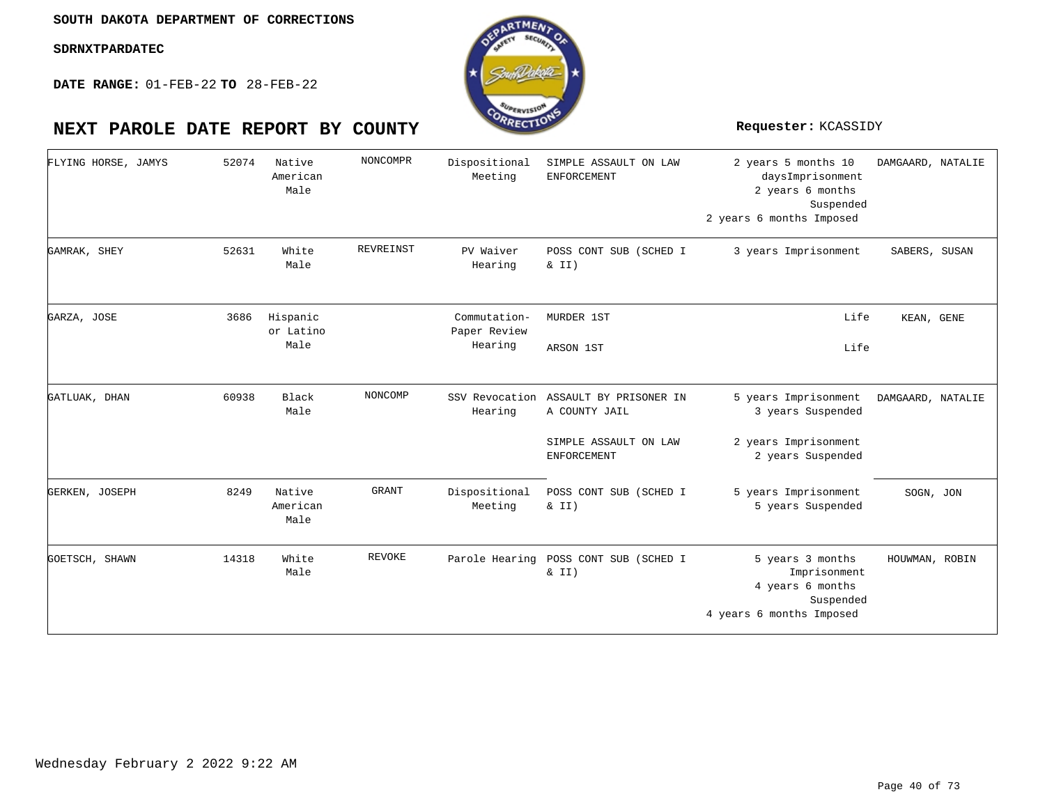**DATE RANGE:** 01-FEB-22 **TO** 28-FEB-22

| FLYING HORSE, JAMYS | 52074 | Native<br>American<br>Male    | NONCOMPR  | Dispositional<br>Meeting                | SIMPLE ASSAULT ON LAW<br>ENFORCEMENT                                                           | 2 years 5 months 10<br>daysImprisonment<br>2 years 6 months<br>Suspended<br>2 years 6 months Imposed | DAMGAARD, NATALIE |
|---------------------|-------|-------------------------------|-----------|-----------------------------------------|------------------------------------------------------------------------------------------------|------------------------------------------------------------------------------------------------------|-------------------|
| GAMRAK, SHEY        | 52631 | White<br>Male                 | REVREINST | PV Waiver<br>Hearing                    | POSS CONT SUB (SCHED I<br>& II)                                                                | 3 years Imprisonment                                                                                 | SABERS, SUSAN     |
| GARZA, JOSE         | 3686  | Hispanic<br>or Latino<br>Male |           | Commutation-<br>Paper Review<br>Hearing | MURDER 1ST<br>ARSON 1ST                                                                        | Life<br>Life                                                                                         | KEAN, GENE        |
| GATLUAK, DHAN       | 60938 | Black<br>Male                 | NONCOMP   | Hearing                                 | SSV Revocation ASSAULT BY PRISONER IN<br>A COUNTY JAIL<br>SIMPLE ASSAULT ON LAW<br>ENFORCEMENT | 5 years Imprisonment<br>3 years Suspended<br>2 years Imprisonment<br>2 years Suspended               | DAMGAARD, NATALIE |
| GERKEN, JOSEPH      | 8249  | Native<br>American<br>Male    | GRANT     | Dispositional<br>Meeting                | POSS CONT SUB (SCHED I<br>& II)                                                                | 5 years Imprisonment<br>5 years Suspended                                                            | SOGN, JON         |
| GOETSCH, SHAWN      | 14318 | White<br>Male                 | REVOKE    | Parole Hearing                          | POSS CONT SUB (SCHED I<br>& II)                                                                | 5 years 3 months<br>Imprisonment<br>4 years 6 months<br>Suspended<br>4 years 6 months Imposed        | HOUWMAN, ROBIN    |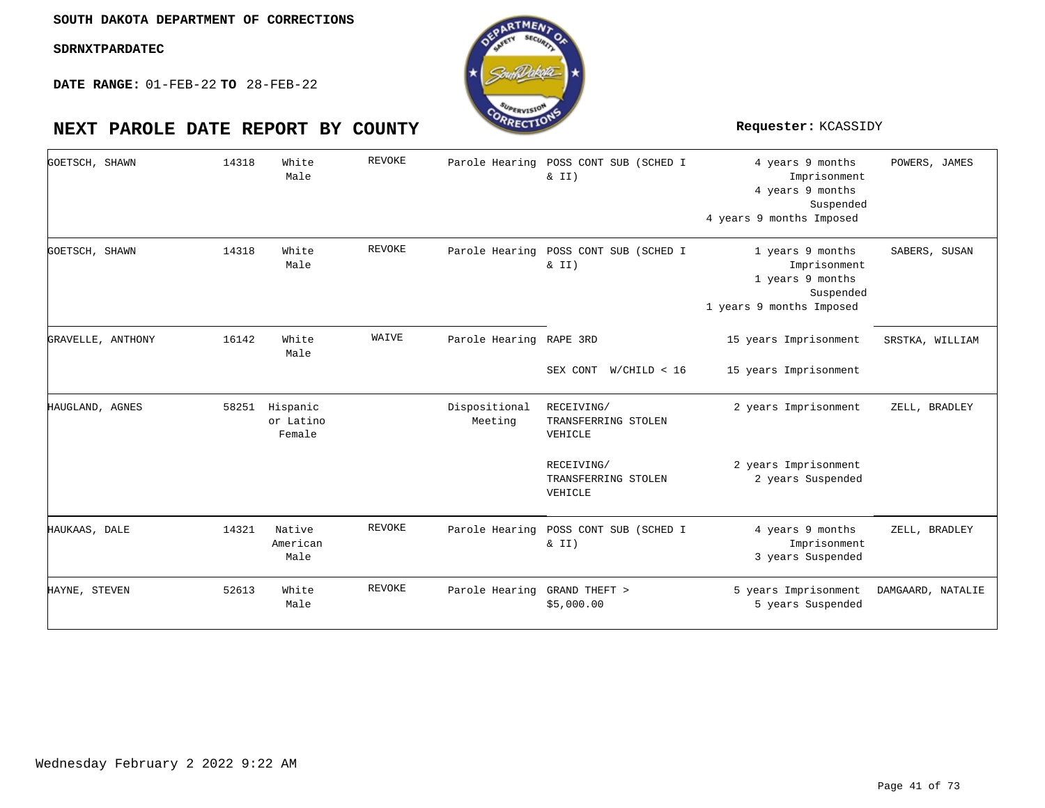**DATE RANGE:** 01-FEB-22 **TO** 28-FEB-22



### 4 years 9 months Imprisonment 4 years 9 months Suspended 4 years 9 months Imposed 1 years 9 months Imprisonment 1 years 9 months Suspended 1 years 9 months Imposed 15 years Imprisonment 15 years Imprisonment 2 years Imprisonment 2 years Imprisonment 2 years Suspended 4 years 9 months Imprisonment 3 years Suspended 5 years Imprisonment 5 years Suspended Parole Hearing POSS CONT SUB (SCHED I & II) Parole Hearing POSS CONT SUB (SCHED I  $& II)$ Parole Hearing RAPE 3RD SEX CONT W/CHILD < 16 Dispositional RECEIVING/ TRANSFERRING STOLEN VEHICLE RECEIVING/ TRANSFERRING STOLEN VEHICLE Parole Hearing POSS CONT SUB (SCHED I  $& II)$ Parole Hearing GRAND THEFT > \$5,000.00 White White White 58251 Hispanic or Latino Native American White Male Male Male Female Male Male 14318 14318 16142 14321 52613 GOETSCH, SHAWN GOETSCH, SHAWN GRAVELLE, ANTHONY HAUGLAND, AGNES HAUKAAS, DALE HAYNE, STEVEN REVOKE REVOKE WAIVE REVOKE REVOKE Meeting POWERS, JAMES SABERS, SUSAN SRSTKA, WILLIAM ZELL, BRADLEY ZELL, BRADLEY DAMGAARD, NATALIE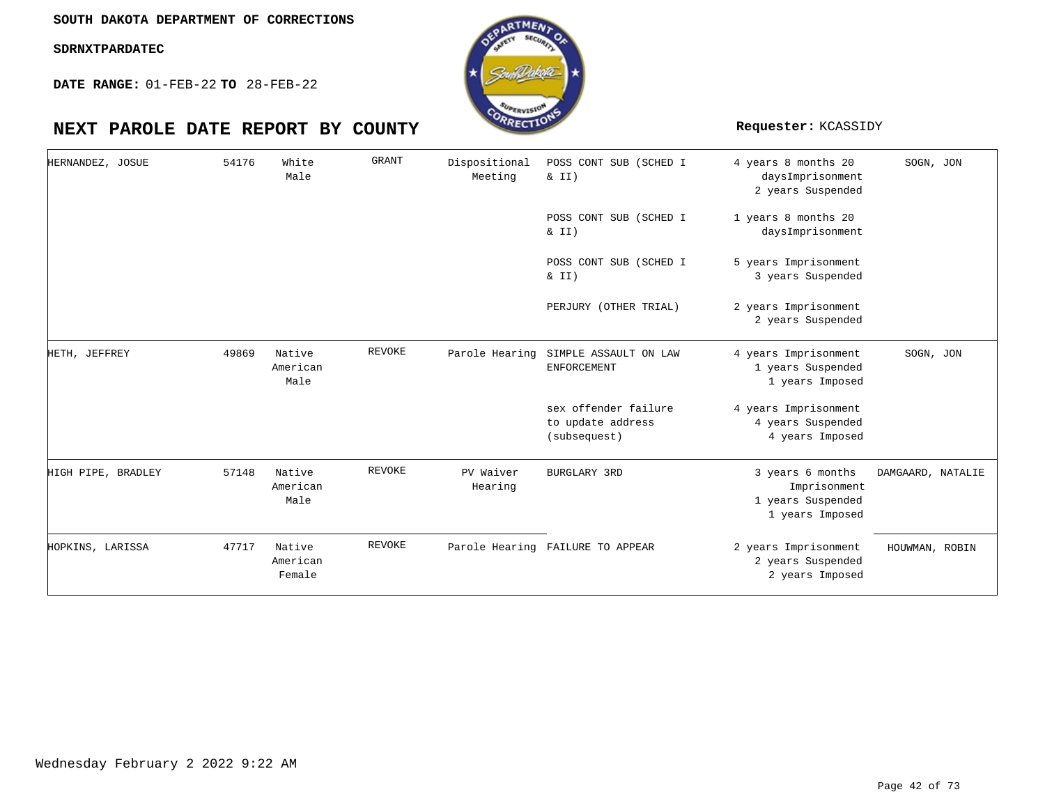**DATE RANGE:** 01-FEB-22 **TO** 28-FEB-22

| HERNANDEZ, JOSUE   | 54176 | White<br>Male                | <b>GRANT</b>  | Dispositional<br>Meeting | POSS CONT SUB (SCHED I<br>& II)                           | 4 years 8 months 20<br>daysImprisonment<br>2 years Suspended             | SOGN, JON         |
|--------------------|-------|------------------------------|---------------|--------------------------|-----------------------------------------------------------|--------------------------------------------------------------------------|-------------------|
|                    |       |                              |               |                          | POSS CONT SUB (SCHED I<br>& II)                           | 1 years 8 months 20<br>daysImprisonment                                  |                   |
|                    |       |                              |               |                          | POSS CONT SUB (SCHED I<br>$\&$ II)                        | 5 years Imprisonment<br>3 years Suspended                                |                   |
|                    |       |                              |               |                          | PERJURY (OTHER TRIAL)                                     | 2 years Imprisonment<br>2 years Suspended                                |                   |
| HETH, JEFFREY      | 49869 | Native<br>American<br>Male   | <b>REVOKE</b> | Parole Hearing           | SIMPLE ASSAULT ON LAW<br>ENFORCEMENT                      | 4 years Imprisonment<br>1 years Suspended<br>1 years Imposed             | SOGN, JON         |
|                    |       |                              |               |                          | sex offender failure<br>to update address<br>(subsequest) | 4 years Imprisonment<br>4 years Suspended<br>4 years Imposed             |                   |
| HIGH PIPE, BRADLEY | 57148 | Native<br>American<br>Male   | <b>REVOKE</b> | PV Waiver<br>Hearing     | BURGLARY 3RD                                              | 3 years 6 months<br>Imprisonment<br>1 years Suspended<br>1 years Imposed | DAMGAARD, NATALIE |
| HOPKINS, LARISSA   | 47717 | Native<br>American<br>Female | <b>REVOKE</b> |                          | Parole Hearing FAILURE TO APPEAR                          | 2 years Imprisonment<br>2 years Suspended<br>2 years Imposed             | HOUWMAN, ROBIN    |

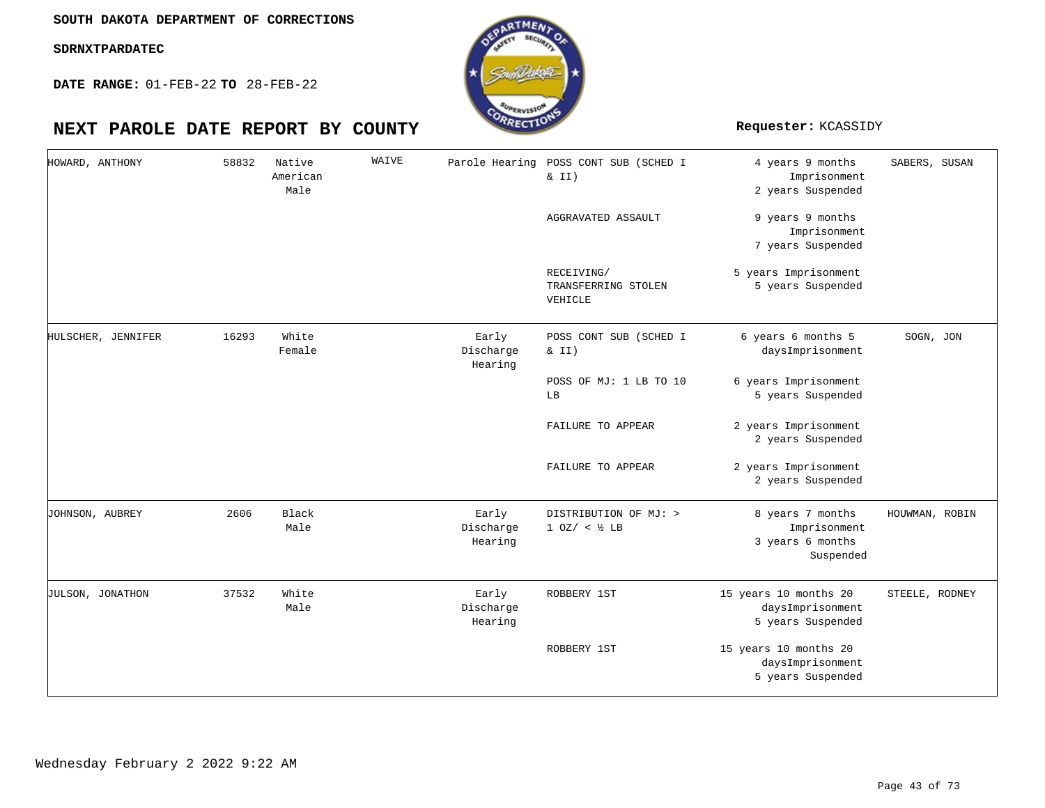**DATE RANGE:** 01-FEB-22 **TO** 28-FEB-22

| HOWARD, ANTHONY         | 58832 | Native<br>American<br>Male | WAIVE | Parole Hearing                | POSS CONT SUB (SCHED I<br>& II)              | 4 years 9 months<br>Imprisonment<br>2 years Suspended             | SABERS, SUSAN  |
|-------------------------|-------|----------------------------|-------|-------------------------------|----------------------------------------------|-------------------------------------------------------------------|----------------|
|                         |       |                            |       |                               | AGGRAVATED ASSAULT                           | 9 years 9 months<br>Imprisonment<br>7 years Suspended             |                |
|                         |       |                            |       |                               | RECEIVING/<br>TRANSFERRING STOLEN<br>VEHICLE | 5 years Imprisonment<br>5 years Suspended                         |                |
| HULSCHER, JENNIFER      | 16293 | White<br>Female            |       | Early<br>Discharge<br>Hearing | POSS CONT SUB (SCHED I<br>& II)              | 6 years 6 months 5<br>daysImprisonment                            | SOGN, JON      |
|                         |       |                            |       |                               | POSS OF MJ: 1 LB TO 10<br>LB                 | 6 years Imprisonment<br>5 years Suspended                         |                |
|                         |       |                            |       |                               | FAILURE TO APPEAR                            | 2 years Imprisonment<br>2 years Suspended                         |                |
|                         |       |                            |       |                               | FAILURE TO APPEAR                            | 2 years Imprisonment<br>2 years Suspended                         |                |
| JOHNSON, AUBREY         | 2606  | Black<br>Male              |       | Early<br>Discharge<br>Hearing | DISTRIBUTION OF MJ: ><br>$1 0Z / < 1/2$ LB   | 8 years 7 months<br>Imprisonment<br>3 years 6 months<br>Suspended | HOUWMAN, ROBIN |
| <b>JULSON, JONATHON</b> | 37532 | White<br>Male              |       | Early<br>Discharge<br>Hearing | ROBBERY 1ST                                  | 15 years 10 months 20<br>daysImprisonment<br>5 years Suspended    | STEELE, RODNEY |
|                         |       |                            |       |                               | ROBBERY 1ST                                  | 15 years 10 months 20<br>daysImprisonment<br>5 years Suspended    |                |

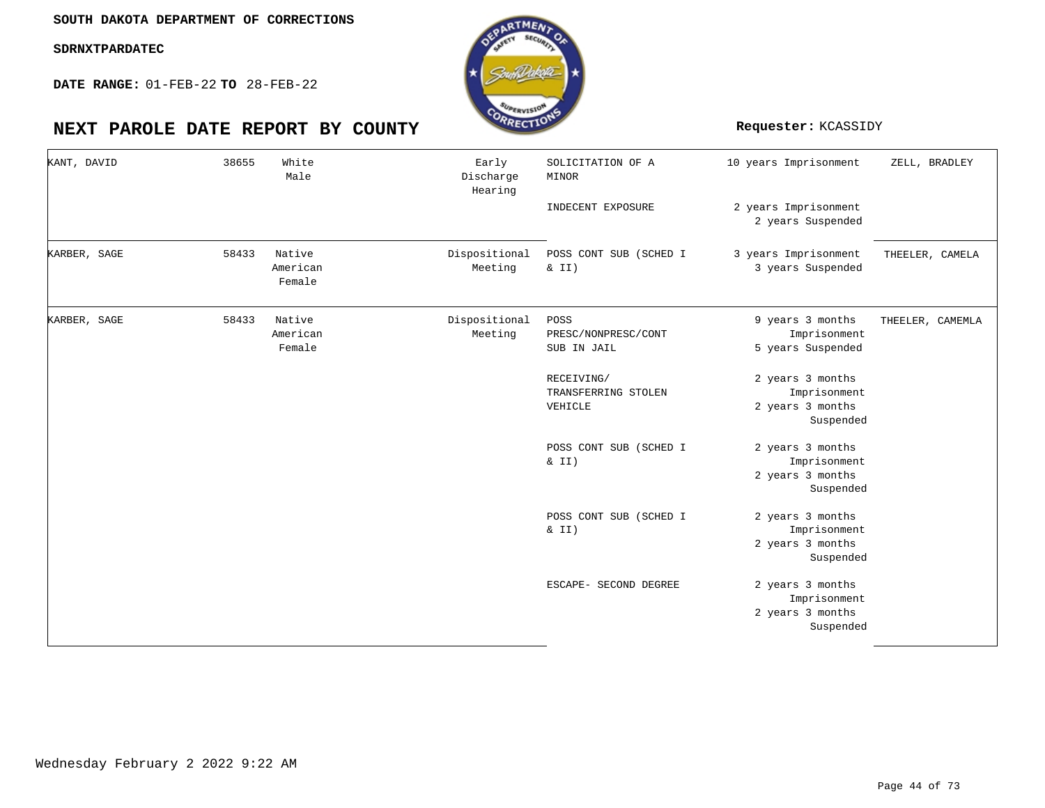**DATE RANGE:** 01-FEB-22 **TO** 28-FEB-22

| KANT, DAVID  | 38655 | White<br>Male                | Early<br>Discharge<br>Hearing | SOLICITATION OF A<br>MINOR                   | 10 years Imprisonment                                             | ZELL, BRADLEY    |
|--------------|-------|------------------------------|-------------------------------|----------------------------------------------|-------------------------------------------------------------------|------------------|
|              |       |                              |                               | INDECENT EXPOSURE                            | 2 years Imprisonment<br>2 years Suspended                         |                  |
| KARBER, SAGE | 58433 | Native<br>American<br>Female | Dispositional<br>Meeting      | POSS CONT SUB (SCHED I<br>& II)              | 3 years Imprisonment<br>3 years Suspended                         | THEELER, CAMELA  |
| KARBER, SAGE | 58433 | Native<br>American<br>Female | Dispositional<br>Meeting      | POSS<br>PRESC/NONPRESC/CONT<br>SUB IN JAIL   | 9 years 3 months<br>Imprisonment<br>5 years Suspended             | THEELER, CAMEMLA |
|              |       |                              |                               | RECEIVING/<br>TRANSFERRING STOLEN<br>VEHICLE | 2 years 3 months<br>Imprisonment<br>2 years 3 months<br>Suspended |                  |
|              |       |                              |                               | POSS CONT SUB (SCHED I<br>& II)              | 2 years 3 months<br>Imprisonment<br>2 years 3 months<br>Suspended |                  |
|              |       |                              |                               | POSS CONT SUB (SCHED I<br>& II)              | 2 years 3 months<br>Imprisonment<br>2 years 3 months<br>Suspended |                  |
|              |       |                              |                               | ESCAPE- SECOND DEGREE                        | 2 years 3 months<br>Imprisonment<br>2 years 3 months<br>Suspended |                  |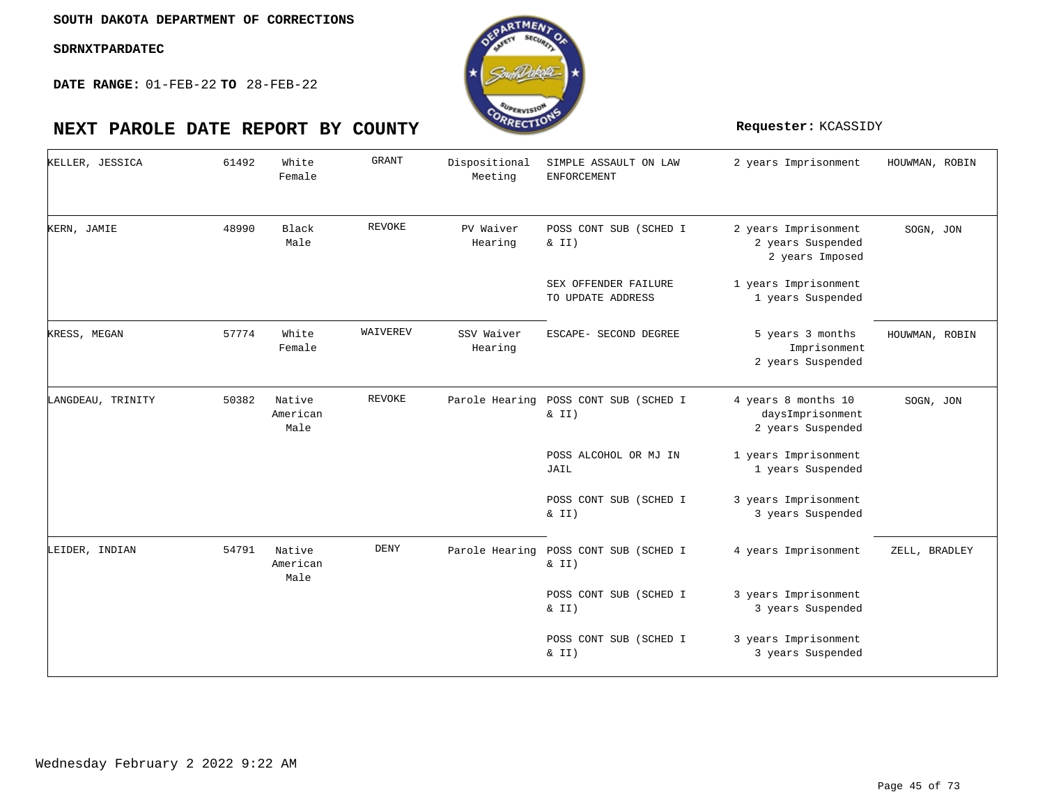**DATE RANGE:** 01-FEB-22 **TO** 28-FEB-22

| KELLER, JESSICA   | 61492 | White<br>Female            | <b>GRANT</b>  | Dispositional<br>Meeting | SIMPLE ASSAULT ON LAW<br><b>ENFORCEMENT</b> | 2 years Imprisonment                                         | HOUWMAN, ROBIN |
|-------------------|-------|----------------------------|---------------|--------------------------|---------------------------------------------|--------------------------------------------------------------|----------------|
| KERN, JAMIE       | 48990 | Black<br>Male              | <b>REVOKE</b> | PV Waiver<br>Hearing     | POSS CONT SUB (SCHED I<br>& II)             | 2 years Imprisonment<br>2 years Suspended<br>2 years Imposed | SOGN, JON      |
|                   |       |                            |               |                          | SEX OFFENDER FAILURE<br>TO UPDATE ADDRESS   | 1 years Imprisonment<br>1 years Suspended                    |                |
| KRESS, MEGAN      | 57774 | White<br>Female            | WAIVEREV      | SSV Waiver<br>Hearing    | ESCAPE- SECOND DEGREE                       | 5 years 3 months<br>Imprisonment<br>2 years Suspended        | HOUWMAN, ROBIN |
| LANGDEAU, TRINITY | 50382 | Native<br>American<br>Male | REVOKE        | Parole Hearing           | POSS CONT SUB (SCHED I<br>$\&$ II)          | 4 years 8 months 10<br>daysImprisonment<br>2 years Suspended | SOGN, JON      |
|                   |       |                            |               |                          | POSS ALCOHOL OR MJ IN<br>JAIL               | 1 years Imprisonment<br>1 years Suspended                    |                |
|                   |       |                            |               |                          | POSS CONT SUB (SCHED I<br>$\&$ II)          | 3 years Imprisonment<br>3 years Suspended                    |                |
| LEIDER, INDIAN    | 54791 | Native<br>American<br>Male | <b>DENY</b>   | Parole Hearing           | POSS CONT SUB (SCHED I<br>& II)             | 4 years Imprisonment                                         | ZELL, BRADLEY  |
|                   |       |                            |               |                          | POSS CONT SUB (SCHED I<br>$\&$ II)          | 3 years Imprisonment<br>3 years Suspended                    |                |
|                   |       |                            |               |                          | POSS CONT SUB (SCHED I<br>$\&$ II)          | 3 years Imprisonment<br>3 years Suspended                    |                |

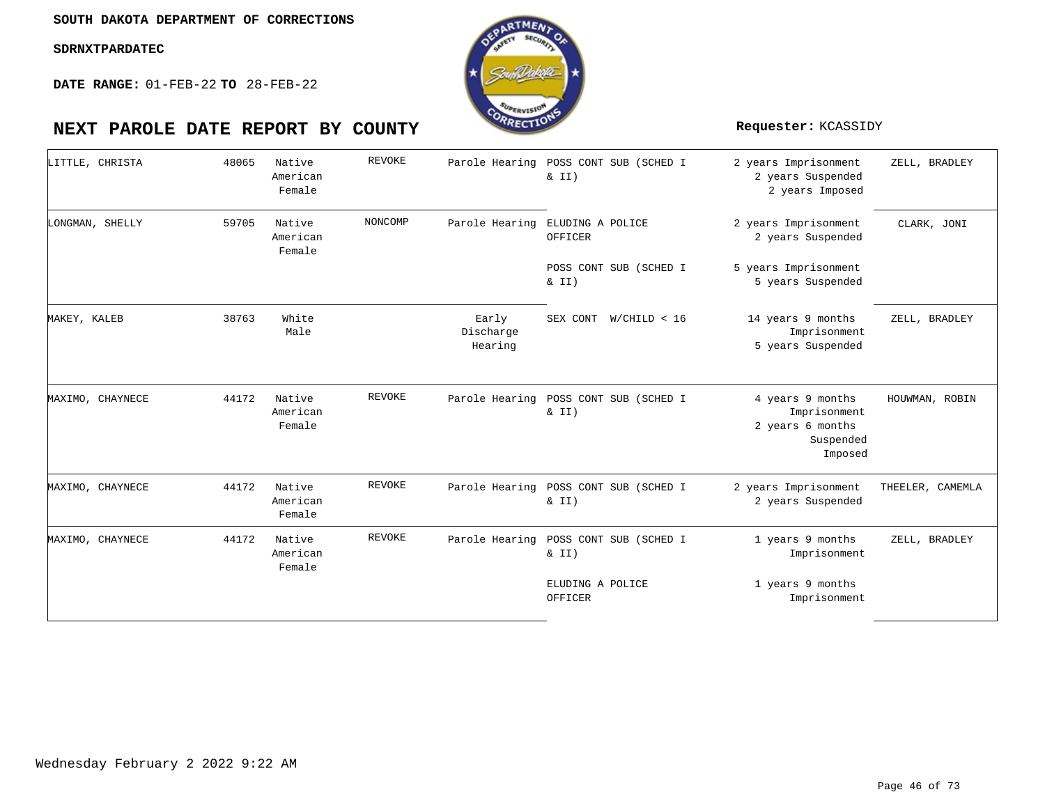

| LITTLE, CHRISTA  | 48065 | Native<br>American<br>Female | REVOKE  |                               | Parole Hearing POSS CONT SUB (SCHED I<br>& II) | 2 years Imprisonment<br>2 years Suspended<br>2 years Imposed                 | ZELL, BRADLEY    |
|------------------|-------|------------------------------|---------|-------------------------------|------------------------------------------------|------------------------------------------------------------------------------|------------------|
| LONGMAN, SHELLY  | 59705 | Native<br>American<br>Female | NONCOMP | Parole Hearing                | ELUDING A POLICE<br>OFFICER                    | 2 years Imprisonment<br>2 years Suspended                                    | CLARK, JONI      |
|                  |       |                              |         |                               | POSS CONT SUB (SCHED I<br>& II)                | 5 years Imprisonment<br>5 years Suspended                                    |                  |
| MAKEY, KALEB     | 38763 | White<br>Male                |         | Early<br>Discharge<br>Hearing | SEX CONT<br>W/CHILD < 16                       | 14 years 9 months<br>Imprisonment<br>5 years Suspended                       | ZELL, BRADLEY    |
| MAXIMO, CHAYNECE | 44172 | Native<br>American<br>Female | REVOKE  | Parole Hearing                | POSS CONT SUB (SCHED I<br>& II)                | 4 years 9 months<br>Imprisonment<br>2 years 6 months<br>Suspended<br>Imposed | HOUWMAN, ROBIN   |
| MAXIMO, CHAYNECE | 44172 | Native<br>American<br>Female | REVOKE  | Parole Hearing                | POSS CONT SUB (SCHED I<br>& II)                | 2 years Imprisonment<br>2 years Suspended                                    | THEELER, CAMEMLA |
| MAXIMO, CHAYNECE | 44172 | Native<br>American<br>Female | REVOKE  | Parole Hearing                | POSS CONT SUB (SCHED I<br>& II)                | 1 years 9 months<br>Imprisonment                                             | ZELL, BRADLEY    |
|                  |       |                              |         |                               | ELUDING A POLICE<br>OFFICER                    | 1 years 9 months<br>Imprisonment                                             |                  |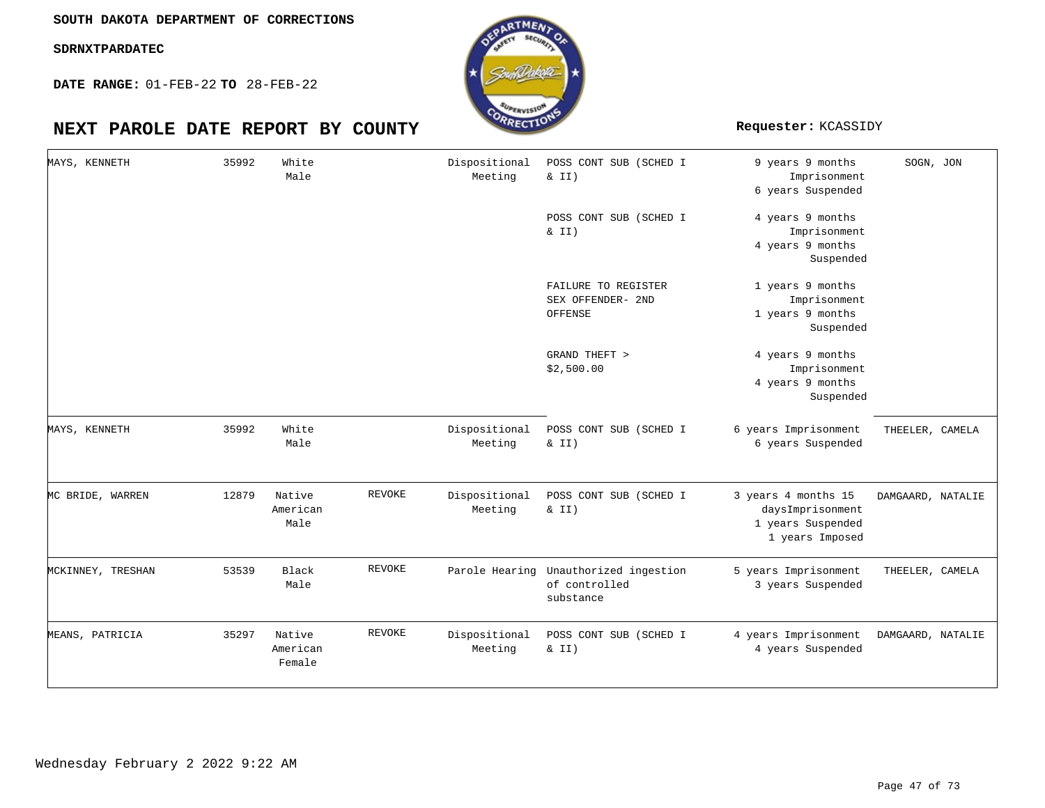**SOUTH DAKOTA DEPARTMENT OF CORRECTIONS**

**SDRNXTPARDATEC**

**DATE RANGE:** 01-FEB-22 **TO** 28-FEB-22



| MAYS, KENNETH     | 35992 | White<br>Male                |               | Dispositional<br>Meeting | POSS CONT SUB (SCHED I<br>& II)                                     | 9 years 9 months<br>Imprisonment<br>6 years Suspended                           | SOGN, JON         |
|-------------------|-------|------------------------------|---------------|--------------------------|---------------------------------------------------------------------|---------------------------------------------------------------------------------|-------------------|
|                   |       |                              |               |                          | POSS CONT SUB (SCHED I<br>& II)                                     | 4 years 9 months<br>Imprisonment<br>4 years 9 months<br>Suspended               |                   |
|                   |       |                              |               |                          | FAILURE TO REGISTER<br>SEX OFFENDER- 2ND<br>OFFENSE                 | 1 years 9 months<br>Imprisonment<br>1 years 9 months<br>Suspended               |                   |
|                   |       |                              |               |                          | GRAND THEFT ><br>\$2,500.00                                         | 4 years 9 months<br>Imprisonment<br>4 years 9 months<br>Suspended               |                   |
| MAYS, KENNETH     | 35992 | White<br>Male                |               | Dispositional<br>Meeting | POSS CONT SUB (SCHED I<br>& II)                                     | 6 years Imprisonment<br>6 years Suspended                                       | THEELER, CAMELA   |
| MC BRIDE, WARREN  | 12879 | Native<br>American<br>Male   | <b>REVOKE</b> | Dispositional<br>Meeting | POSS CONT SUB (SCHED I<br>& II)                                     | 3 years 4 months 15<br>daysImprisonment<br>1 years Suspended<br>1 years Imposed | DAMGAARD, NATALIE |
| MCKINNEY, TRESHAN | 53539 | Black<br>Male                | REVOKE        |                          | Parole Hearing Unauthorized ingestion<br>of controlled<br>substance | 5 years Imprisonment<br>3 years Suspended                                       | THEELER, CAMELA   |
| MEANS, PATRICIA   | 35297 | Native<br>American<br>Female | REVOKE        | Dispositional<br>Meeting | POSS CONT SUB (SCHED I<br>$\&$ II)                                  | 4 years Imprisonment<br>4 years Suspended                                       | DAMGAARD, NATALIE |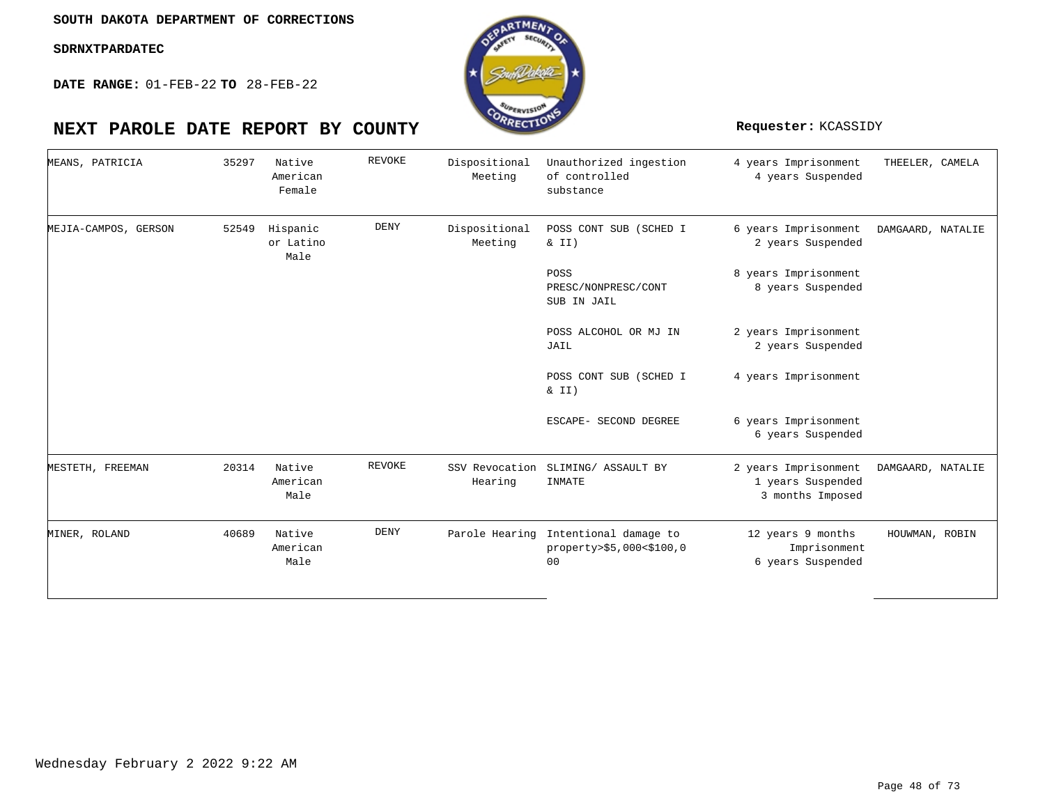**DATE RANGE:** 01-FEB-22 **TO** 28-FEB-22

| MEANS, PATRICIA      | 35297 | Native<br>American<br>Female  | REVOKE        | Dispositional<br>Meeting | Unauthorized ingestion<br>of controlled<br>substance                               | 4 years Imprisonment<br>4 years Suspended                     | THEELER, CAMELA   |
|----------------------|-------|-------------------------------|---------------|--------------------------|------------------------------------------------------------------------------------|---------------------------------------------------------------|-------------------|
| MEJIA-CAMPOS, GERSON | 52549 | Hispanic<br>or Latino<br>Male | <b>DENY</b>   | Dispositional<br>Meeting | POSS CONT SUB (SCHED I<br>$\&$ II)                                                 | 6 years Imprisonment<br>2 years Suspended                     | DAMGAARD, NATALIE |
|                      |       |                               |               |                          | POSS<br>PRESC/NONPRESC/CONT<br>SUB IN JAIL                                         | 8 years Imprisonment<br>8 years Suspended                     |                   |
|                      |       |                               |               |                          | POSS ALCOHOL OR MJ IN<br>JAIL                                                      | 2 years Imprisonment<br>2 years Suspended                     |                   |
|                      |       |                               |               |                          | POSS CONT SUB (SCHED I<br>& II)                                                    | 4 years Imprisonment                                          |                   |
|                      |       |                               |               |                          | ESCAPE- SECOND DEGREE                                                              | 6 years Imprisonment<br>6 years Suspended                     |                   |
| MESTETH, FREEMAN     | 20314 | Native<br>American<br>Male    | <b>REVOKE</b> | Hearing                  | SSV Revocation SLIMING/ ASSAULT BY<br>INMATE                                       | 2 years Imprisonment<br>1 years Suspended<br>3 months Imposed | DAMGAARD, NATALIE |
| MINER, ROLAND        | 40689 | Native<br>American<br>Male    | <b>DENY</b>   |                          | Parole Hearing Intentional damage to<br>property>\$5,000<\$100,0<br>0 <sub>0</sub> | 12 years 9 months<br>Imprisonment<br>6 years Suspended        | HOUWMAN, ROBIN    |

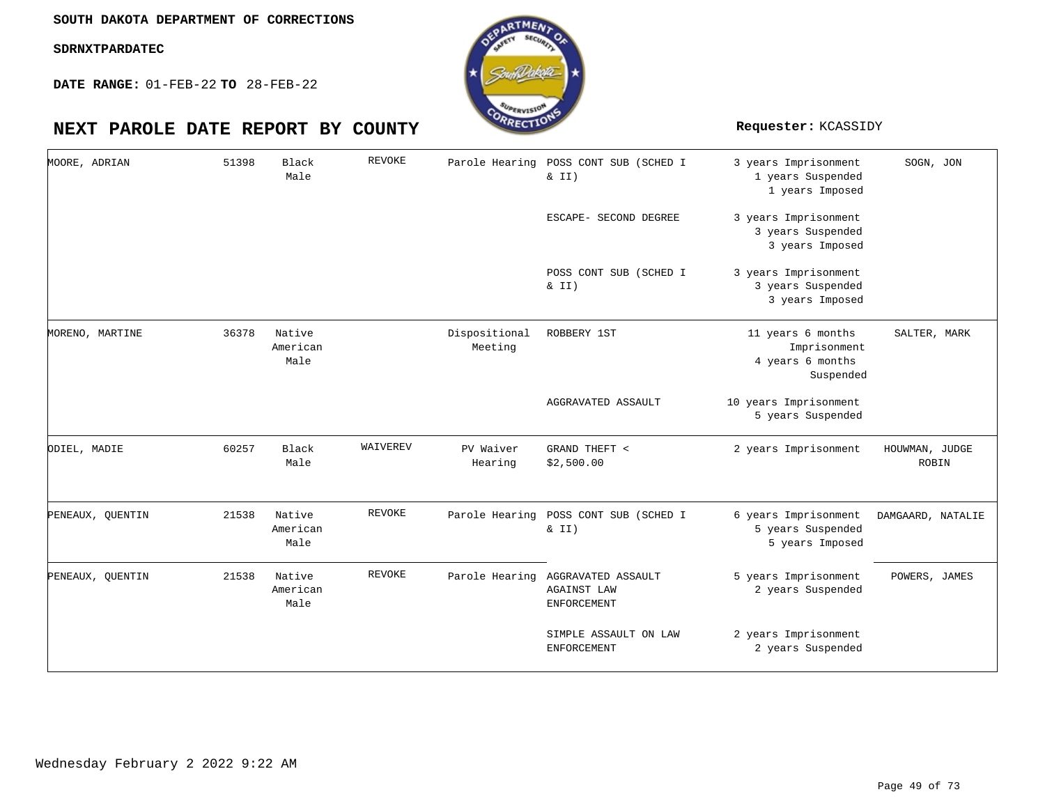**DATE RANGE:** 01-FEB-22 **TO** 28-FEB-22

| MOORE, ADRIAN    | 51398 | Black<br>Male              | REVOKE   |                          | Parole Hearing POSS CONT SUB (SCHED I<br>& II)                 | 3 years Imprisonment<br>1 years Suspended<br>1 years Imposed       | SOGN, JON               |
|------------------|-------|----------------------------|----------|--------------------------|----------------------------------------------------------------|--------------------------------------------------------------------|-------------------------|
|                  |       |                            |          |                          | ESCAPE- SECOND DEGREE                                          | 3 years Imprisonment<br>3 years Suspended<br>3 years Imposed       |                         |
|                  |       |                            |          |                          | POSS CONT SUB (SCHED I<br>$\&$ II)                             | 3 years Imprisonment<br>3 years Suspended<br>3 years Imposed       |                         |
| MORENO, MARTINE  | 36378 | Native<br>American<br>Male |          | Dispositional<br>Meeting | ROBBERY 1ST                                                    | 11 years 6 months<br>Imprisonment<br>4 years 6 months<br>Suspended | SALTER, MARK            |
|                  |       |                            |          |                          | AGGRAVATED ASSAULT                                             | 10 years Imprisonment<br>5 years Suspended                         |                         |
| ODIEL, MADIE     | 60257 | Black<br>Male              | WAIVEREV | PV Waiver<br>Hearing     | GRAND THEFT <<br>\$2,500.00                                    | 2 years Imprisonment                                               | HOUWMAN, JUDGE<br>ROBIN |
| PENEAUX, QUENTIN | 21538 | Native<br>American<br>Male | REVOKE   | Parole Hearing           | POSS CONT SUB (SCHED I<br>& II)                                | 6 years Imprisonment<br>5 years Suspended<br>5 years Imposed       | DAMGAARD, NATALIE       |
| PENEAUX, QUENTIN | 21538 | Native<br>American<br>Male | REVOKE   | Parole Hearing           | AGGRAVATED ASSAULT<br><b>AGAINST LAW</b><br><b>ENFORCEMENT</b> | 5 years Imprisonment<br>2 years Suspended                          | POWERS, JAMES           |
|                  |       |                            |          |                          | SIMPLE ASSAULT ON LAW<br><b>ENFORCEMENT</b>                    | 2 years Imprisonment<br>2 years Suspended                          |                         |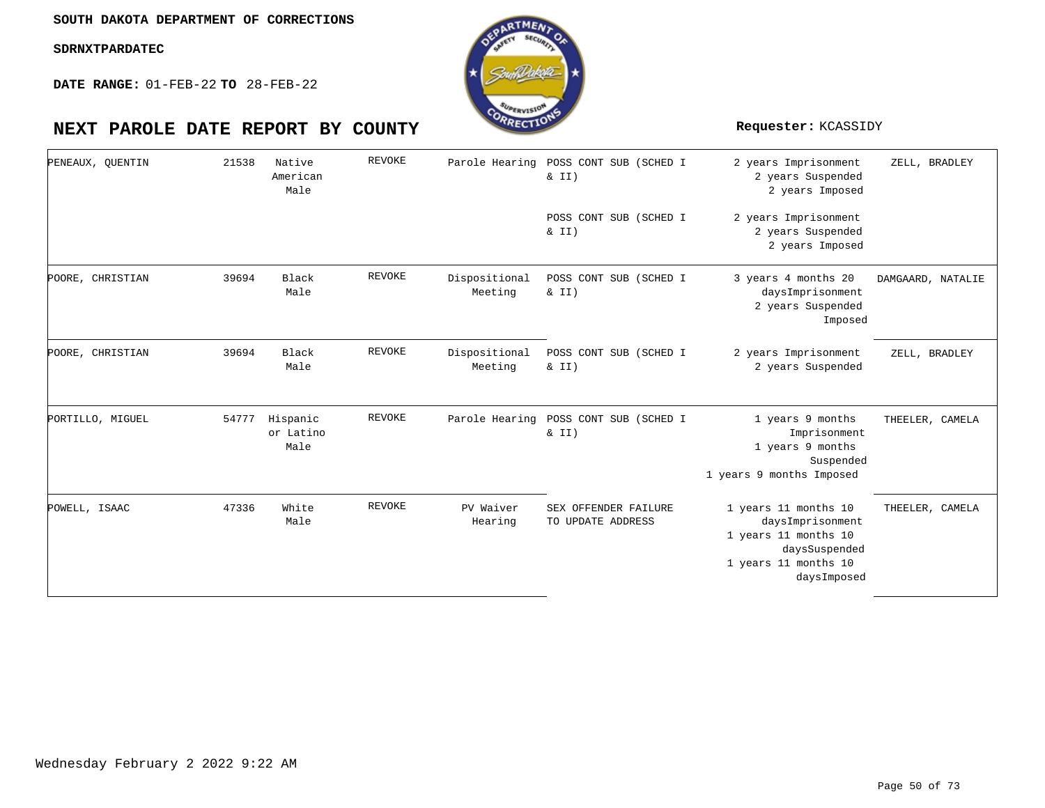

| PENEAUX, QUENTIN | 21538 | Native<br>American<br>Male    | <b>REVOKE</b> |                          | Parole Hearing POSS CONT SUB (SCHED I<br>& II) | 2 years Imprisonment<br>2 years Suspended<br>2 years Imposed                                                             | ZELL, BRADLEY     |
|------------------|-------|-------------------------------|---------------|--------------------------|------------------------------------------------|--------------------------------------------------------------------------------------------------------------------------|-------------------|
|                  |       |                               |               |                          | POSS CONT SUB (SCHED I<br>$\& II)$             | 2 years Imprisonment<br>2 years Suspended<br>2 years Imposed                                                             |                   |
| POORE, CHRISTIAN | 39694 | Black<br>Male                 | REVOKE        | Dispositional<br>Meeting | POSS CONT SUB (SCHED I<br>& II)                | 3 years 4 months 20<br>daysImprisonment<br>2 years Suspended<br>Imposed                                                  | DAMGAARD, NATALIE |
| POORE, CHRISTIAN | 39694 | Black<br>Male                 | REVOKE        | Dispositional<br>Meeting | POSS CONT SUB (SCHED I<br>& II)                | 2 years Imprisonment<br>2 years Suspended                                                                                | ZELL, BRADLEY     |
| PORTILLO, MIGUEL | 54777 | Hispanic<br>or Latino<br>Male | REVOKE        | Parole Hearing           | POSS CONT SUB (SCHED I<br>& II)                | 1 years 9 months<br>Imprisonment<br>1 years 9 months<br>Suspended<br>1 years 9 months Imposed                            | THEELER, CAMELA   |
| POWELL, ISAAC    | 47336 | White<br>Male                 | REVOKE        | PV Waiver<br>Hearing     | SEX OFFENDER FAILURE<br>TO UPDATE ADDRESS      | 1 years 11 months 10<br>daysImprisonment<br>1 years 11 months 10<br>daysSuspended<br>1 years 11 months 10<br>daysImposed | THEELER, CAMELA   |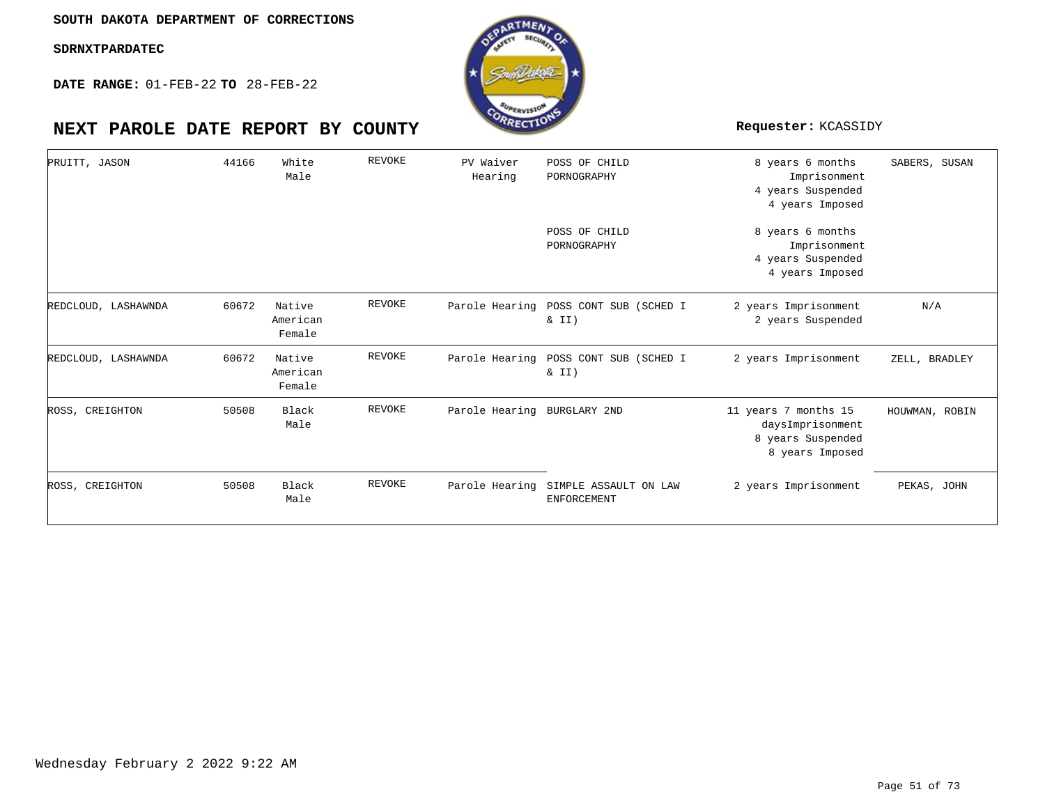**DATE RANGE:** 01-FEB-22 **TO** 28-FEB-22

| PRUITT, JASON       | 44166 | White<br>Male                | REVOKE        | PV Waiver<br>Hearing | POSS OF CHILD<br>PORNOGRAPHY                | 8 years 6 months<br>Imprisonment<br>4 years Suspended<br>4 years Imposed         | SABERS, SUSAN  |
|---------------------|-------|------------------------------|---------------|----------------------|---------------------------------------------|----------------------------------------------------------------------------------|----------------|
|                     |       |                              |               |                      | POSS OF CHILD<br>PORNOGRAPHY                | 8 years 6 months<br>Imprisonment<br>4 years Suspended<br>4 years Imposed         |                |
| REDCLOUD, LASHAWNDA | 60672 | Native<br>American<br>Female | REVOKE        | Parole Hearing       | POSS CONT SUB (SCHED I<br>$\&$ II)          | 2 years Imprisonment<br>2 years Suspended                                        | N/A            |
| REDCLOUD, LASHAWNDA | 60672 | Native<br>American<br>Female | REVOKE        | Parole Hearing       | POSS CONT SUB (SCHED I<br>& II)             | 2 years Imprisonment                                                             | ZELL, BRADLEY  |
| ROSS, CREIGHTON     | 50508 | Black<br>Male                | <b>REVOKE</b> | Parole Hearing       | BURGLARY 2ND                                | 11 years 7 months 15<br>daysImprisonment<br>8 years Suspended<br>8 years Imposed | HOUWMAN, ROBIN |
| ROSS, CREIGHTON     | 50508 | Black<br>Male                | REVOKE        | Parole Hearing       | SIMPLE ASSAULT ON LAW<br><b>ENFORCEMENT</b> | 2 years Imprisonment                                                             | PEKAS, JOHN    |

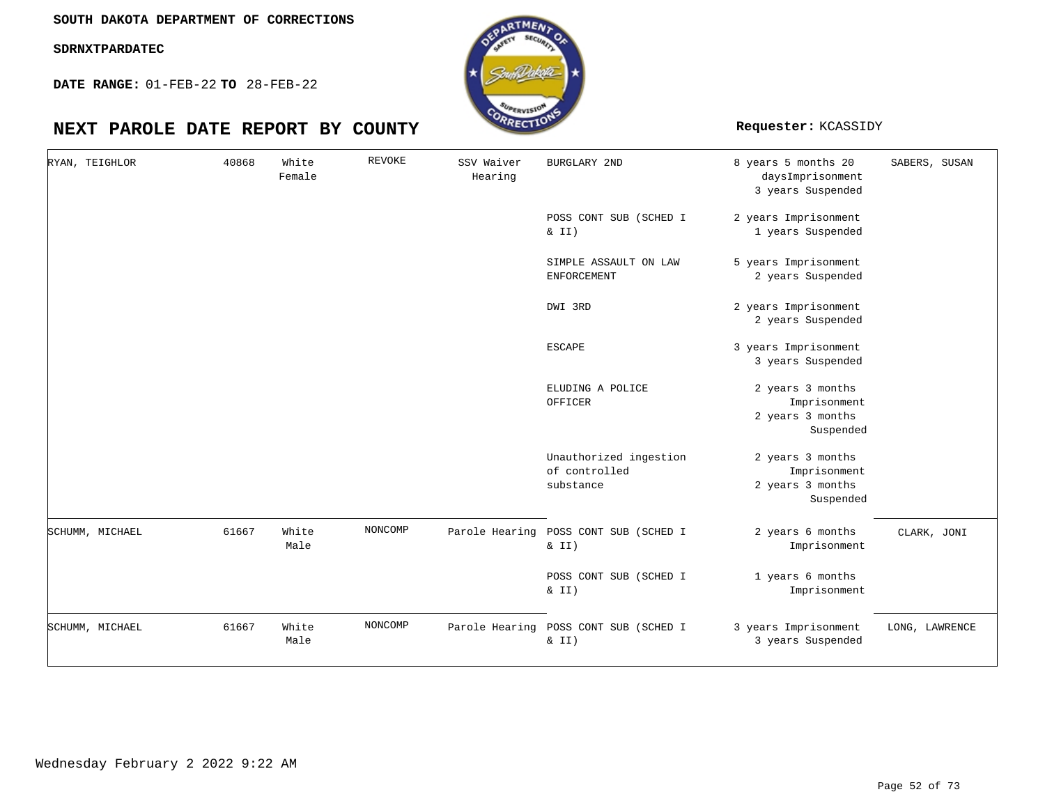**DATE RANGE:** 01-FEB-22 **TO** 28-FEB-22



| RYAN, TEIGHLOR  | 40868 | White<br>Female | <b>REVOKE</b> | SSV Waiver<br>Hearing | <b>BURGLARY 2ND</b>                                  | 8 years 5 months 20<br>daysImprisonment<br>3 years Suspended      | SABERS, SUSAN  |
|-----------------|-------|-----------------|---------------|-----------------------|------------------------------------------------------|-------------------------------------------------------------------|----------------|
|                 |       |                 |               |                       | POSS CONT SUB (SCHED I<br>$\& II)$                   | 2 years Imprisonment<br>1 years Suspended                         |                |
|                 |       |                 |               |                       | SIMPLE ASSAULT ON LAW<br>ENFORCEMENT                 | 5 years Imprisonment<br>2 years Suspended                         |                |
|                 |       |                 |               |                       | DWI 3RD                                              | 2 years Imprisonment<br>2 years Suspended                         |                |
|                 |       |                 |               |                       | <b>ESCAPE</b>                                        | 3 years Imprisonment<br>3 years Suspended                         |                |
|                 |       |                 |               |                       | ELUDING A POLICE<br>OFFICER                          | 2 years 3 months<br>Imprisonment<br>2 years 3 months<br>Suspended |                |
|                 |       |                 |               |                       | Unauthorized ingestion<br>of controlled<br>substance | 2 years 3 months<br>Imprisonment<br>2 years 3 months<br>Suspended |                |
| SCHUMM, MICHAEL | 61667 | White<br>Male   | NONCOMP       |                       | Parole Hearing POSS CONT SUB (SCHED I<br>$\& II)$    | 2 years 6 months<br>Imprisonment                                  | CLARK, JONI    |
|                 |       |                 |               |                       | POSS CONT SUB (SCHED I<br>$\&$ II)                   | 1 years 6 months<br>Imprisonment                                  |                |
| SCHUMM, MICHAEL | 61667 | White<br>Male   | NONCOMP       | Parole Hearing        | POSS CONT SUB (SCHED I<br>$\&$ II)                   | 3 years Imprisonment<br>3 years Suspended                         | LONG, LAWRENCE |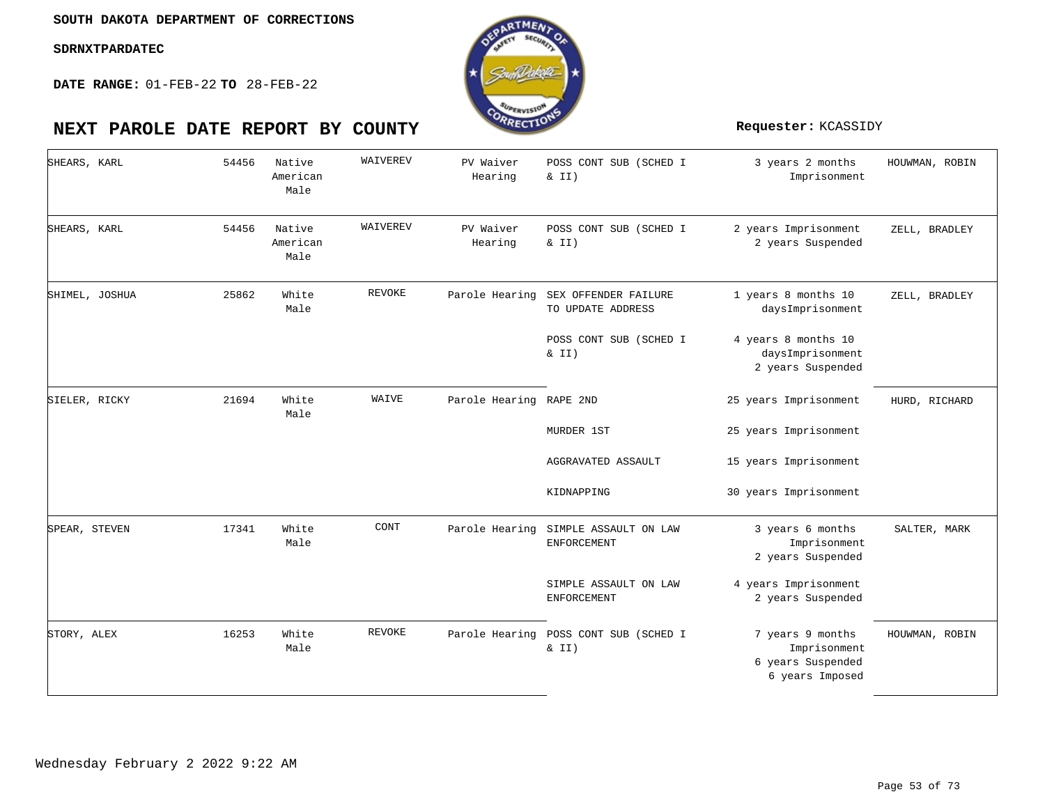

| SHEARS, KARL  |                | 54456 | Native<br>American<br>Male | WAIVEREV      | PV Waiver<br>Hearing    | POSS CONT SUB (SCHED I<br>& II)           | 3 years 2 months<br>Imprisonment                                         | HOUWMAN, ROBIN |
|---------------|----------------|-------|----------------------------|---------------|-------------------------|-------------------------------------------|--------------------------------------------------------------------------|----------------|
| SHEARS, KARL  |                | 54456 | Native<br>American<br>Male | WAIVEREV      | PV Waiver<br>Hearing    | POSS CONT SUB (SCHED I<br>& II)           | 2 years Imprisonment<br>2 years Suspended                                | ZELL, BRADLEY  |
|               | SHIMEL, JOSHUA | 25862 | White<br>Male              | REVOKE        | Parole Hearing          | SEX OFFENDER FAILURE<br>TO UPDATE ADDRESS | 1 years 8 months 10<br>daysImprisonment                                  | ZELL, BRADLEY  |
|               |                |       |                            |               |                         | POSS CONT SUB (SCHED I<br>$\&$ II)        | 4 years 8 months 10<br>daysImprisonment<br>2 years Suspended             |                |
| SIELER, RICKY |                | 21694 | White<br>Male              | WAIVE         | Parole Hearing RAPE 2ND |                                           | 25 years Imprisonment                                                    | HURD, RICHARD  |
|               |                |       |                            |               |                         | MURDER 1ST                                | 25 years Imprisonment                                                    |                |
|               |                |       |                            |               |                         | AGGRAVATED ASSAULT                        | 15 years Imprisonment                                                    |                |
|               |                |       |                            |               |                         | KIDNAPPING                                | 30 years Imprisonment                                                    |                |
| SPEAR, STEVEN |                | 17341 | White<br>Male              | CONT          | Parole Hearing          | SIMPLE ASSAULT ON LAW<br>ENFORCEMENT      | 3 years 6 months<br>Imprisonment<br>2 years Suspended                    | SALTER, MARK   |
|               |                |       |                            |               |                         | SIMPLE ASSAULT ON LAW<br>ENFORCEMENT      | 4 years Imprisonment<br>2 years Suspended                                |                |
| STORY, ALEX   |                | 16253 | White<br>Male              | <b>REVOKE</b> | Parole Hearing          | POSS CONT SUB (SCHED I<br>$\&$ II)        | 7 years 9 months<br>Imprisonment<br>6 years Suspended<br>6 years Imposed | HOUWMAN, ROBIN |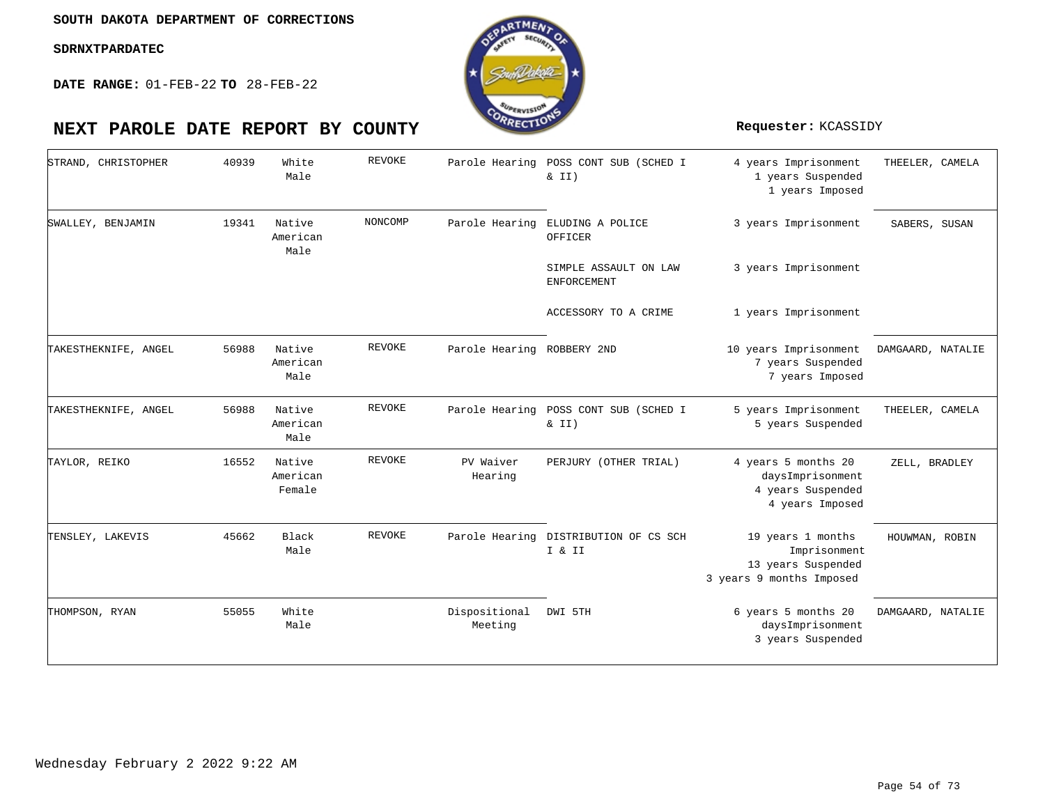

| STRAND, CHRISTOPHER  | 40939 | White<br>Male                | <b>REVOKE</b> |                            | Parole Hearing POSS CONT SUB (SCHED I<br>& II)  | 4 years Imprisonment<br>1 years Suspended<br>1 years Imposed                        | THEELER, CAMELA   |
|----------------------|-------|------------------------------|---------------|----------------------------|-------------------------------------------------|-------------------------------------------------------------------------------------|-------------------|
| SWALLEY, BENJAMIN    | 19341 | Native<br>American<br>Male   | NONCOMP       | Parole Hearing             | ELUDING A POLICE<br>OFFICER                     | 3 years Imprisonment                                                                | SABERS, SUSAN     |
|                      |       |                              |               |                            | SIMPLE ASSAULT ON LAW<br><b>ENFORCEMENT</b>     | 3 years Imprisonment                                                                |                   |
|                      |       |                              |               |                            | ACCESSORY TO A CRIME                            | 1 years Imprisonment                                                                |                   |
| TAKESTHEKNIFE, ANGEL | 56988 | Native<br>American<br>Male   | REVOKE        | Parole Hearing ROBBERY 2ND |                                                 | 10 years Imprisonment<br>7 years Suspended<br>7 years Imposed                       | DAMGAARD, NATALIE |
| TAKESTHEKNIFE, ANGEL | 56988 | Native<br>American<br>Male   | REVOKE        |                            | Parole Hearing POSS CONT SUB (SCHED I<br>& II)  | 5 years Imprisonment<br>5 years Suspended                                           | THEELER, CAMELA   |
| TAYLOR, REIKO        | 16552 | Native<br>American<br>Female | <b>REVOKE</b> | PV Waiver<br>Hearing       | PERJURY (OTHER TRIAL)                           | 4 years 5 months 20<br>daysImprisonment<br>4 years Suspended<br>4 years Imposed     | ZELL, BRADLEY     |
| TENSLEY, LAKEVIS     | 45662 | Black<br>Male                | REVOKE        |                            | Parole Hearing DISTRIBUTION OF CS SCH<br>I & II | 19 years 1 months<br>Imprisonment<br>13 years Suspended<br>3 years 9 months Imposed | HOUWMAN, ROBIN    |
| THOMPSON, RYAN       | 55055 | White<br>Male                |               | Dispositional<br>Meeting   | DWI 5TH                                         | 6 years 5 months 20<br>daysImprisonment<br>3 years Suspended                        | DAMGAARD, NATALIE |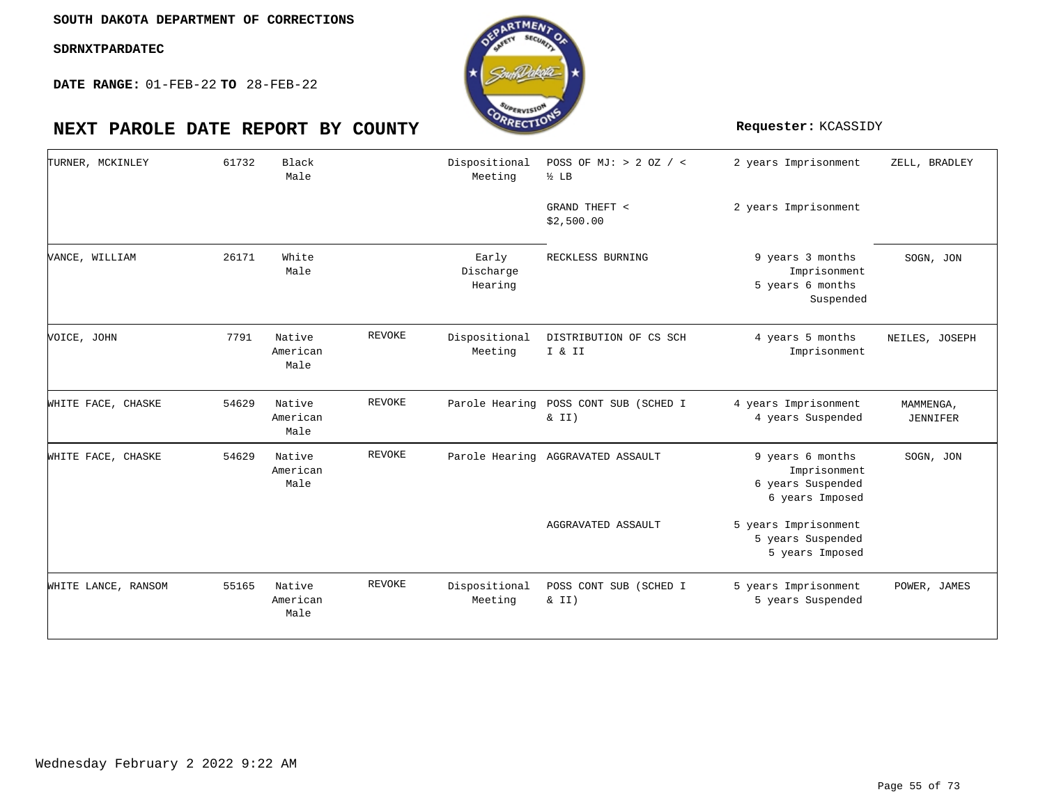**DATE RANGE:** 01-FEB-22 **TO** 28-FEB-22



### 2 years Imprisonment 2 years Imprisonment 9 years 3 months Imprisonment 5 years 6 months Suspended 4 years 5 months Imprisonment 4 years Imprisonment 4 years Suspended 9 years 6 months Imprisonment 6 years Suspended 6 years Imposed 5 years Imprisonment 5 years Suspended 5 years Imposed 5 years Imprisonment 5 years Suspended POSS OF MJ: > 2 OZ / < ½ LB GRAND THEFT < \$2,500.00 RECKLESS BURNING Dispositional DISTRIBUTION OF CS SCH I & II Parole Hearing POSS CONT SUB (SCHED I  $& II)$ Parole Hearing AGGRAVATED ASSAULT AGGRAVATED ASSAULT POSS CONT SUB (SCHED I  $& II)$ Black White Native American Native American Native American Native American Male Male Male Male Male Male 61732 26171 7791 54629 54629 55165 TURNER, MCKINLEY VANCE, WILLIAM VOICE, JOHN WHITE FACE, CHASKE WHITE FACE, CHASKE WHITE LANCE, RANSOM REVOKE REVOKE REVOKE REVOKE Dispositional Meeting Early Discharge Hearing Meeting Dispositional Meeting ZELL, BRADLEY SOGN, JON NEILES, JOSEPH MAMMENGA, JENNIFER SOGN, JON POWER, JAMES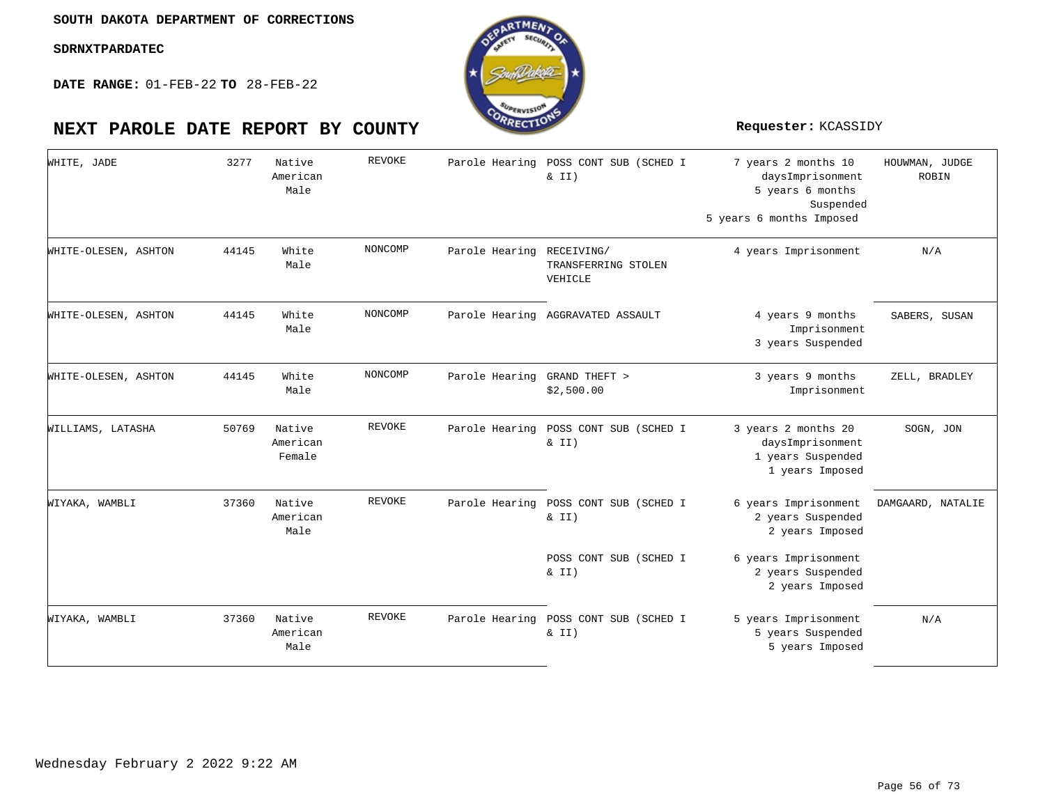

| WHITE, JADE          | 3277  | Native<br>American<br>Male   | <b>REVOKE</b> | Parole Hearing               | POSS CONT SUB (SCHED I<br>& II)                | 7 years 2 months 10<br>daysImprisonment<br>5 years 6 months<br>Suspended<br>5 years 6 months Imposed | HOUWMAN, JUDGE<br><b>ROBIN</b> |
|----------------------|-------|------------------------------|---------------|------------------------------|------------------------------------------------|------------------------------------------------------------------------------------------------------|--------------------------------|
| WHITE-OLESEN, ASHTON | 44145 | White<br>Male                | NONCOMP       | Parole Hearing RECEIVING/    | TRANSFERRING STOLEN<br>VEHICLE                 | 4 years Imprisonment                                                                                 | N/A                            |
| WHITE-OLESEN, ASHTON | 44145 | White<br>Male                | NONCOMP       |                              | Parole Hearing AGGRAVATED ASSAULT              | 4 years 9 months<br>Imprisonment<br>3 years Suspended                                                | SABERS, SUSAN                  |
| WHITE-OLESEN, ASHTON | 44145 | White<br>Male                | NONCOMP       | Parole Hearing GRAND THEFT > | \$2,500.00                                     | 3 years 9 months<br>Imprisonment                                                                     | ZELL, BRADLEY                  |
| WILLIAMS, LATASHA    | 50769 | Native<br>American<br>Female | REVOKE        |                              | Parole Hearing POSS CONT SUB (SCHED I<br>& II) | 3 years 2 months 20<br>daysImprisonment<br>1 years Suspended<br>1 years Imposed                      | SOGN, JON                      |
| WIYAKA, WAMBLI       | 37360 | Native<br>American<br>Male   | REVOKE        | Parole Hearing               | POSS CONT SUB (SCHED I<br>& II)                | 6 years Imprisonment<br>2 years Suspended<br>2 years Imposed                                         | DAMGAARD, NATALIE              |
|                      |       |                              |               |                              | POSS CONT SUB (SCHED I<br>& II)                | 6 years Imprisonment<br>2 years Suspended<br>2 years Imposed                                         |                                |
| WIYAKA, WAMBLI       | 37360 | Native<br>American<br>Male   | REVOKE        |                              | Parole Hearing POSS CONT SUB (SCHED I<br>& II) | 5 years Imprisonment<br>5 years Suspended<br>5 years Imposed                                         | N/A                            |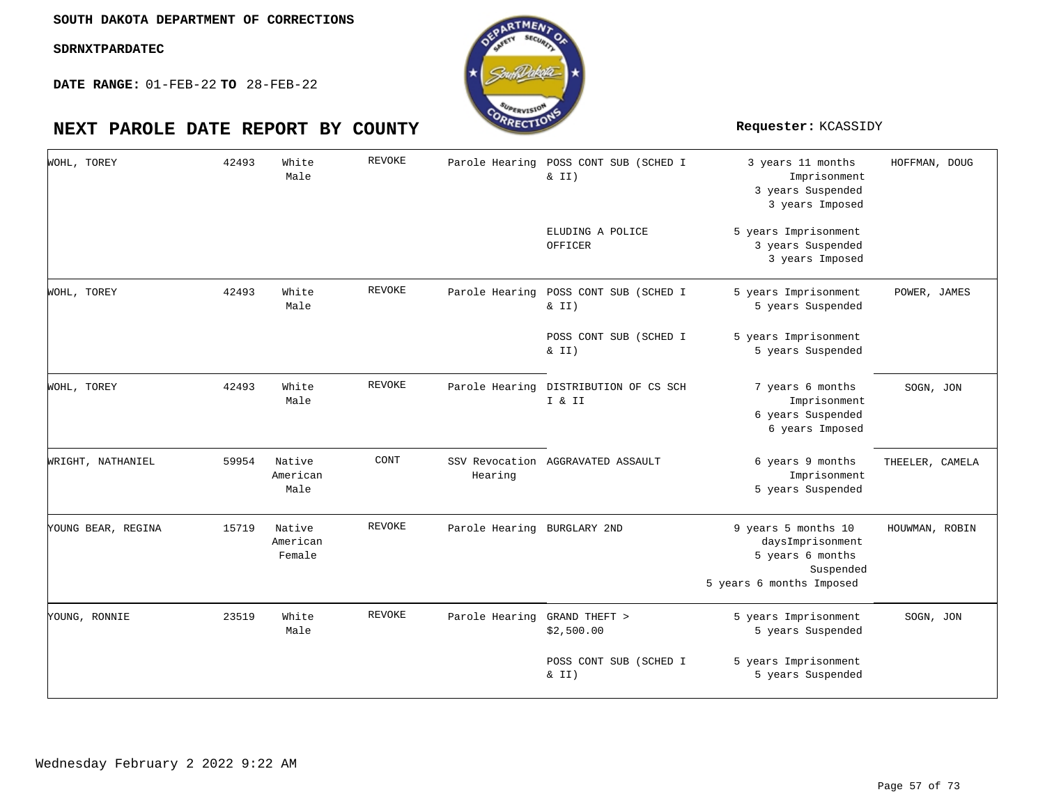

| WOHL, TOREY        | 42493 | White<br>Male                | REVOKE        | Parole Hearing              | POSS CONT SUB (SCHED I<br>$\&$ II) | 3 years 11 months<br>Imprisonment<br>3 years Suspended<br>3 years Imposed                            | HOFFMAN, DOUG   |
|--------------------|-------|------------------------------|---------------|-----------------------------|------------------------------------|------------------------------------------------------------------------------------------------------|-----------------|
|                    |       |                              |               |                             | ELUDING A POLICE<br>OFFICER        | 5 years Imprisonment<br>3 years Suspended<br>3 years Imposed                                         |                 |
| WOHL, TOREY        | 42493 | White<br>Male                | <b>REVOKE</b> | Parole Hearing              | POSS CONT SUB (SCHED I<br>$\&$ II) | 5 years Imprisonment<br>5 years Suspended                                                            | POWER, JAMES    |
|                    |       |                              |               |                             | POSS CONT SUB (SCHED I<br>$\&$ II) | 5 years Imprisonment<br>5 years Suspended                                                            |                 |
| WOHL, TOREY        | 42493 | White<br>Male                | REVOKE        | Parole Hearing              | DISTRIBUTION OF CS SCH<br>I & II   | 7 years 6 months<br>Imprisonment<br>6 years Suspended<br>6 years Imposed                             | SOGN, JON       |
| WRIGHT, NATHANIEL  | 59954 | Native<br>American<br>Male   | CONT          | Hearing                     | SSV Revocation AGGRAVATED ASSAULT  | 6 years 9 months<br>Imprisonment<br>5 years Suspended                                                | THEELER, CAMELA |
| YOUNG BEAR, REGINA | 15719 | Native<br>American<br>Female | REVOKE        | Parole Hearing BURGLARY 2ND |                                    | 9 years 5 months 10<br>daysImprisonment<br>5 years 6 months<br>Suspended<br>5 years 6 months Imposed | HOUWMAN, ROBIN  |
| YOUNG, RONNIE      | 23519 | White<br>Male                | REVOKE        | Parole Hearing              | GRAND THEFT ><br>\$2,500.00        | 5 years Imprisonment<br>5 years Suspended                                                            | SOGN, JON       |
|                    |       |                              |               |                             | POSS CONT SUB (SCHED I<br>& II)    | 5 years Imprisonment<br>5 years Suspended                                                            |                 |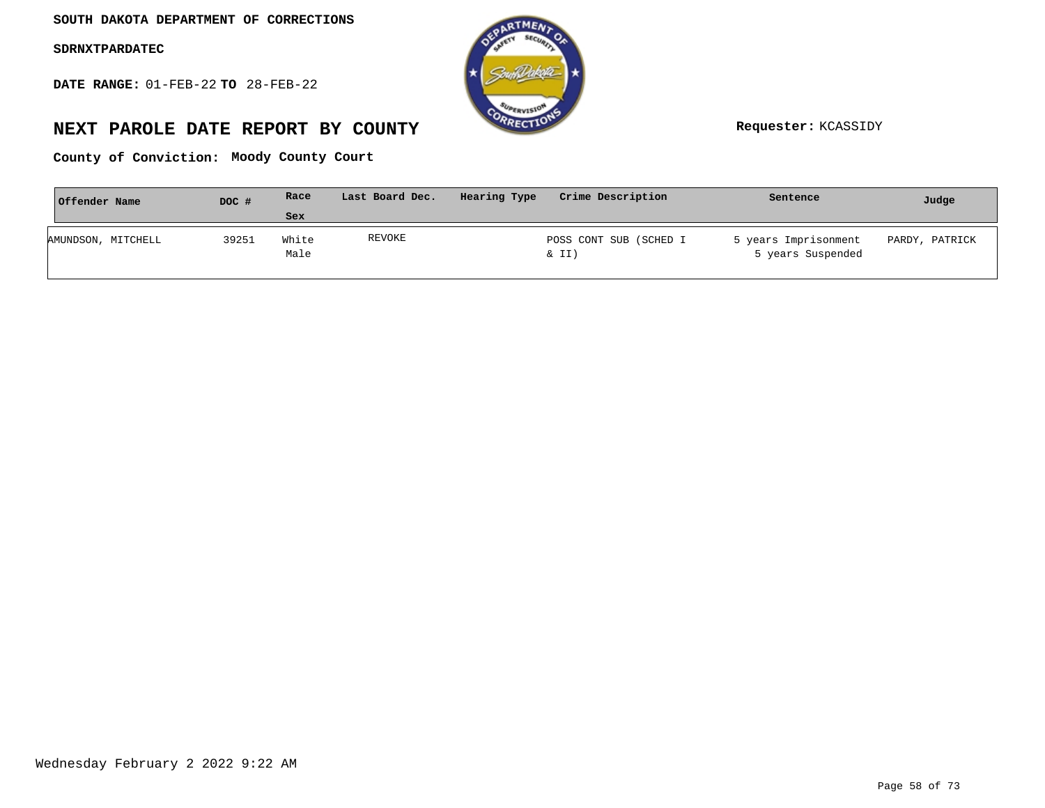**DATE RANGE:** 01-FEB-22 **TO** 28-FEB-22



# **NEXT PAROLE DATE REPORT BY COUNTY Requester:** KCASSIDY

**Moody County Court County of Conviction:**

| Offender Name      | DOC # | Race          | Last Board Dec. | Hearing Type | Crime Description               | Sentence                                  | Judge          |
|--------------------|-------|---------------|-----------------|--------------|---------------------------------|-------------------------------------------|----------------|
|                    |       | Sex           |                 |              |                                 |                                           |                |
| AMUNDSON, MITCHELL | 39251 | White<br>Male | REVOKE          |              | POSS CONT SUB (SCHED I<br>& II) | 5 years Imprisonment<br>5 years Suspended | PARDY, PATRICK |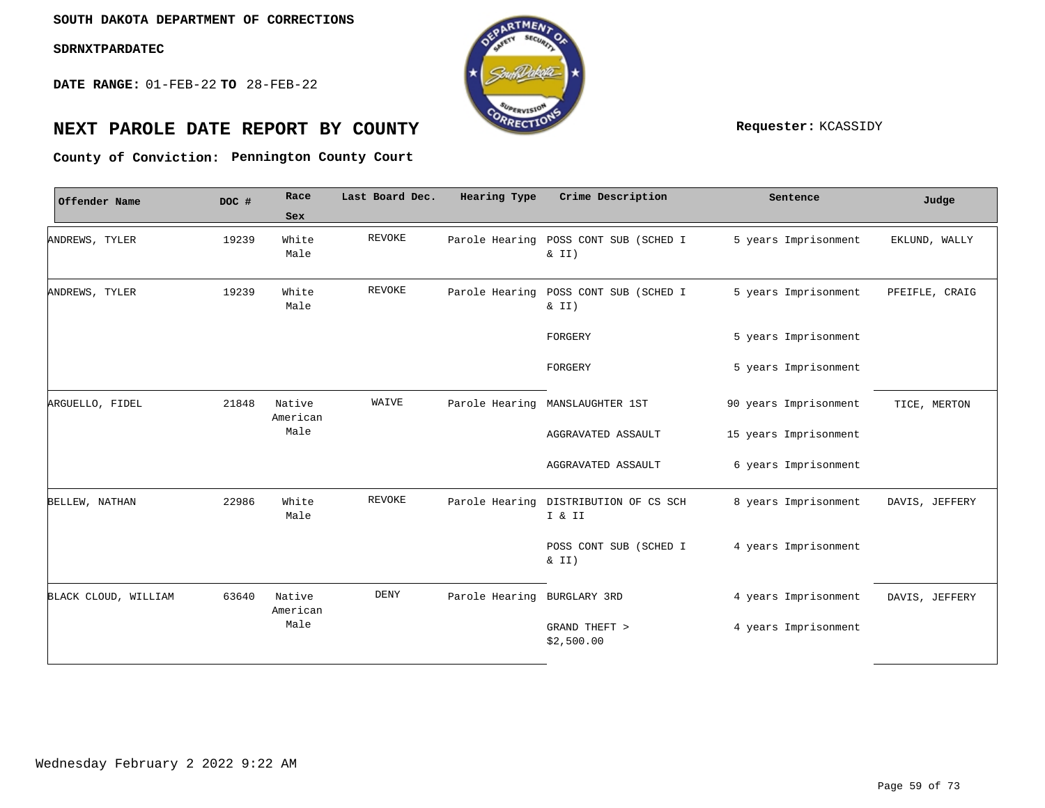**DATE RANGE:** 01-FEB-22 **TO** 28-FEB-22



# **NEXT PAROLE DATE REPORT BY COUNTY REPORT BY ALL PROPERTY REQUESTER:** KCASSIDY

**Pennington County Court County of Conviction:**

| Offender Name        | DOC # | Race               | Last Board Dec. | Hearing Type                | Crime Description                                 | Sentence              | Judge          |
|----------------------|-------|--------------------|-----------------|-----------------------------|---------------------------------------------------|-----------------------|----------------|
|                      |       | Sex                |                 |                             |                                                   |                       |                |
| ANDREWS, TYLER       | 19239 | White<br>Male      | <b>REVOKE</b>   |                             | Parole Hearing POSS CONT SUB (SCHED I<br>$\&$ II) | 5 years Imprisonment  | EKLUND, WALLY  |
| ANDREWS, TYLER       | 19239 | White<br>Male      | REVOKE          |                             | Parole Hearing POSS CONT SUB (SCHED I<br>& II)    | 5 years Imprisonment  | PFEIFLE, CRAIG |
|                      |       |                    |                 |                             | FORGERY                                           | 5 years Imprisonment  |                |
|                      |       |                    |                 |                             | FORGERY                                           | 5 years Imprisonment  |                |
| ARGUELLO, FIDEL      | 21848 | Native<br>American | WAIVE           |                             | Parole Hearing MANSLAUGHTER 1ST                   | 90 years Imprisonment | TICE, MERTON   |
|                      |       | Male               |                 |                             | AGGRAVATED ASSAULT                                | 15 years Imprisonment |                |
|                      |       |                    |                 |                             | AGGRAVATED ASSAULT                                | 6 years Imprisonment  |                |
| BELLEW, NATHAN       | 22986 | White<br>Male      | REVOKE          |                             | Parole Hearing DISTRIBUTION OF CS SCH<br>I & II   | 8 years Imprisonment  | DAVIS, JEFFERY |
|                      |       |                    |                 |                             | POSS CONT SUB (SCHED I<br>$\&$ II)                | 4 years Imprisonment  |                |
| BLACK CLOUD, WILLIAM | 63640 | Native<br>American | DENY            | Parole Hearing BURGLARY 3RD |                                                   | 4 years Imprisonment  | DAVIS, JEFFERY |
|                      |       | Male               |                 |                             | GRAND THEFT ><br>\$2,500.00                       | 4 years Imprisonment  |                |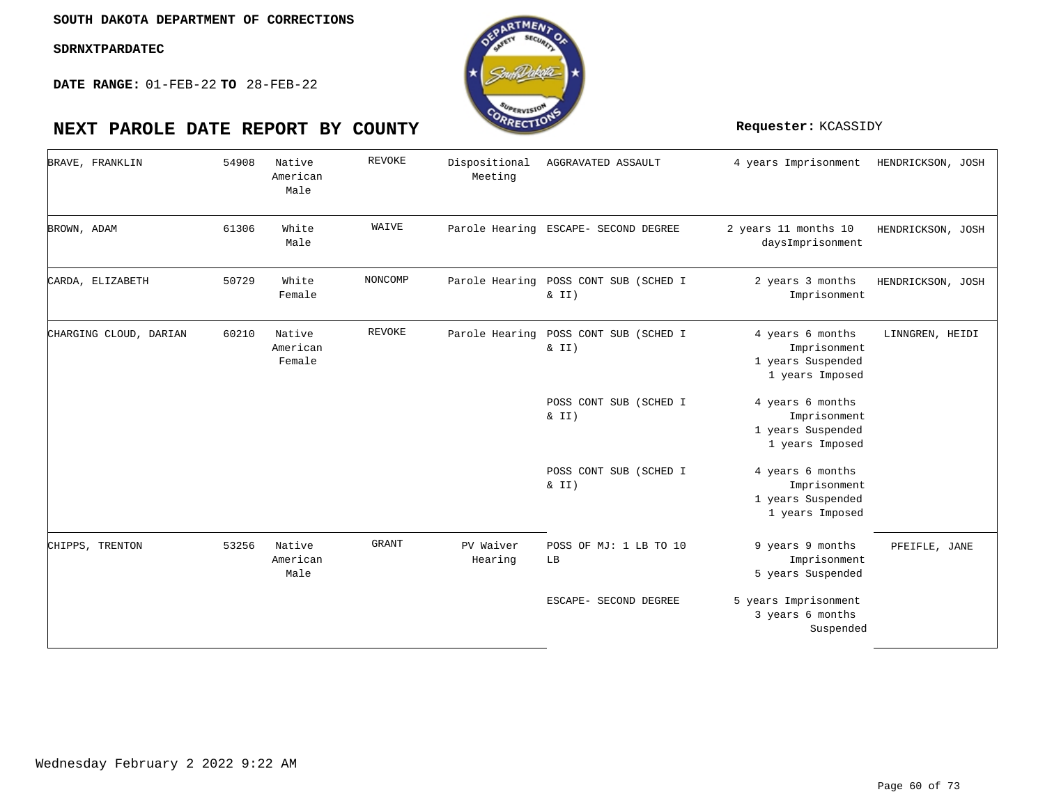

| BRAVE, FRANKLIN        | 54908 | Native<br>American<br>Male   | <b>REVOKE</b> | Dispositional<br>Meeting | AGGRAVATED ASSAULT                             | 4 years Imprisonment                                                     | HENDRICKSON, JOSH |
|------------------------|-------|------------------------------|---------------|--------------------------|------------------------------------------------|--------------------------------------------------------------------------|-------------------|
| BROWN, ADAM            | 61306 | White<br>Male                | WAIVE         |                          | Parole Hearing ESCAPE- SECOND DEGREE           | 2 years 11 months 10<br>daysImprisonment                                 | HENDRICKSON, JOSH |
| CARDA, ELIZABETH       | 50729 | White<br>Female              | NONCOMP       |                          | Parole Hearing POSS CONT SUB (SCHED I<br>& II) | 2 years 3 months<br>Imprisonment                                         | HENDRICKSON, JOSH |
| CHARGING CLOUD, DARIAN | 60210 | Native<br>American<br>Female | REVOKE        | Parole Hearing           | POSS CONT SUB (SCHED I<br>& II)                | 4 years 6 months<br>Imprisonment<br>1 years Suspended<br>1 years Imposed | LINNGREN, HEIDI   |
|                        |       |                              |               |                          | POSS CONT SUB (SCHED I<br>& II)                | 4 years 6 months<br>Imprisonment<br>1 years Suspended<br>1 years Imposed |                   |
|                        |       |                              |               |                          | POSS CONT SUB (SCHED I<br>& II)                | 4 years 6 months<br>Imprisonment<br>1 years Suspended<br>1 years Imposed |                   |
| CHIPPS, TRENTON        | 53256 | Native<br>American<br>Male   | <b>GRANT</b>  | PV Waiver<br>Hearing     | POSS OF MJ: 1 LB TO 10<br>LB                   | 9 years 9 months<br>Imprisonment<br>5 years Suspended                    | PFEIFLE, JANE     |
|                        |       |                              |               |                          | ESCAPE- SECOND DEGREE                          | 5 years Imprisonment<br>3 years 6 months<br>Suspended                    |                   |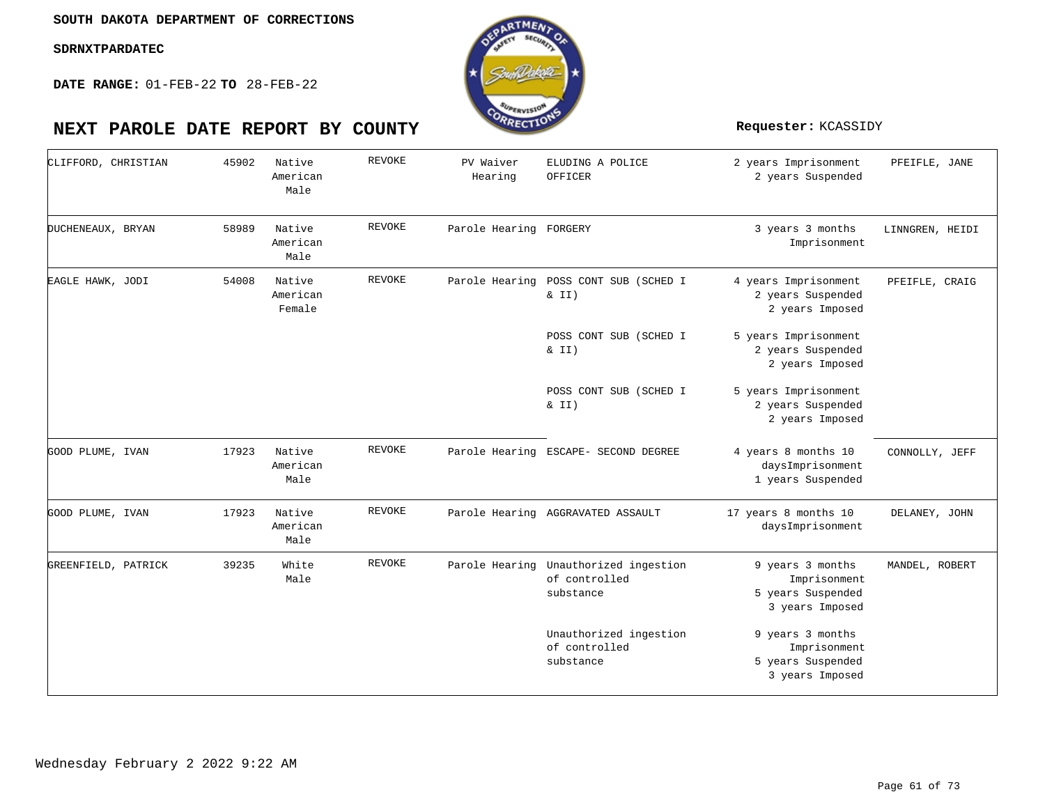**DATE RANGE:** 01-FEB-22 **TO** 28-FEB-22



| 45902 | Native<br>American           | <b>REVOKE</b> | PV Waiver | ELUDING A POLICE                                     | 2 years Imprisonment                                                                                                                                           | PFEIFLE, JANE   |
|-------|------------------------------|---------------|-----------|------------------------------------------------------|----------------------------------------------------------------------------------------------------------------------------------------------------------------|-----------------|
|       | Male                         |               | Hearing   | OFFICER                                              | 2 years Suspended                                                                                                                                              |                 |
| 58989 | Native<br>American<br>Male   | <b>REVOKE</b> |           |                                                      | 3 years 3 months<br>Imprisonment                                                                                                                               | LINNGREN, HEIDI |
| 54008 | Native<br>American<br>Female | REVOKE        |           | & II)                                                | 4 years Imprisonment<br>2 years Suspended<br>2 years Imposed                                                                                                   | PFEIFLE, CRAIG  |
|       |                              |               |           | POSS CONT SUB (SCHED I<br>$\&$ II)                   | 5 years Imprisonment<br>2 years Suspended<br>2 years Imposed                                                                                                   |                 |
|       |                              |               |           | POSS CONT SUB (SCHED I<br>& II)                      | 5 years Imprisonment<br>2 years Suspended<br>2 years Imposed                                                                                                   |                 |
| 17923 | Native<br>American<br>Male   | <b>REVOKE</b> |           |                                                      | 4 years 8 months 10<br>daysImprisonment<br>1 years Suspended                                                                                                   | CONNOLLY, JEFF  |
| 17923 | Native<br>American<br>Male   | REVOKE        |           |                                                      | 17 years 8 months 10<br>daysImprisonment                                                                                                                       | DELANEY, JOHN   |
| 39235 | White<br>Male                | <b>REVOKE</b> |           | Unauthorized ingestion<br>of controlled<br>substance | 9 years 3 months<br>Imprisonment<br>5 years Suspended<br>3 years Imposed                                                                                       | MANDEL, ROBERT  |
|       |                              |               |           | Unauthorized ingestion<br>of controlled<br>substance | 9 years 3 months<br>Imprisonment<br>5 years Suspended<br>3 years Imposed                                                                                       |                 |
|       |                              |               |           |                                                      | Parole Hearing FORGERY<br>Parole Hearing POSS CONT SUB (SCHED I<br>Parole Hearing ESCAPE- SECOND DEGREE<br>Parole Hearing AGGRAVATED ASSAULT<br>Parole Hearing |                 |

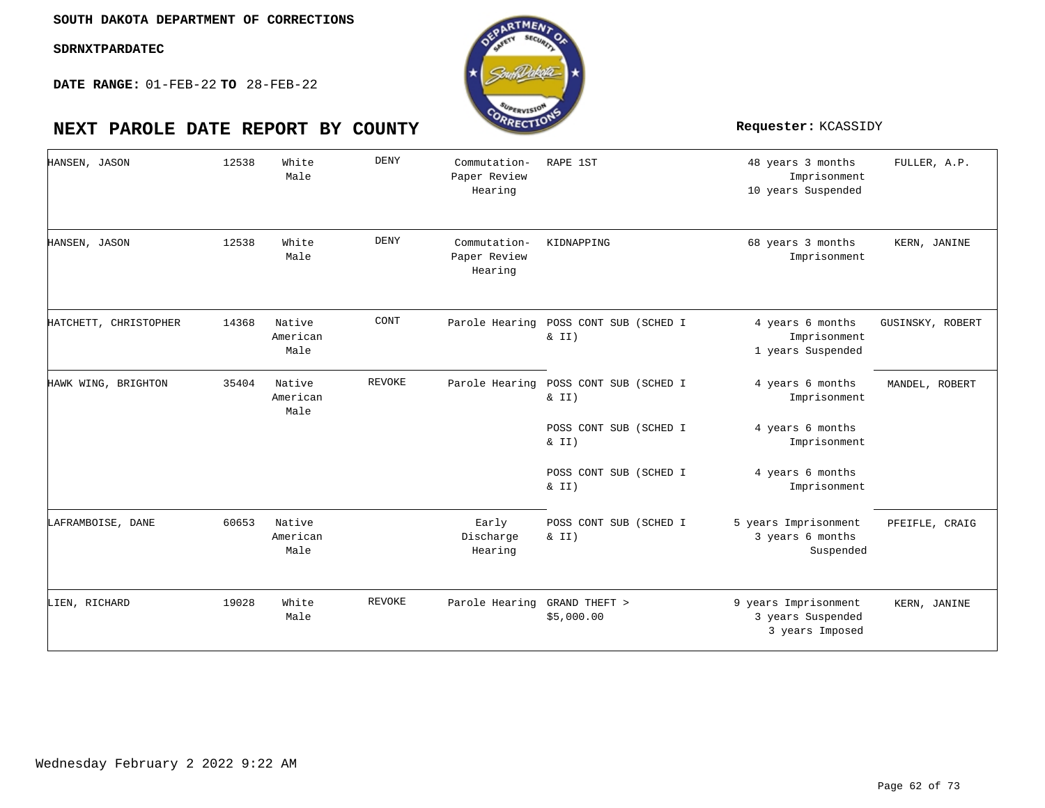**DATE RANGE:** 01-FEB-22 **TO** 28-FEB-22



| HANSEN, JASON         | 12538 | White<br>Male              | <b>DENY</b>   | Commutation-<br>Paper Review<br>Hearing | RAPE 1ST                                       | 48 years 3 months<br>Imprisonment<br>10 years Suspended      | FULLER, A.P.     |
|-----------------------|-------|----------------------------|---------------|-----------------------------------------|------------------------------------------------|--------------------------------------------------------------|------------------|
| HANSEN, JASON         | 12538 | White<br>Male              | <b>DENY</b>   | Commutation-<br>Paper Review<br>Hearing | KIDNAPPING                                     | 68 years 3 months<br>Imprisonment                            | KERN, JANINE     |
| HATCHETT, CHRISTOPHER | 14368 | Native<br>American<br>Male | CONT          |                                         | Parole Hearing POSS CONT SUB (SCHED I<br>& II) | 4 years 6 months<br>Imprisonment<br>1 years Suspended        | GUSINSKY, ROBERT |
| HAWK WING, BRIGHTON   | 35404 | Native<br>American<br>Male | <b>REVOKE</b> | Parole Hearing                          | POSS CONT SUB (SCHED I<br>$\&$ II)             | 4 years 6 months<br>Imprisonment                             | MANDEL, ROBERT   |
|                       |       |                            |               |                                         | POSS CONT SUB (SCHED I<br>$\&$ II)             | 4 years 6 months<br>Imprisonment                             |                  |
|                       |       |                            |               |                                         | POSS CONT SUB (SCHED I<br>& II)                | 4 years 6 months<br>Imprisonment                             |                  |
| LAFRAMBOISE, DANE     | 60653 | Native<br>American<br>Male |               | Early<br>Discharge<br>Hearing           | POSS CONT SUB (SCHED I<br>$\&$ II)             | 5 years Imprisonment<br>3 years 6 months<br>Suspended        | PFEIFLE, CRAIG   |
| LIEN, RICHARD         | 19028 | White<br>Male              | <b>REVOKE</b> | Parole Hearing GRAND THEFT >            | \$5,000.00                                     | 9 years Imprisonment<br>3 years Suspended<br>3 years Imposed | KERN, JANINE     |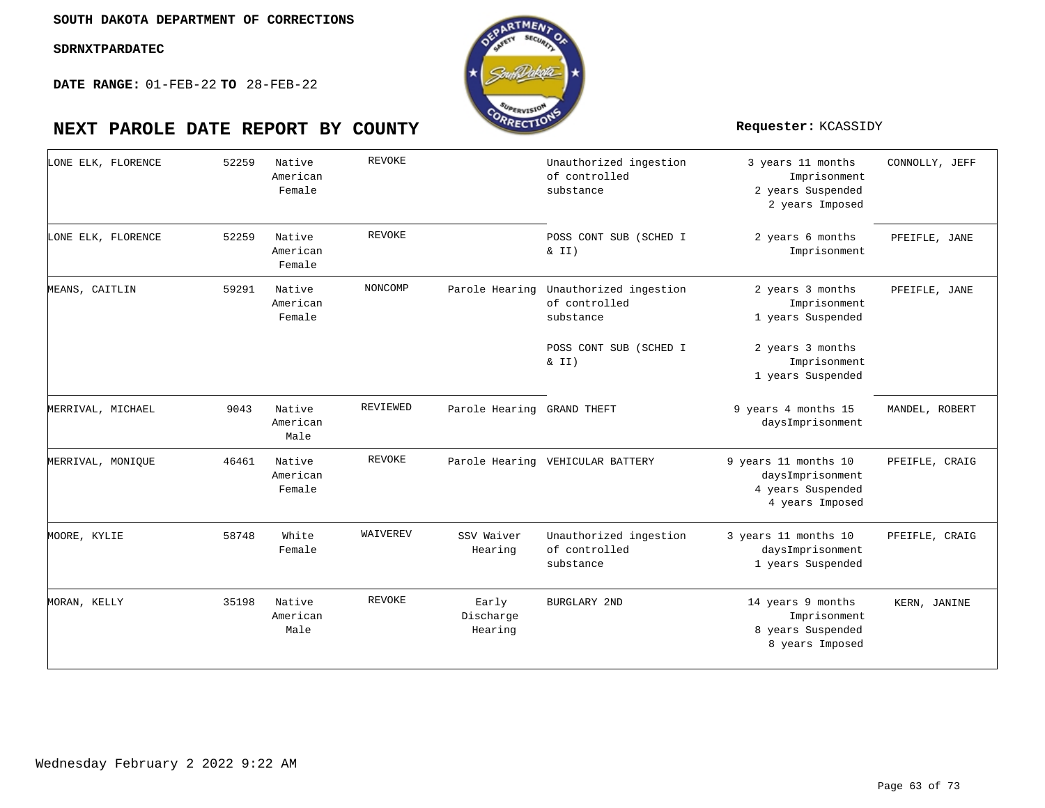**DATE RANGE:** 01-FEB-22 **TO** 28-FEB-22



| LONE ELK, FLORENCE | 52259 | Native<br>American<br>Female | <b>REVOKE</b> |                               | Unauthorized ingestion<br>of controlled<br>substance | 3 years 11 months<br>Imprisonment<br>2 years Suspended<br>2 years Imposed        | CONNOLLY, JEFF |
|--------------------|-------|------------------------------|---------------|-------------------------------|------------------------------------------------------|----------------------------------------------------------------------------------|----------------|
| LONE ELK, FLORENCE | 52259 | Native<br>American<br>Female | <b>REVOKE</b> |                               | POSS CONT SUB (SCHED I<br>$\&$ II)                   | 2 years 6 months<br>Imprisonment                                                 | PFEIFLE, JANE  |
| MEANS, CAITLIN     | 59291 | Native<br>American<br>Female | NONCOMP       | Parole Hearing                | Unauthorized ingestion<br>of controlled<br>substance | 2 years 3 months<br>Imprisonment<br>1 years Suspended                            | PFEIFLE, JANE  |
|                    |       |                              |               |                               | POSS CONT SUB (SCHED I<br>$\&$ II)                   | 2 years 3 months<br>Imprisonment<br>1 years Suspended                            |                |
| MERRIVAL, MICHAEL  | 9043  | Native<br>American<br>Male   | REVIEWED      | Parole Hearing GRAND THEFT    |                                                      | 9 years 4 months 15<br>daysImprisonment                                          | MANDEL, ROBERT |
| MERRIVAL, MONIQUE  | 46461 | Native<br>American<br>Female | <b>REVOKE</b> |                               | Parole Hearing VEHICULAR BATTERY                     | 9 years 11 months 10<br>daysImprisonment<br>4 years Suspended<br>4 years Imposed | PFEIFLE, CRAIG |
| MOORE, KYLIE       | 58748 | White<br>Female              | WAIVEREV      | SSV Waiver<br>Hearing         | Unauthorized ingestion<br>of controlled<br>substance | 3 years 11 months 10<br>daysImprisonment<br>1 years Suspended                    | PFEIFLE, CRAIG |
| MORAN, KELLY       | 35198 | Native<br>American<br>Male   | <b>REVOKE</b> | Early<br>Discharge<br>Hearing | BURGLARY 2ND                                         | 14 years 9 months<br>Imprisonment<br>8 years Suspended<br>8 years Imposed        | KERN, JANINE   |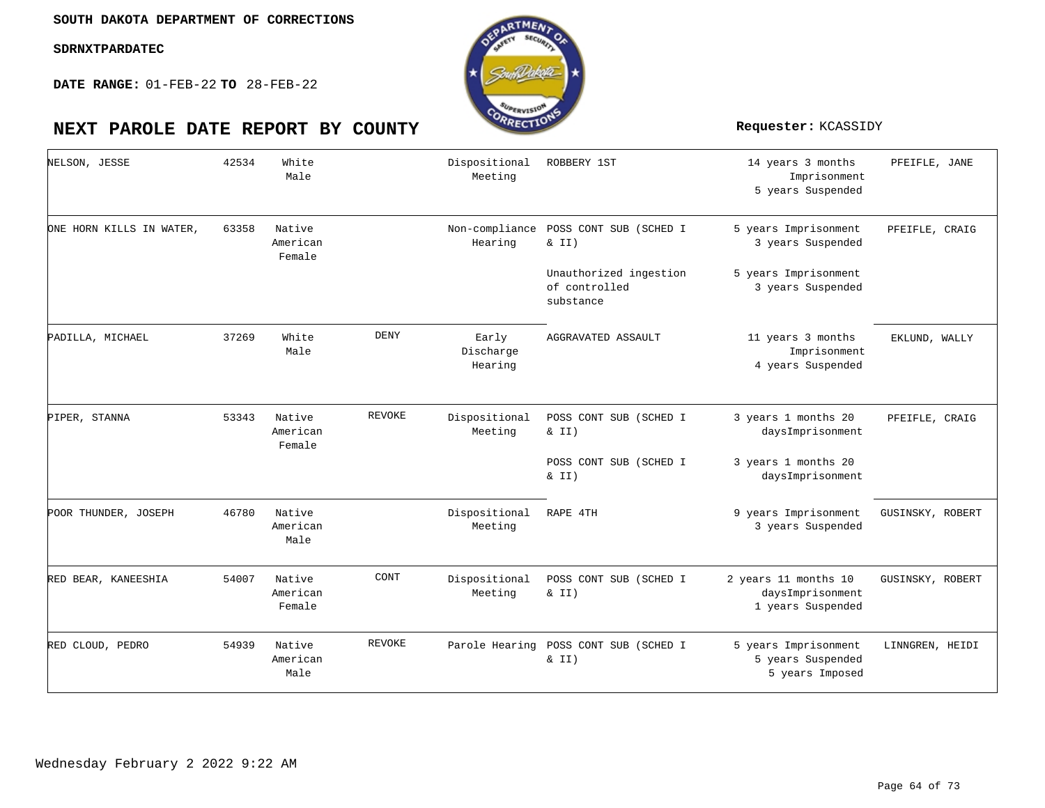

| NELSON, JESSE            | 42534 | White<br>Male                |             | Dispositional<br>Meeting      | ROBBERY 1ST                                          | 14 years 3 months<br>Imprisonment<br>5 years Suspended        | PFEIFLE, JANE    |
|--------------------------|-------|------------------------------|-------------|-------------------------------|------------------------------------------------------|---------------------------------------------------------------|------------------|
| ONE HORN KILLS IN WATER, | 63358 | Native<br>American<br>Female |             | Non-compliance<br>Hearing     | POSS CONT SUB (SCHED I<br>& II)                      | 5 years Imprisonment<br>3 years Suspended                     | PFEIFLE, CRAIG   |
|                          |       |                              |             |                               | Unauthorized ingestion<br>of controlled<br>substance | 5 years Imprisonment<br>3 years Suspended                     |                  |
| PADILLA, MICHAEL         | 37269 | White<br>Male                | <b>DENY</b> | Early<br>Discharge<br>Hearing | AGGRAVATED ASSAULT                                   | 11 years 3 months<br>Imprisonment<br>4 years Suspended        | EKLUND, WALLY    |
| PIPER, STANNA            | 53343 | Native<br>American<br>Female | REVOKE      | Dispositional<br>Meeting      | POSS CONT SUB (SCHED I<br>$\&$ II)                   | 3 years 1 months 20<br>daysImprisonment                       | PFEIFLE, CRAIG   |
|                          |       |                              |             |                               | POSS CONT SUB (SCHED I<br>& II)                      | 3 years 1 months 20<br>daysImprisonment                       |                  |
| POOR THUNDER, JOSEPH     | 46780 | Native<br>American<br>Male   |             | Dispositional<br>Meeting      | RAPE 4TH                                             | 9 years Imprisonment<br>3 years Suspended                     | GUSINSKY, ROBERT |
| RED BEAR, KANEESHIA      | 54007 | Native<br>American<br>Female | CONT        | Dispositional<br>Meeting      | POSS CONT SUB (SCHED I<br>& II)                      | 2 years 11 months 10<br>daysImprisonment<br>1 years Suspended | GUSINSKY, ROBERT |
| RED CLOUD, PEDRO         | 54939 | Native<br>American<br>Male   | REVOKE      |                               | Parole Hearing POSS CONT SUB (SCHED I<br>$\&$ II)    | 5 years Imprisonment<br>5 years Suspended<br>5 years Imposed  | LINNGREN, HEIDI  |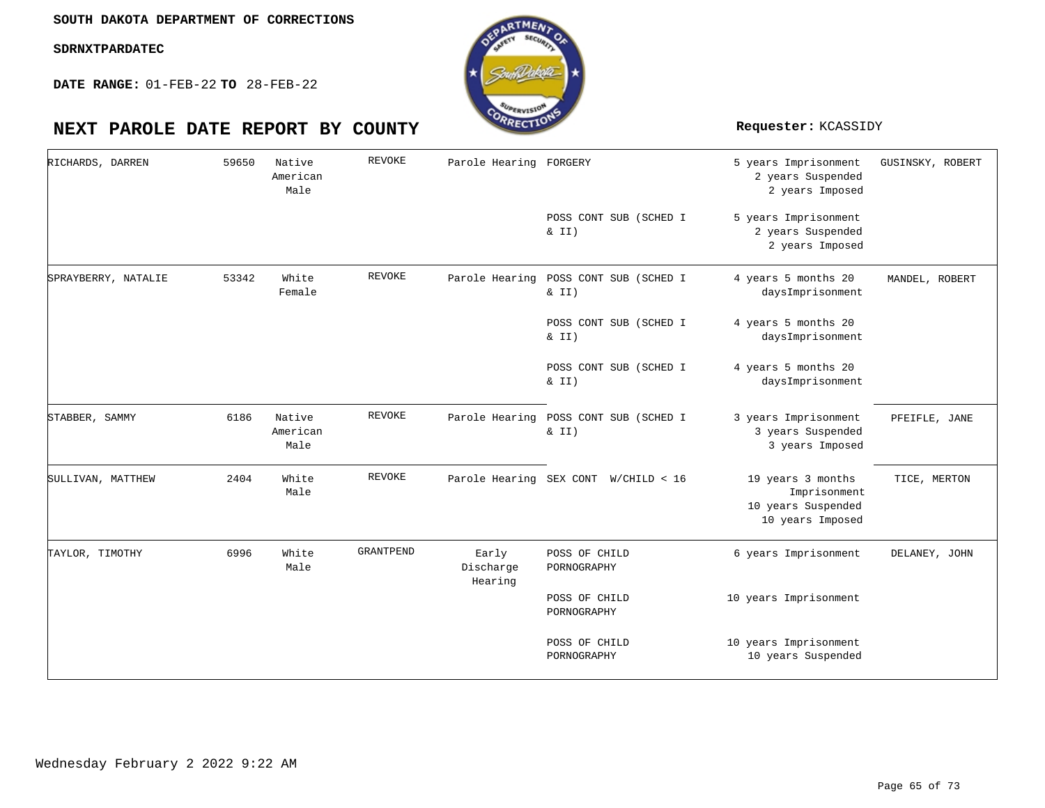**DATE RANGE:** 01-FEB-22 **TO** 28-FEB-22



### 5 years Imprisonment 2 years Suspended 2 years Imposed 5 years Imprisonment 2 years Suspended 2 years Imposed 4 years 5 months 20 daysImprisonment 4 years 5 months 20 daysImprisonment 4 years 5 months 20 daysImprisonment 3 years Imprisonment 3 years Suspended 3 years Imposed 19 years 3 months Imprisonment 10 years Suspended 10 years Imposed 6 years Imprisonment 10 years Imprisonment 10 years Imprisonment 10 years Suspended Parole Hearing FORGERY POSS CONT SUB (SCHED I  $& II)$ Parole Hearing POSS CONT SUB (SCHED I & II) POSS CONT SUB (SCHED I & II) POSS CONT SUB (SCHED I  $& II)$ Parole Hearing POSS CONT SUB (SCHED I  $& II)$ Parole Hearing SEX CONT W/CHILD < 16 POSS OF CHILD PORNOGRAPHY POSS OF CHILD PORNOGRAPHY POSS OF CHILD PORNOGRAPHY Native American White Native American White White Male Female Male Male Male 59650 53342 6186 2404 6996 RICHARDS, DARREN SPRAYBERRY, NATALIE STABBER, SAMMY SULLIVAN, MATTHEW TAYLOR, TIMOTHY REVOKE REVOKE REVOKE REVOKE GRANTPEND Early Discharge Hearing GUSINSKY, ROBERT MANDEL, ROBERT PFEIFLE, JANE TICE, MERTON DELANEY, JOHN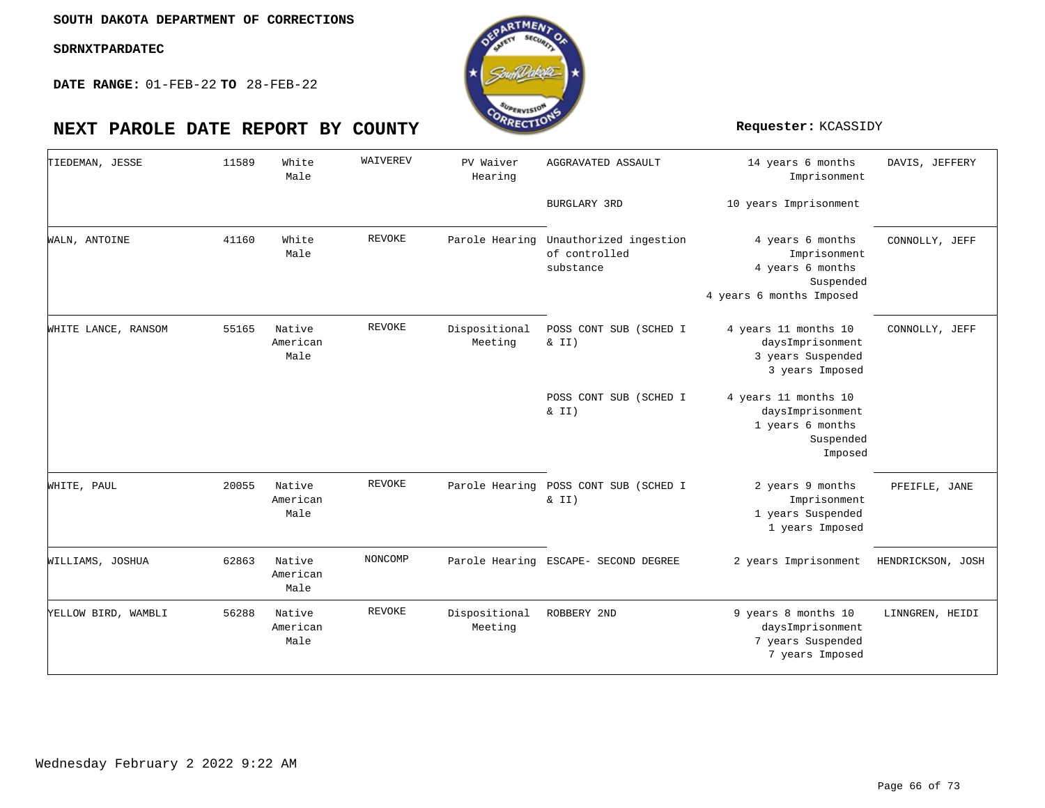

**DATE RANGE:** 01-FEB-22 **TO** 28-FEB-22

| TIEDEMAN, JESSE     | 11589 | White<br>Male              | WAIVEREV      | PV Waiver<br>Hearing     | AGGRAVATED ASSAULT                                   | 14 years 6 months<br>Imprisonment                                                             | DAVIS, JEFFERY    |
|---------------------|-------|----------------------------|---------------|--------------------------|------------------------------------------------------|-----------------------------------------------------------------------------------------------|-------------------|
|                     |       |                            |               |                          | <b>BURGLARY 3RD</b>                                  | 10 years Imprisonment                                                                         |                   |
| WALN, ANTOINE       | 41160 | White<br>Male              | <b>REVOKE</b> | Parole Hearing           | Unauthorized ingestion<br>of controlled<br>substance | 4 years 6 months<br>Imprisonment<br>4 years 6 months<br>Suspended<br>4 years 6 months Imposed | CONNOLLY, JEFF    |
| WHITE LANCE, RANSOM | 55165 | Native<br>American<br>Male | <b>REVOKE</b> | Dispositional<br>Meeting | POSS CONT SUB (SCHED I<br>& II)                      | 4 years 11 months 10<br>daysImprisonment<br>3 years Suspended<br>3 years Imposed              | CONNOLLY, JEFF    |
|                     |       |                            |               |                          | POSS CONT SUB (SCHED I<br>$\&$ II)                   | 4 years 11 months 10<br>daysImprisonment<br>1 years 6 months<br>Suspended<br>Imposed          |                   |
| WHITE, PAUL         | 20055 | Native<br>American<br>Male | <b>REVOKE</b> |                          | Parole Hearing POSS CONT SUB (SCHED I<br>& II)       | 2 years 9 months<br>Imprisonment<br>1 years Suspended<br>1 years Imposed                      | PFEIFLE, JANE     |
| WILLIAMS, JOSHUA    | 62863 | Native<br>American<br>Male | NONCOMP       |                          | Parole Hearing ESCAPE- SECOND DEGREE                 | 2 years Imprisonment                                                                          | HENDRICKSON, JOSH |
| YELLOW BIRD, WAMBLI | 56288 | Native<br>American<br>Male | REVOKE        | Dispositional<br>Meeting | ROBBERY 2ND                                          | 9 years 8 months 10<br>daysImprisonment<br>7 years Suspended<br>7 years Imposed               | LINNGREN, HEIDI   |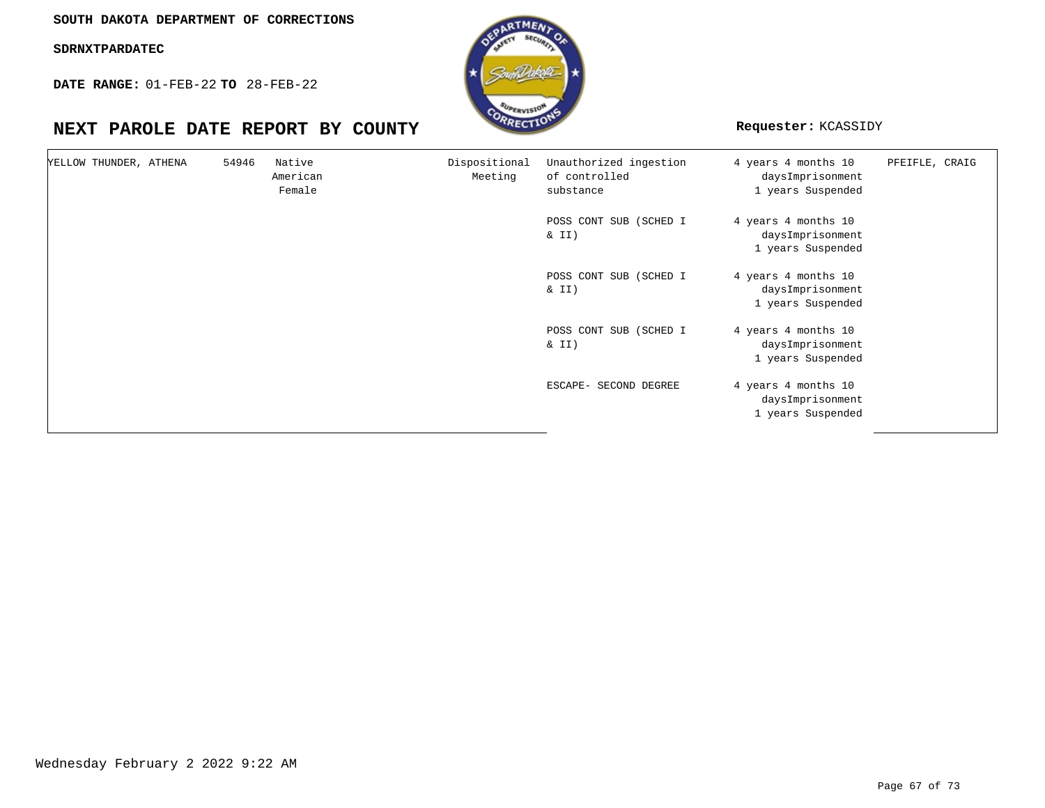**SOUTH DAKOTA DEPARTMENT OF CORRECTIONS**

**SDRNXTPARDATEC**

**DATE RANGE:** 01-FEB-22 **TO** 28-FEB-22



| YELLOW THUNDER, ATHENA | 54946 | Native<br>American<br>Female | Dispositional<br>Meeting | Unauthorized ingestion<br>of controlled<br>substance | 4 years 4 months 10<br>daysImprisonment<br>1 years Suspended | PFEIFLE, CRAIG |
|------------------------|-------|------------------------------|--------------------------|------------------------------------------------------|--------------------------------------------------------------|----------------|
|                        |       |                              |                          | POSS CONT SUB (SCHED I<br>& II)                      | 4 years 4 months 10<br>daysImprisonment<br>1 years Suspended |                |
|                        |       |                              |                          | POSS CONT SUB (SCHED I<br>& II)                      | 4 years 4 months 10<br>daysImprisonment<br>1 years Suspended |                |
|                        |       |                              |                          | POSS CONT SUB (SCHED I<br>& II)                      | 4 years 4 months 10<br>daysImprisonment<br>1 years Suspended |                |
|                        |       |                              |                          | ESCAPE- SECOND DEGREE                                | 4 years 4 months 10<br>daysImprisonment<br>1 years Suspended |                |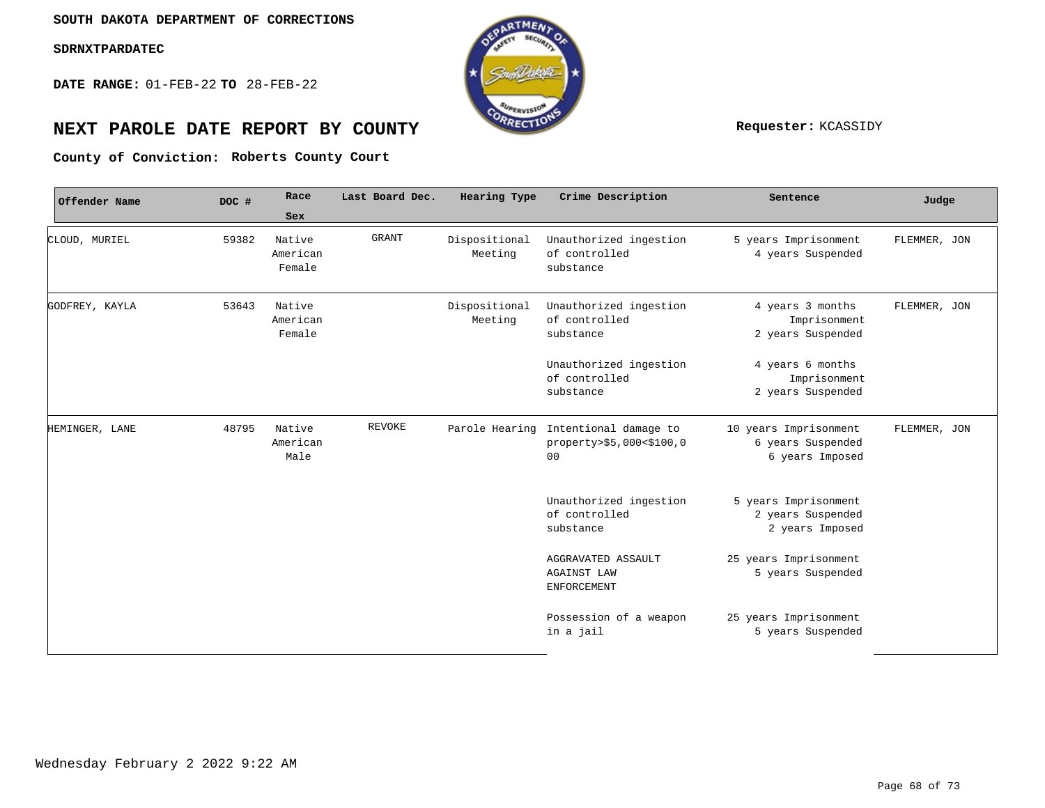**DATE RANGE:** 01-FEB-22 **TO** 28-FEB-22



# **NEXT PAROLE DATE REPORT BY COUNTY Requester:** KCASSIDY

**Roberts County Court County of Conviction:**

| Offender Name  | DOC # | Race<br>Sex                  | Last Board Dec. | Hearing Type             | Crime Description                                                                  | Sentence                                                      | Judge        |
|----------------|-------|------------------------------|-----------------|--------------------------|------------------------------------------------------------------------------------|---------------------------------------------------------------|--------------|
| CLOUD, MURIEL  | 59382 | Native<br>American<br>Female | <b>GRANT</b>    | Dispositional<br>Meeting | Unauthorized ingestion<br>of controlled<br>substance                               | 5 years Imprisonment<br>4 years Suspended                     | FLEMMER, JON |
| GODFREY, KAYLA | 53643 | Native<br>American<br>Female |                 | Dispositional<br>Meeting | Unauthorized ingestion<br>of controlled<br>substance                               | 4 years 3 months<br>Imprisonment<br>2 years Suspended         | FLEMMER, JON |
|                |       |                              |                 |                          | Unauthorized ingestion<br>of controlled<br>substance                               | 4 years 6 months<br>Imprisonment<br>2 years Suspended         |              |
| HEMINGER, LANE | 48795 | Native<br>American<br>Male   | <b>REVOKE</b>   |                          | Parole Hearing Intentional damage to<br>property>\$5,000<\$100,0<br>0 <sub>0</sub> | 10 years Imprisonment<br>6 years Suspended<br>6 years Imposed | FLEMMER, JON |
|                |       |                              |                 |                          | Unauthorized ingestion<br>of controlled<br>substance                               | 5 years Imprisonment<br>2 years Suspended<br>2 years Imposed  |              |
|                |       |                              |                 |                          | AGGRAVATED ASSAULT<br><b>AGAINST LAW</b><br><b>ENFORCEMENT</b>                     | 25 years Imprisonment<br>5 years Suspended                    |              |
|                |       |                              |                 |                          | Possession of a weapon<br>in a jail                                                | 25 years Imprisonment<br>5 years Suspended                    |              |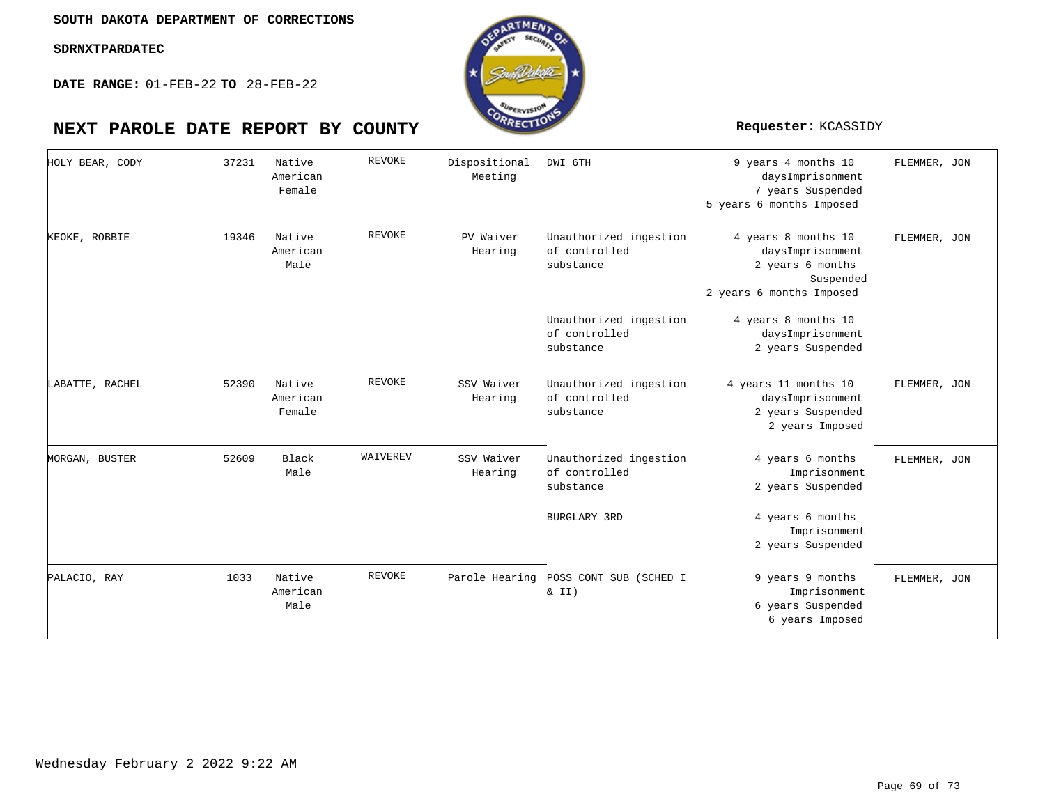**DATE RANGE:** 01-FEB-22 **TO** 28-FEB-22

| HOLY BEAR, CODY | 37231 | Native<br>American<br>Female | <b>REVOKE</b> | Dispositional<br>Meeting | DWI 6TH                                                              | 9 years 4 months 10<br>daysImprisonment<br>7 years Suspended<br>5 years 6 months Imposed             | FLEMMER, JON |
|-----------------|-------|------------------------------|---------------|--------------------------|----------------------------------------------------------------------|------------------------------------------------------------------------------------------------------|--------------|
| KEOKE, ROBBIE   | 19346 | Native<br>American<br>Male   | <b>REVOKE</b> | PV Waiver<br>Hearing     | Unauthorized ingestion<br>of controlled<br>substance                 | 4 years 8 months 10<br>daysImprisonment<br>2 years 6 months<br>Suspended<br>2 years 6 months Imposed | FLEMMER, JON |
|                 |       |                              |               |                          | Unauthorized ingestion<br>of controlled<br>substance                 | 4 years 8 months 10<br>daysImprisonment<br>2 years Suspended                                         |              |
| LABATTE, RACHEL | 52390 | Native<br>American<br>Female | <b>REVOKE</b> | SSV Waiver<br>Hearing    | Unauthorized ingestion<br>of controlled<br>substance                 | 4 years 11 months 10<br>daysImprisonment<br>2 years Suspended<br>2 years Imposed                     | FLEMMER, JON |
| MORGAN, BUSTER  | 52609 | Black<br>Male                | WAIVEREV      | SSV Waiver<br>Hearing    | Unauthorized ingestion<br>of controlled<br>substance<br>BURGLARY 3RD | 4 years 6 months<br>Imprisonment<br>2 years Suspended<br>4 years 6 months<br>Imprisonment            | FLEMMER, JON |
|                 | 1033  | Native                       | <b>REVOKE</b> | Parole Hearing           | POSS CONT SUB (SCHED I                                               | 2 years Suspended                                                                                    |              |
| PALACIO, RAY    |       | American<br>Male             |               |                          | & II)                                                                | 9 years 9 months<br>Imprisonment<br>6 years Suspended<br>6 years Imposed                             | FLEMMER, JON |

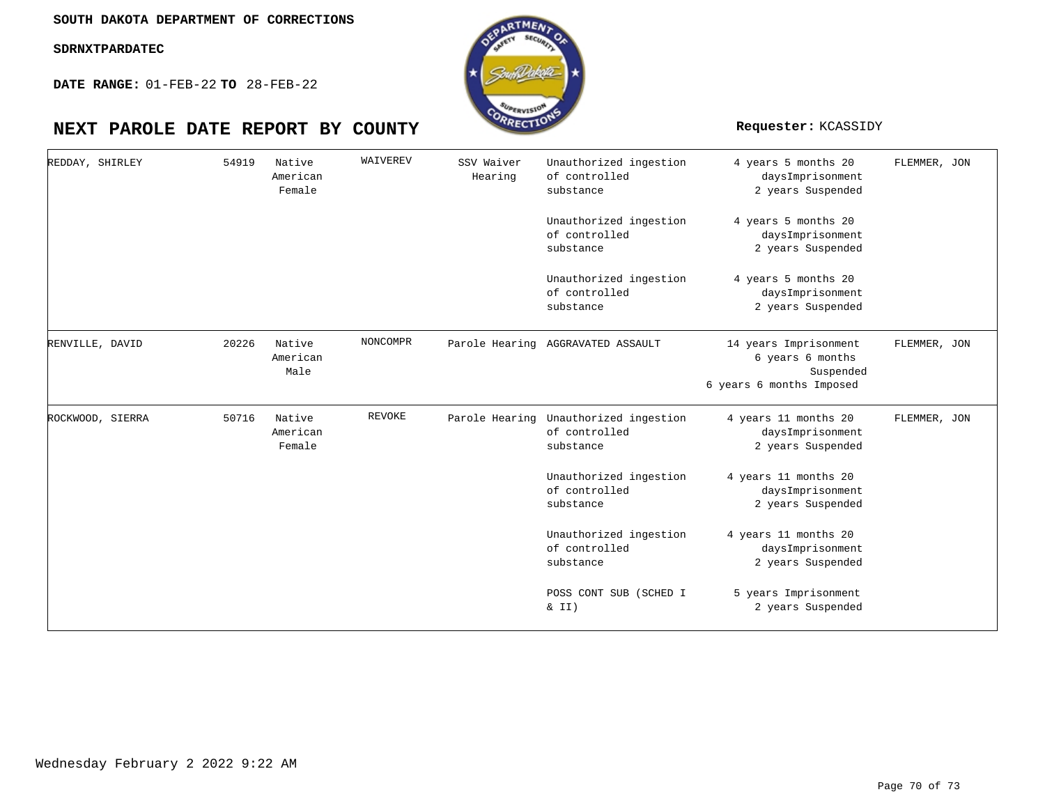**DATE RANGE:** 01-FEB-22 **TO** 28-FEB-22

| REDDAY, SHIRLEY  | 54919 | Native<br>American<br>Female | WAIVEREV | SSV Waiver<br>Hearing | Unauthorized ingestion<br>of controlled<br>substance | 4 years 5 months 20<br>daysImprisonment<br>2 years Suspended                       | FLEMMER, JON |
|------------------|-------|------------------------------|----------|-----------------------|------------------------------------------------------|------------------------------------------------------------------------------------|--------------|
|                  |       |                              |          |                       | Unauthorized ingestion<br>of controlled<br>substance | 4 years 5 months 20<br>daysImprisonment<br>2 years Suspended                       |              |
|                  |       |                              |          |                       | Unauthorized ingestion<br>of controlled<br>substance | 4 years 5 months 20<br>daysImprisonment<br>2 years Suspended                       |              |
| RENVILLE, DAVID  | 20226 | Native<br>American<br>Male   | NONCOMPR |                       | Parole Hearing AGGRAVATED ASSAULT                    | 14 years Imprisonment<br>6 years 6 months<br>Suspended<br>6 years 6 months Imposed | FLEMMER, JON |
| ROCKWOOD, SIERRA | 50716 | Native<br>American<br>Female | REVOKE   | Parole Hearing        | Unauthorized ingestion<br>of controlled<br>substance | 4 years 11 months 20<br>daysImprisonment<br>2 years Suspended                      | FLEMMER, JON |
|                  |       |                              |          |                       | Unauthorized ingestion<br>of controlled<br>substance | 4 years 11 months 20<br>daysImprisonment<br>2 years Suspended                      |              |
|                  |       |                              |          |                       | Unauthorized ingestion<br>of controlled<br>substance | 4 years 11 months 20<br>daysImprisonment<br>2 years Suspended                      |              |
|                  |       |                              |          |                       | POSS CONT SUB (SCHED I<br>& II)                      | 5 years Imprisonment<br>2 years Suspended                                          |              |

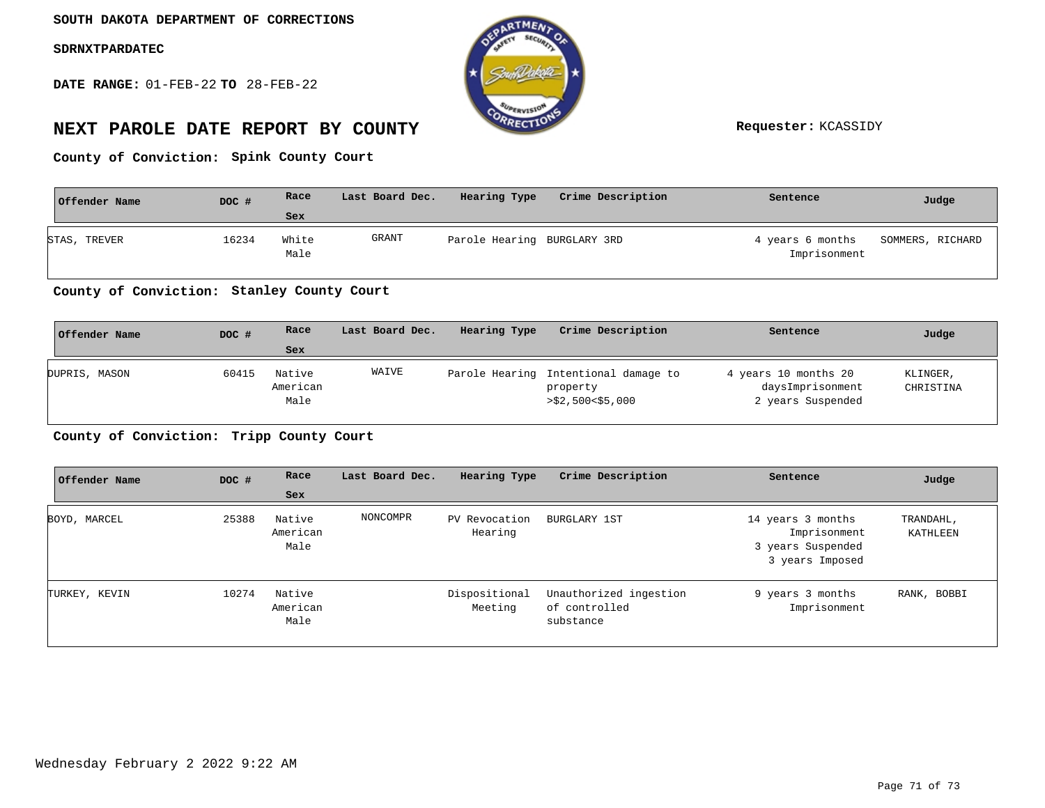**DATE RANGE:** 01-FEB-22 **TO** 28-FEB-22



# **NEXT PAROLE DATE REPORT BY COUNTY Requester:** KCASSIDY

**Spink County Court County of Conviction:**

| Offender Name | DOC # | Race          | Last Board Dec. | Hearing Type                | Crime Description | Sentence                         | Judge            |
|---------------|-------|---------------|-----------------|-----------------------------|-------------------|----------------------------------|------------------|
|               |       | Sex           |                 |                             |                   |                                  |                  |
| STAS, TREVER  | 16234 | White<br>Male | GRANT           | Parole Hearing BURGLARY 3RD |                   | 4 years 6 months<br>Imprisonment | SOMMERS, RICHARD |

## County of Conviction: Stanley County Court

| Offender Name | DOC # | Race                       | Last Board Dec. | Hearing Type | Crime Description                                                    | Sentence                                                      | Judge                 |
|---------------|-------|----------------------------|-----------------|--------------|----------------------------------------------------------------------|---------------------------------------------------------------|-----------------------|
|               |       | Sex                        |                 |              |                                                                      |                                                               |                       |
| DUPRIS, MASON | 60415 | Native<br>American<br>Male | WAIVE           |              | Parole Hearing Intentional damage to<br>property<br>>\$2,500<\$5,000 | 4 years 10 months 20<br>daysImprisonment<br>2 years Suspended | KLINGER,<br>CHRISTINA |

## **Tripp County Court County of Conviction:**

| Offender Name | DOC # | Race                       | Last Board Dec. | Hearing Type             | Crime Description                                    | Sentence                                                                  | Judge                 |
|---------------|-------|----------------------------|-----------------|--------------------------|------------------------------------------------------|---------------------------------------------------------------------------|-----------------------|
|               |       | Sex                        |                 |                          |                                                      |                                                                           |                       |
| BOYD, MARCEL  | 25388 | Native<br>American<br>Male | NONCOMPR        | PV Revocation<br>Hearing | BURGLARY 1ST                                         | 14 years 3 months<br>Imprisonment<br>3 years Suspended<br>3 years Imposed | TRANDAHL,<br>KATHLEEN |
| TURKEY, KEVIN | 10274 | Native<br>American<br>Male |                 | Dispositional<br>Meeting | Unauthorized ingestion<br>of controlled<br>substance | 9 years 3 months<br>Imprisonment                                          | RANK, BOBBI           |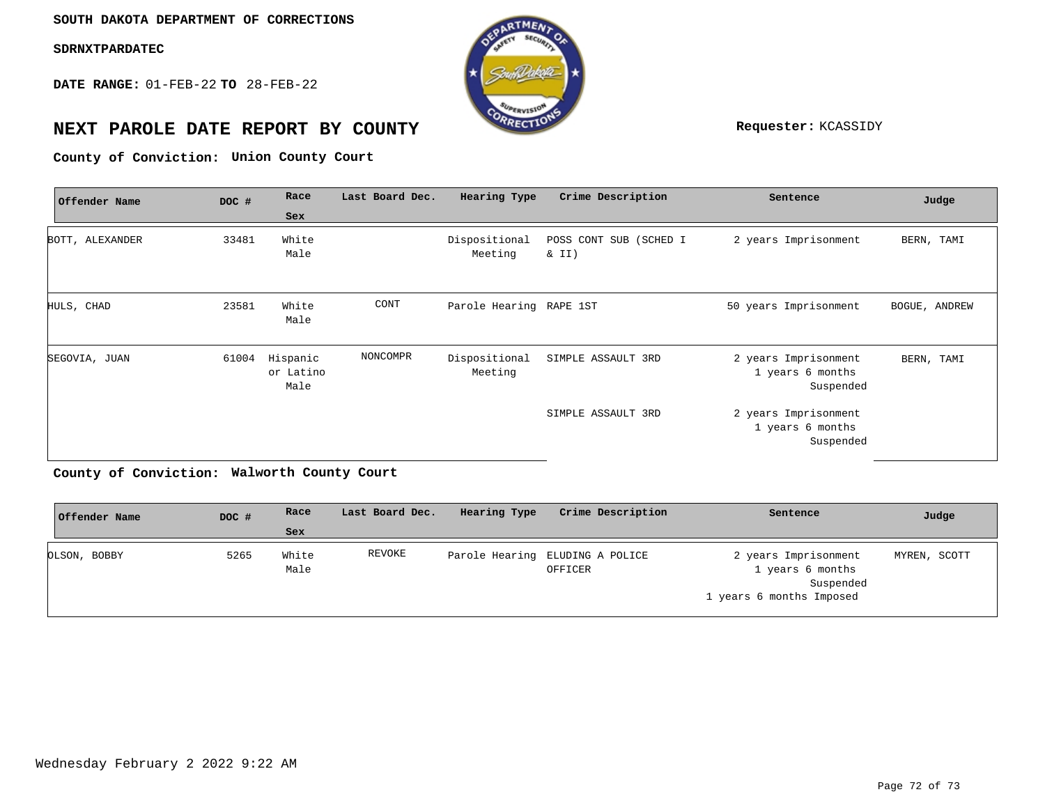**DATE RANGE:** 01-FEB-22 **TO** 28-FEB-22



# **NEXT PAROLE DATE REPORT BY COUNTY REPORT BY ALL PROPERTY REQUESTER:** KCASSIDY

**Union County Court County of Conviction:**

| Offender Name   | DOC # | Race                          | Last Board Dec. | Hearing Type             | Crime Description               | Sentence                                              | Judge         |
|-----------------|-------|-------------------------------|-----------------|--------------------------|---------------------------------|-------------------------------------------------------|---------------|
|                 |       | Sex                           |                 |                          |                                 |                                                       |               |
| BOTT, ALEXANDER | 33481 | White<br>Male                 |                 | Dispositional<br>Meeting | POSS CONT SUB (SCHED I<br>& II) | 2 years Imprisonment                                  | BERN, TAMI    |
| HULS, CHAD      | 23581 | White<br>Male                 | CONT            | Parole Hearing RAPE 1ST  |                                 | 50 years Imprisonment                                 | BOGUE, ANDREW |
| SEGOVIA, JUAN   | 61004 | Hispanic<br>or Latino<br>Male | NONCOMPR        | Dispositional<br>Meeting | SIMPLE ASSAULT 3RD              | 2 years Imprisonment<br>1 years 6 months<br>Suspended | BERN, TAMI    |
|                 |       |                               |                 |                          | SIMPLE ASSAULT 3RD              | 2 years Imprisonment<br>1 years 6 months<br>Suspended |               |

**Walworth County Court County of Conviction:**

| Offender Name | DOC # | Race          | Last Board Dec. | Hearing Type | Crime Description                          | Sentence                                                                          | Judge        |
|---------------|-------|---------------|-----------------|--------------|--------------------------------------------|-----------------------------------------------------------------------------------|--------------|
|               |       | Sex           |                 |              |                                            |                                                                                   |              |
| OLSON, BOBBY  | 5265  | White<br>Male | REVOKE          |              | Parole Hearing ELUDING A POLICE<br>OFFICER | 2 years Imprisonment<br>1 years 6 months<br>Suspended<br>1 years 6 months Imposed | MYREN, SCOTT |